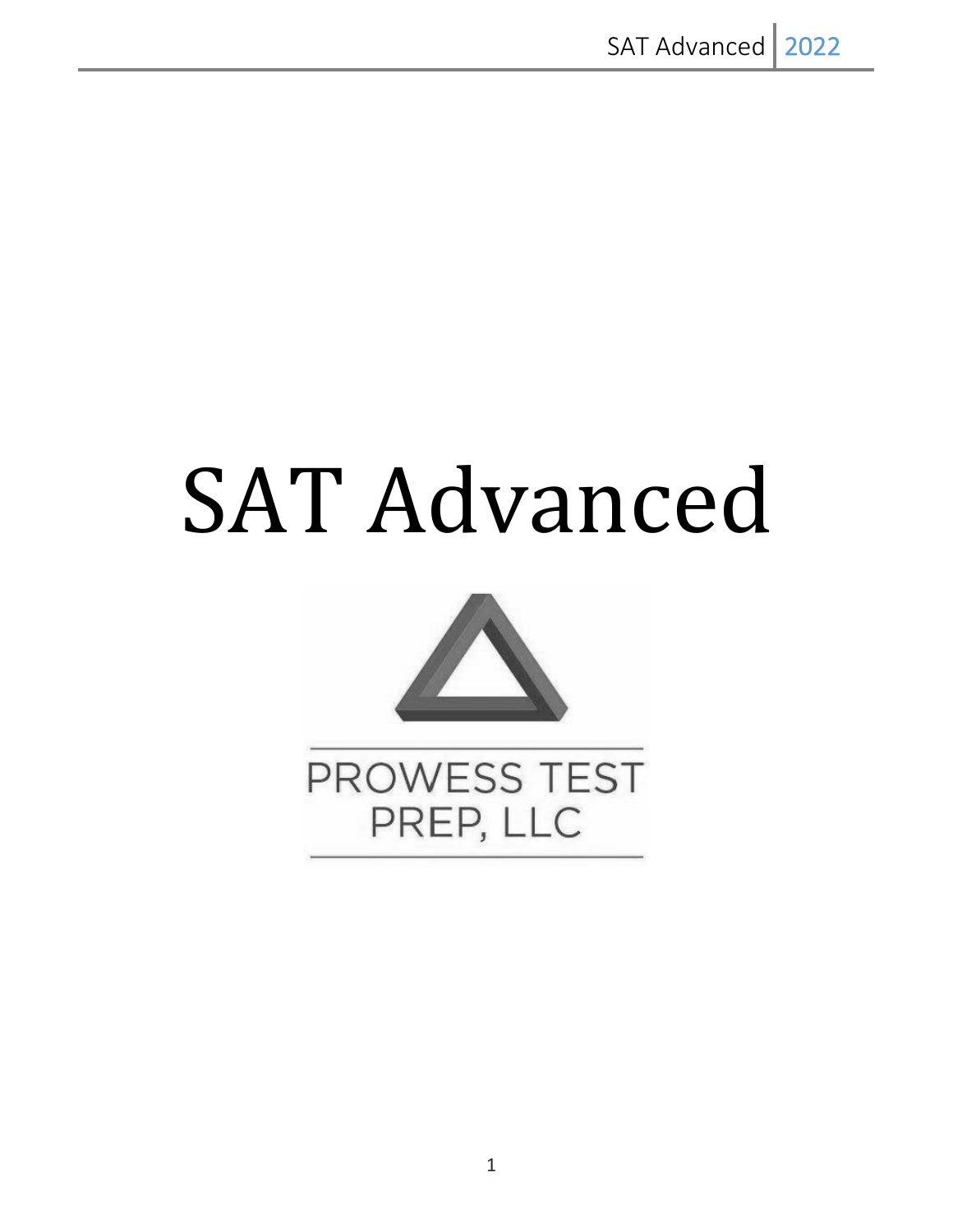# SAT Advanced



PROWESS TEST PREP, LLC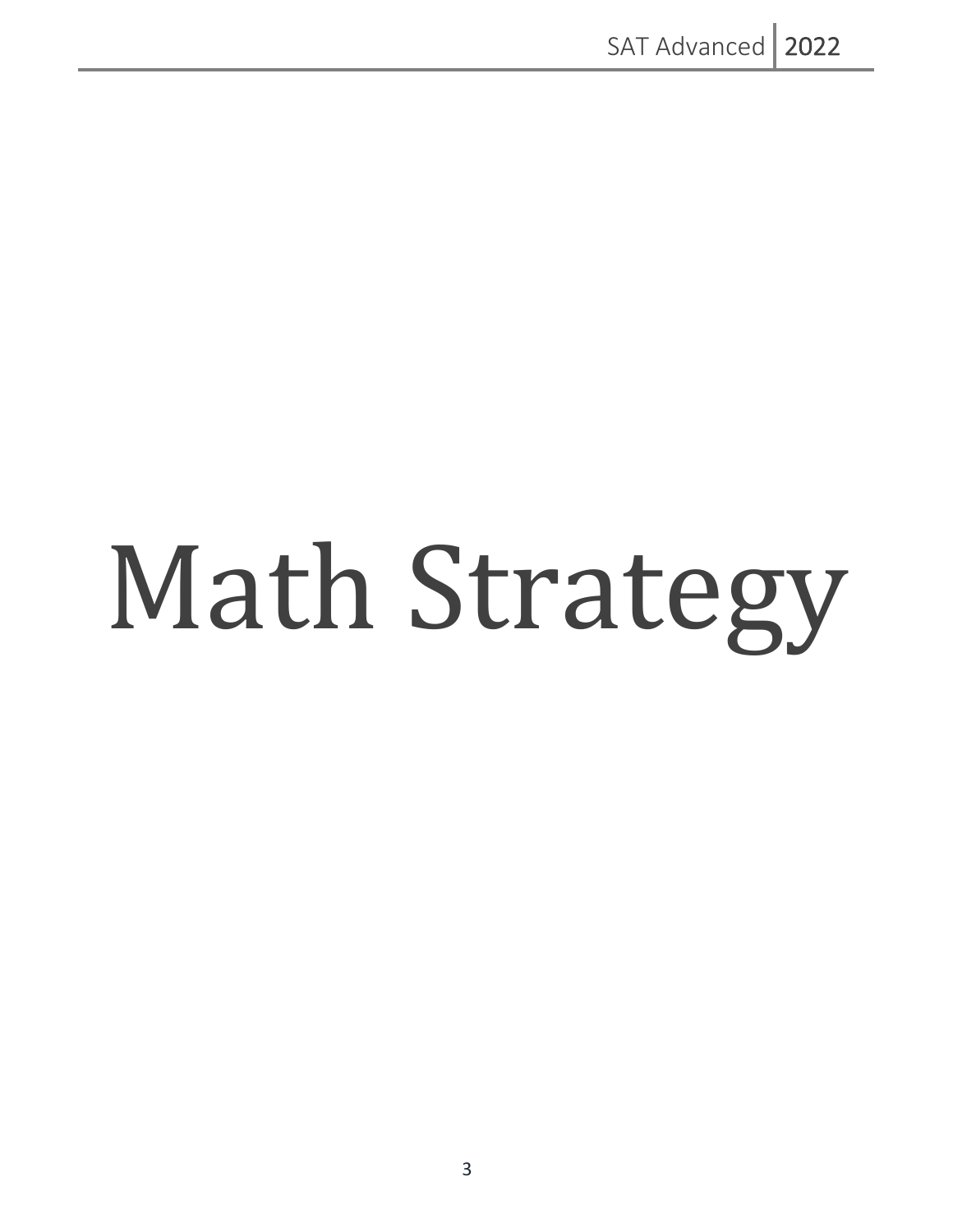# Math Strategy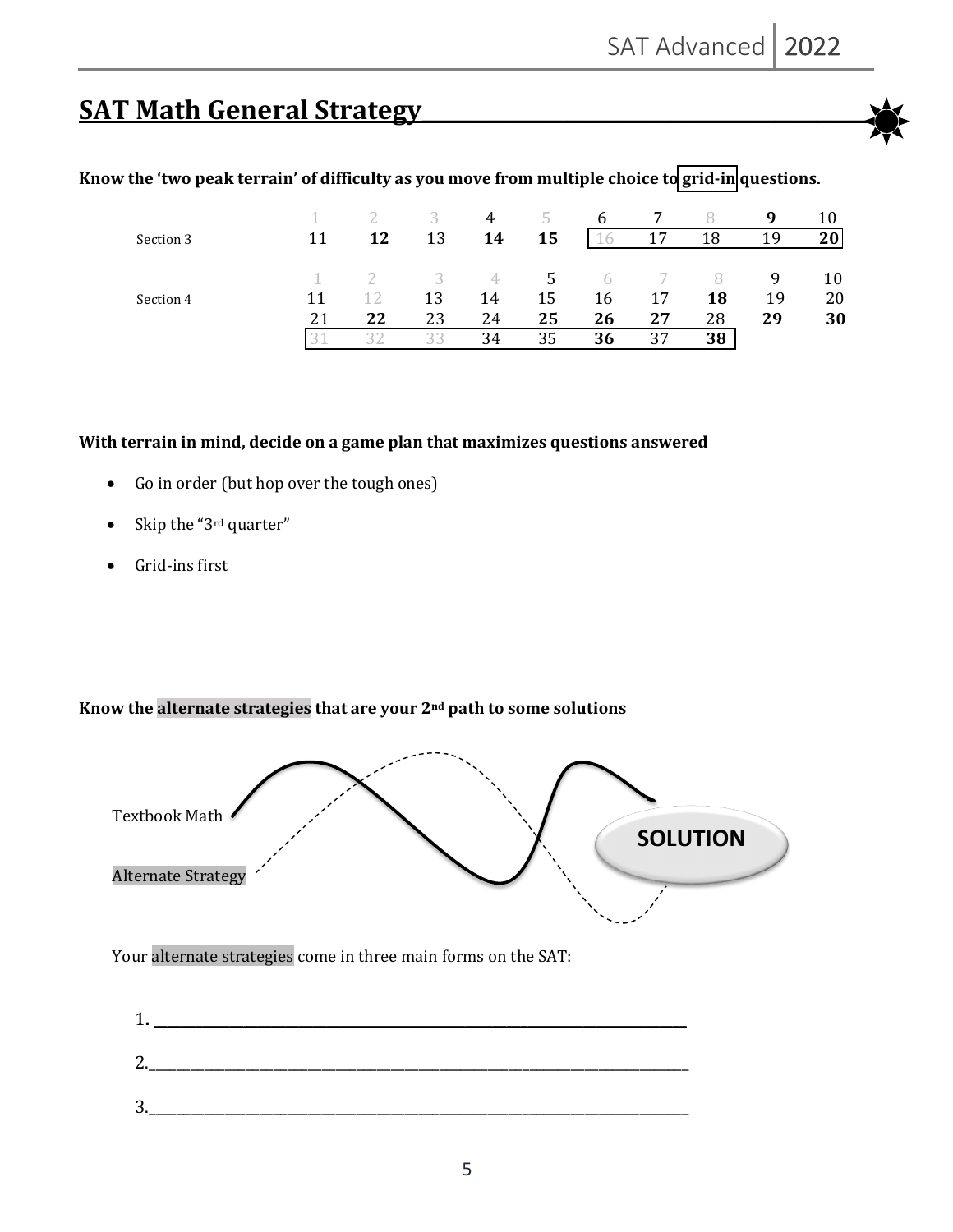# **SAT Math General Strategy**



## Know the 'two peak terrain' of difficulty as you move from multiple choice to grid-in questions.

|           |    |    |                           | 4  | $\mathcal{D}$ | 6          |    |    | q  | 10 |
|-----------|----|----|---------------------------|----|---------------|------------|----|----|----|----|
| Section 3 |    | 12 | 13                        | 14 | 15            | O          | 17 | 18 | 19 | 20 |
|           |    |    | $\overline{\phantom{a}3}$ | 4  | 5.            | $\sqrt{a}$ |    |    | q  | 10 |
| Section 4 |    |    | 13                        | 14 | 15            | 16         | 17 | 18 | 19 | 20 |
|           | 21 | 22 | 23                        | 24 | 25            | 26         | 27 | 28 | 29 | 30 |
|           |    |    | $\prec$ $\prec$           | 34 | 35            | 36         | 37 | 38 |    |    |

#### With terrain in mind, decide on a game plan that maximizes questions answered

- Go in order (but hop over the tough ones)
- Skip the "3<sup>rd</sup> quarter"
- Grid-ins first

#### Know the alternate strategies that are your 2<sup>nd</sup> path to some solutions



Your alternate strategies come in three main forms on the SAT:

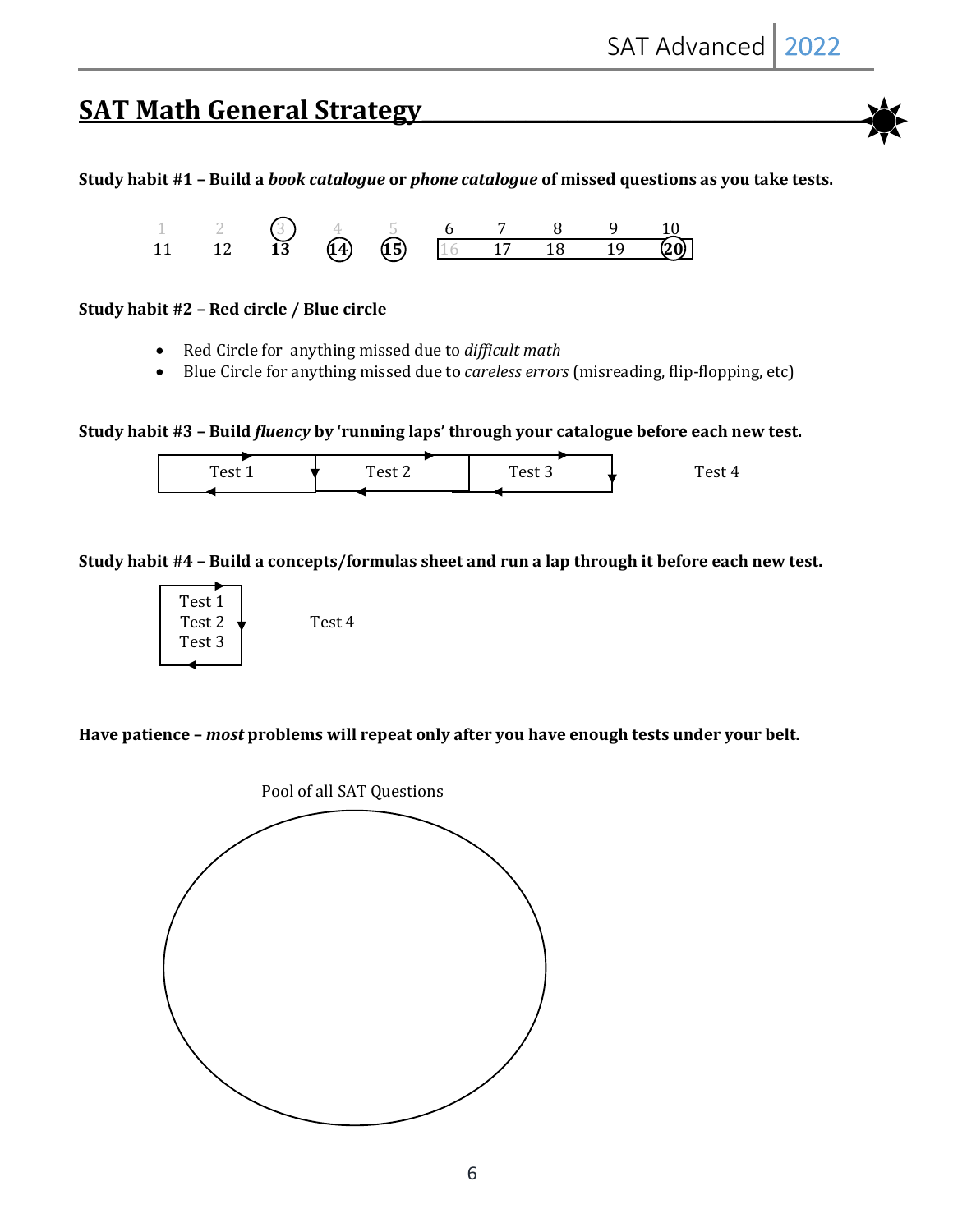## **SAT Math General Strategy**

Study habit #1 - Build a *book catalogue* or *phone catalogue* of missed questions as you take tests.



#### **Study habit #2 - Red circle / Blue circle**

- Red Circle for anything missed due to *difficult math*
- Blue Circle for anything missed due to *careless errors* (misreading, flip-flopping, etc)

Study habit #3 - Build *fluency* by 'running laps' through your catalogue before each new test.



Study habit #4 - Build a concepts/formulas sheet and run a lap through it before each new test.



Have patience - *most* problems will repeat only after you have enough tests under your belt.

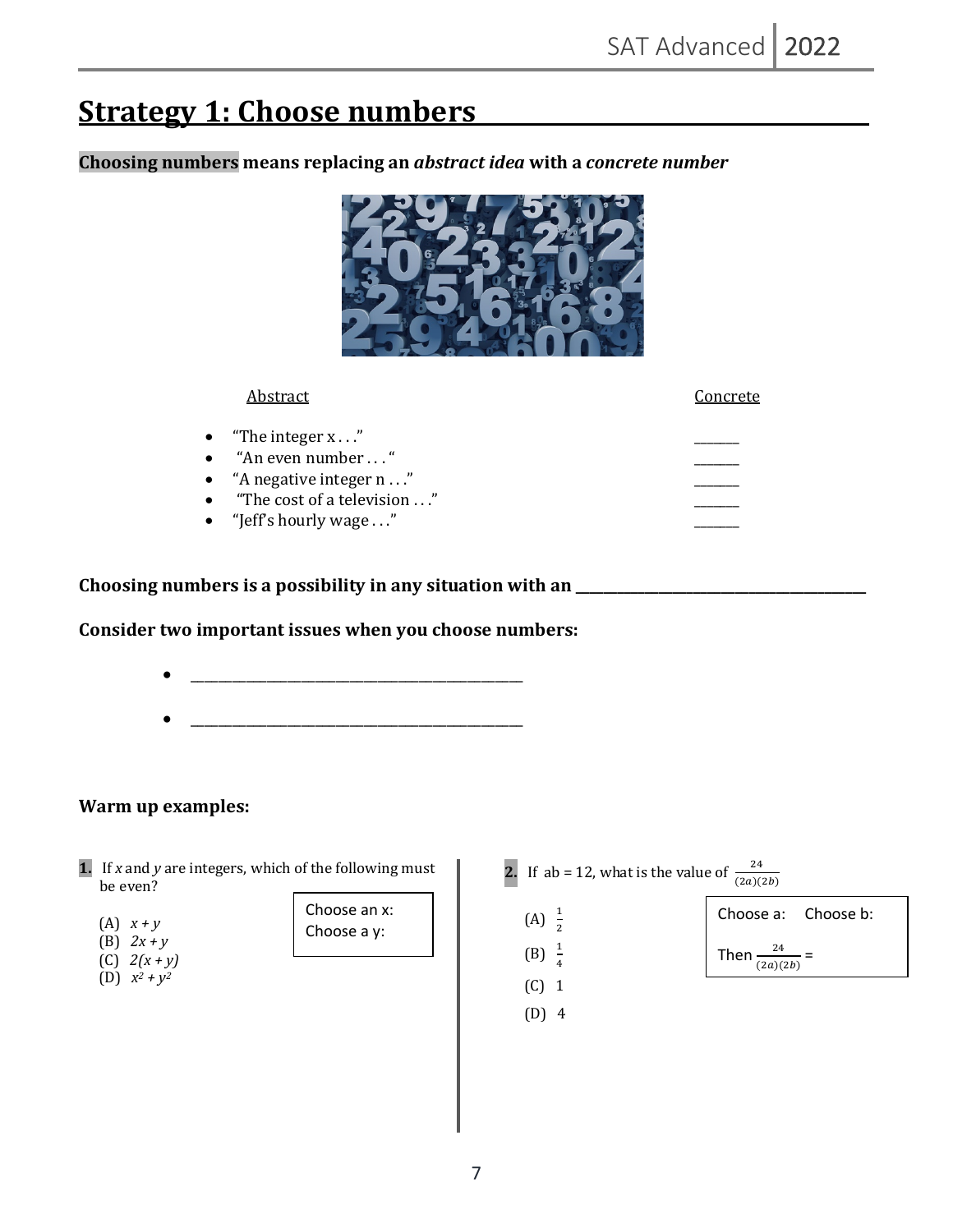# **Strategy 1: Choose numbers**

**Choosing numbers means replacing an** *abstract idea* **with a** *concrete number*

| Abstract                           | Concrete |
|------------------------------------|----------|
| • "The integer $x \dots$ "         |          |
| • "An even number $\dots$ "        |          |
| • $A$ negative integer n $\dots$ " |          |
| "The cost of a television "        |          |
| • "Jeff's hourly wage $\dots$ "    |          |

**Choosing numbers is a possibility in any situation with an \_\_\_\_\_\_\_\_\_\_\_\_\_\_\_\_\_\_\_\_\_\_\_\_\_\_\_\_\_\_\_\_\_\_\_\_\_\_\_\_\_\_**

### Consider two important issues when you choose numbers:



## **Warm up examples:**

**1.** If *x* and *y* are integers, which of the following must be even?

| (A) | $\boldsymbol{X}$<br>$+V$ |
|-----|--------------------------|
|     |                          |

- (B)  $2x + y$
- $(C)$  2(x + y)
- (D)  $x^2 + y^2$



- **2.** If ab = 12, what is the value of  $\frac{24}{(2a)(2b)}$
- $(A) \frac{1}{2}$

 $(B) \frac{1}{4}$ 



 $(C)$  1  $(D)$  4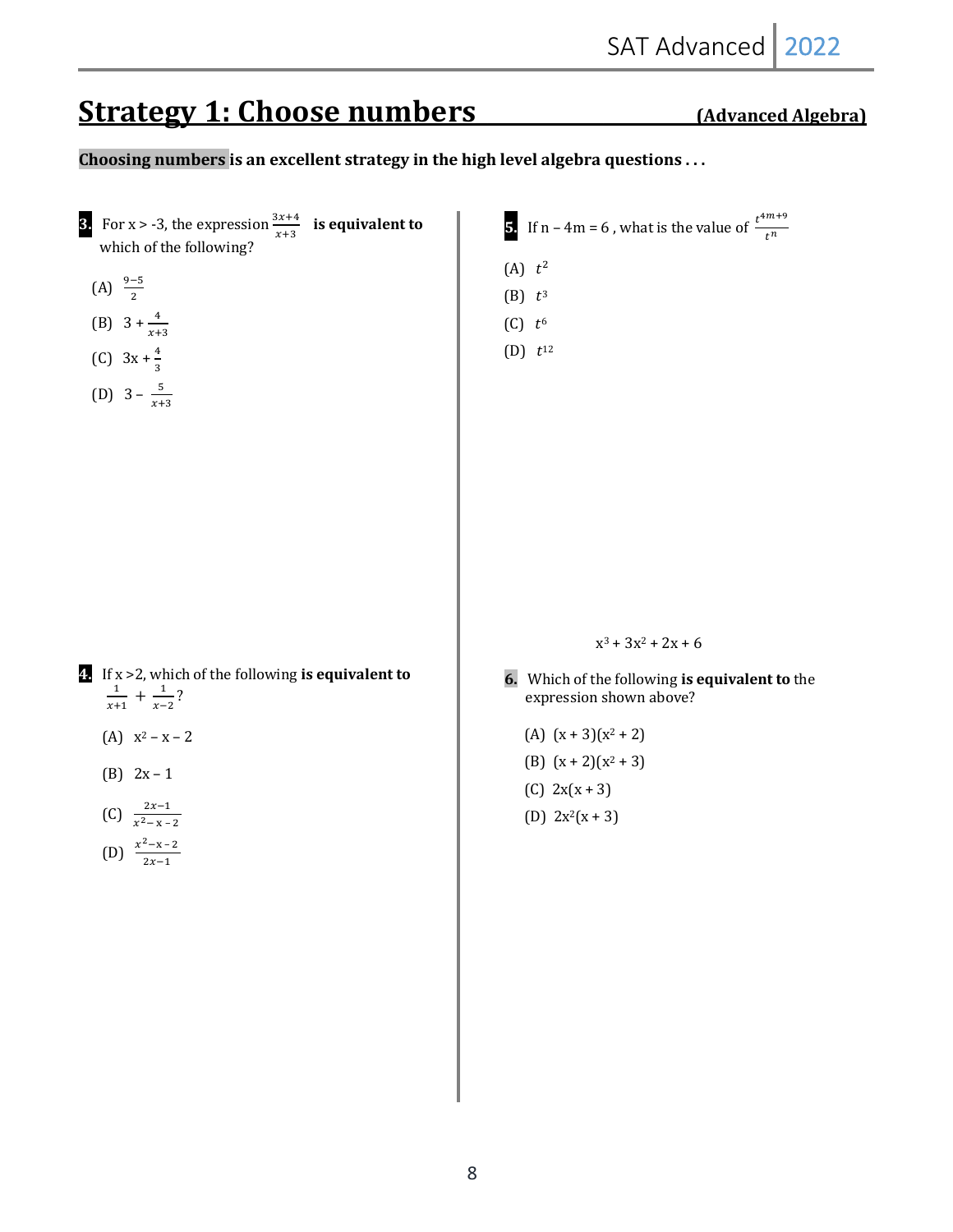# **Strategy 1: Choose numbers** (Advanced Algebra)

## Choosing numbers is an excellent strategy in the high level algebra questions . . .

**3.** For  $x > -3$ , the expression  $\frac{3x+4}{x+3}$  **is equivalent to** which of the following? (A)  $\frac{9-5}{2}$ (B)  $3 + \frac{4}{x+3}$ (C)  $3x + \frac{4}{3}$ (D)  $3 - \frac{5}{x+3}$ **4.** If x > 2, which of the following is equivalent to  $\frac{1}{x+1} + \frac{1}{x-2}$ ? (A)  $x^2 - x - 2$ (B)  $2x - 1$ (C)  $\frac{2x-1}{x^2-x-2}$ (D)  $\frac{x^2-x-2}{2x-1}$ **5.** If n – 4m = 6, what is the value of  $\frac{t^{4m+9}}{t^n}$  $(A)$   $t^2$  $(B)$   $t^3$  $(C)$   $t^6$  $(D)$   $t^{12}$  $x^3 + 3x^2 + 2x + 6$ **6.** Which of the following is equivalent to the expression shown above? (A)  $(x + 3)(x^2 + 2)$ (B)  $(x + 2)(x^2 + 3)$  $(C) 2x(x + 3)$ (D)  $2x^2(x + 3)$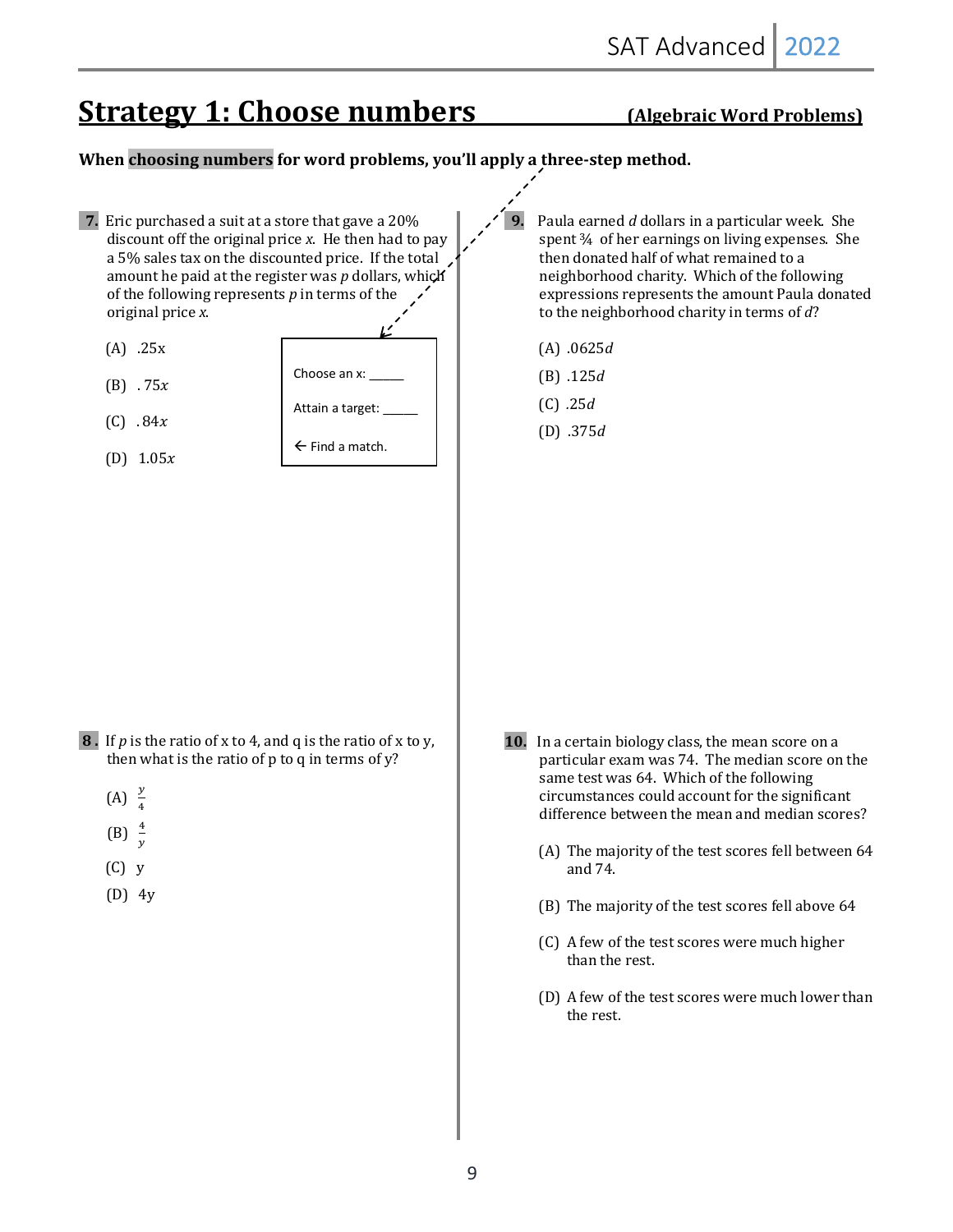# **Strategy 1: Choose numbers** (Algebraic Word Problems)

### **When choosing numbers for word problems, you'll apply a three-step method.**

**7.** Eric purchased a suit at a store that gave a 20% discount off the original price *x*. He then had to pay a 5% sales tax on the discounted price. If the total amount he paid at the register was *p* dollars, which of the following represents  $p$  in terms of the original price *x*.  $(A)$  .25x  $(B)$  . 75x  $(C)$  . 84x (D)  $1.05x$ **8**. If *p* is the ratio of x to 4, and q is the ratio of x to y, then what is the ratio of  $p$  to  $q$  in terms of  $y$ ?  $(A)$  $\overline{\mathbf{r}}$  $(B)$  $\mathcal{Y}$  $(C)$  y  $(D)$  4y Paula earned *d* dollars in a particular week. She spent 3/4 of her earnings on living expenses. She then donated half of what remained to a neighborhood charity. Which of the following expressions represents the amount Paula donated to the neighborhood charity in terms of d? (A) .0625*d* (B) .125*d*  $(C)$  .25*d*  (D) .375*d* **10.** In a certain biology class, the mean score on a particular exam was 74. The median score on the same test was 64. Which of the following circumstances could account for the significant difference between the mean and median scores? (A) The majority of the test scores fell between 64 and 74. (B) The majority of the test scores fell above 64 (C) A few of the test scores were much higher than the rest. (D) A few of the test scores were much lower than the rest. Choose an x: Attain a target:  $\leftarrow$  Find a match.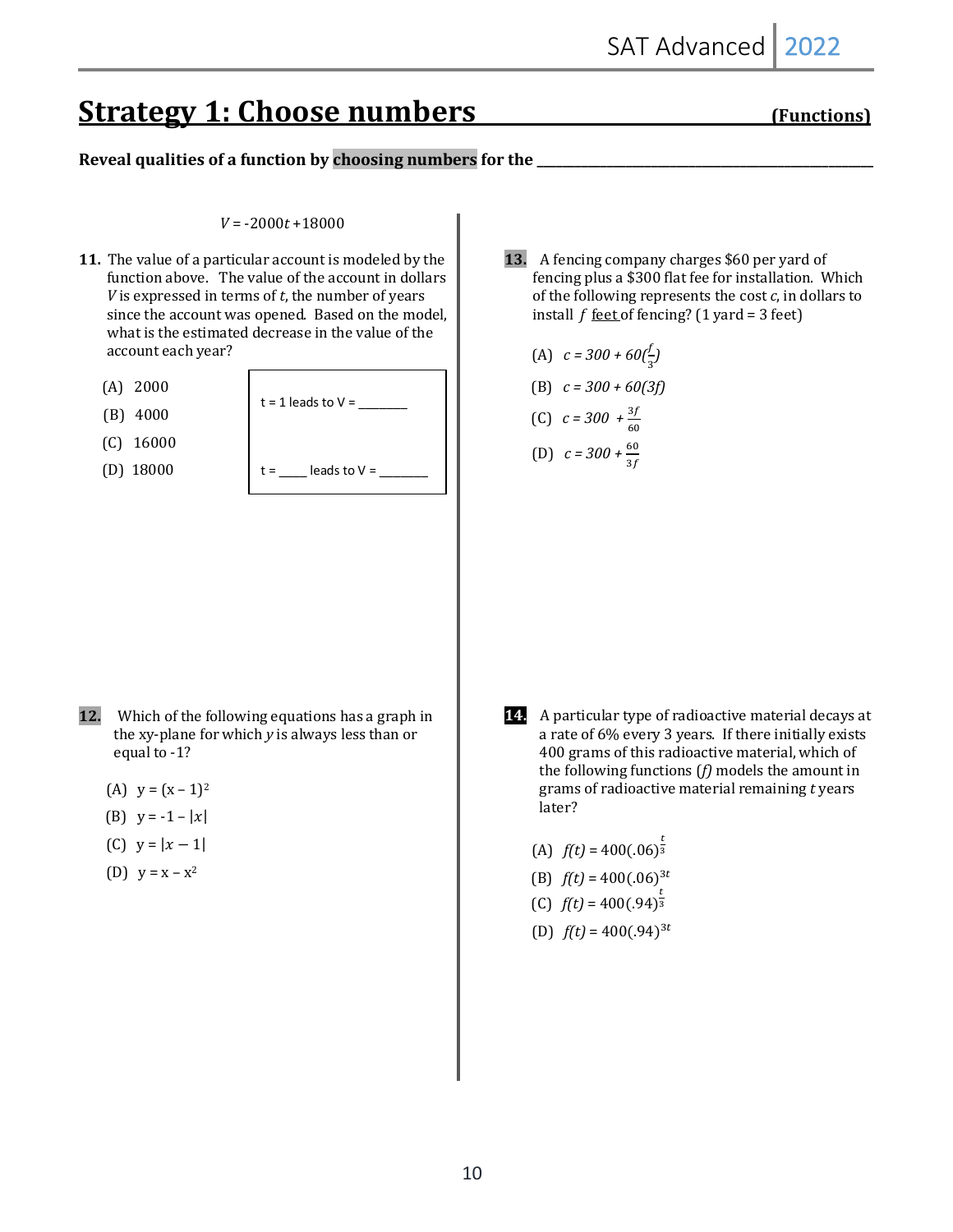# **Strategy 1: Choose numbers** (Functions)

### Reveal qualities of a function by choosing numbers for the

#### $V = -2000t + 18000$

- **11.** The value of a particular account is modeled by the function above. The value of the account in dollars *V* is expressed in terms of *t*, the number of years since the account was opened. Based on the model, what is the estimated decrease in the value of the account each year?
	- (A)2000
	- (B)4000
	- (C)16000
	- (D)18000

 $t = 1$  leads to  $V =$ leads to  $V =$ 

13. A fencing company charges \$60 per yard of fencing plus a \$300 flat fee for installation. Which of the following represents the cost  $c$ , in dollars to install  $f$  <u>feet</u> of fencing?  $(1$  yard = 3 feet)

(A) 
$$
c = 300 + 60(\frac{f}{3})
$$

(B) 
$$
c = 300 + 60(3f)
$$

(C) 
$$
c = 300 + \frac{3f}{60}
$$
  
(D)  $c = 300 + \frac{60}{3f}$ 

- **12.** Which of the following equations has a graph in the xy-plane for which *y* is always less than or equal to -1?
	- (A)  $y = (x 1)^2$
	- (B)  $y = -1 |x|$
	- (C)  $y = |x 1|$
	- (D)  $y = x x^2$

**14.** A particular type of radioactive material decays at a rate of 6% every 3 years. If there initially exists 400 grams of this radioactive material, which of the following functions  $(f)$  models the amount in grams of radioactive material remaining *t* years later?

(A)  $f(t) = 400(.06)^{\frac{t}{3}}$ (B)  $f(t) = 400(.06)^{3t}$ (C)  $f(t) = 400(.94)^{\frac{t}{3}}$ (D)  $f(t) = 400(.94)^{3t}$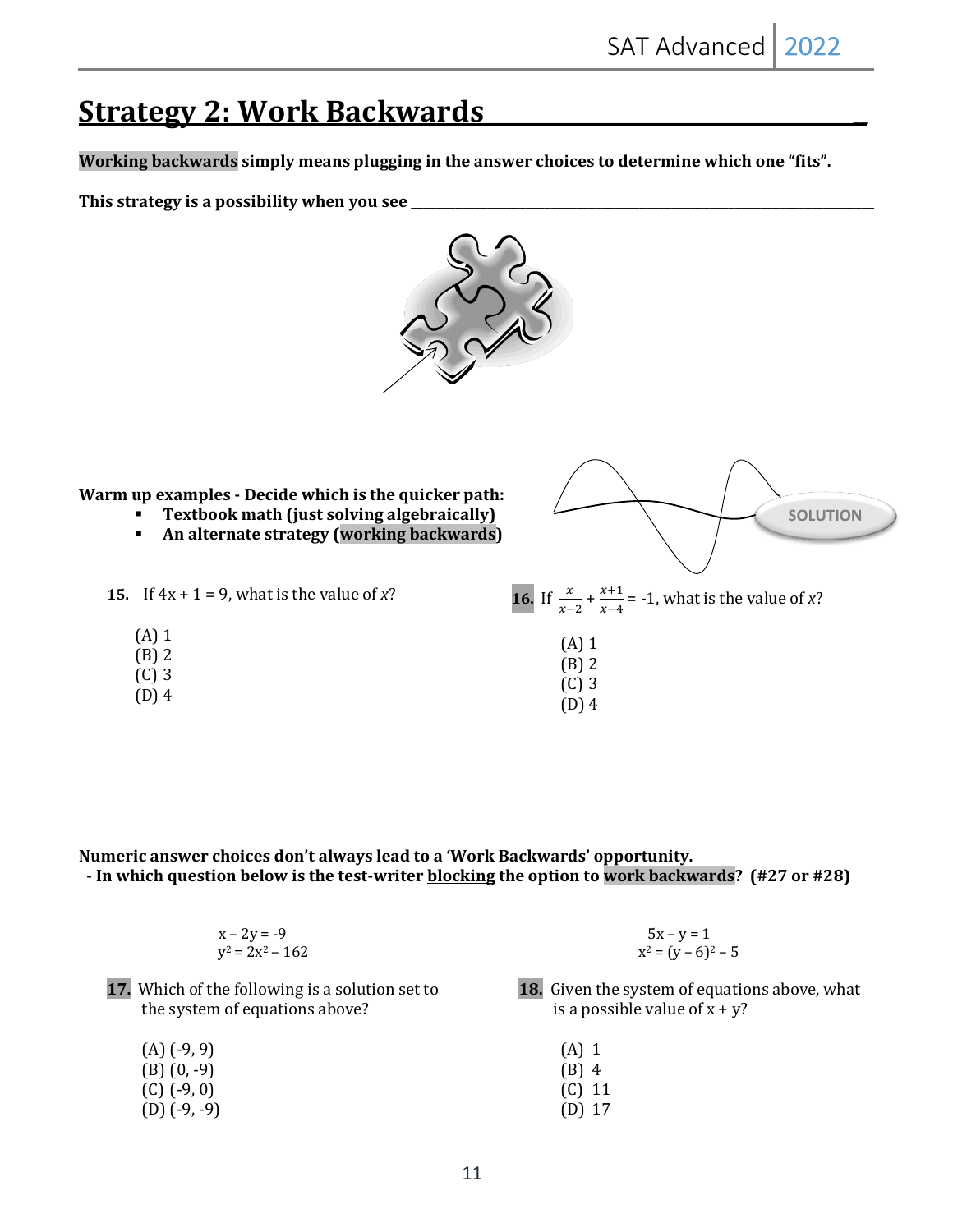## **Strategy 2: Work Backwards**

Working backwards simply means plugging in the answer choices to determine which one "fits".

This strategy is a possibility when you see



**Warm up examples - Decide which is the quicker path:** 

**15.** If  $4x + 1 = 9$ , what is the value of x?

(A) 1 (B) 2 (C) 3 (D) 4

- § **Textbook math (just solving algebraically)**
- § **An alternate strategy (working backwards)**



Numeric answer choices don't always lead to a 'Work Backwards' opportunity. - In which question below is the test-writer **blocking** the option to work backwards? (#27 or #28)

| $x - 2y = -9$      | $5x - y = 1$          |
|--------------------|-----------------------|
| $y^2 = 2x^2 - 162$ | $x^2 = (y - 6)^2 - 5$ |

- **17.** Which of the following is a solution set to the system of equations above?
	- $(A)$   $(-9, 9)$  $(B)$   $(0, -9)$  $(C)$   $(-9, 0)$
	- $(D)$   $(-9, -9)$
- **18.** Given the system of equations above, what is a possible value of  $x + y$ ?
	- (A) 1
	- (B) 4
	- (C) 11
	- (D) 17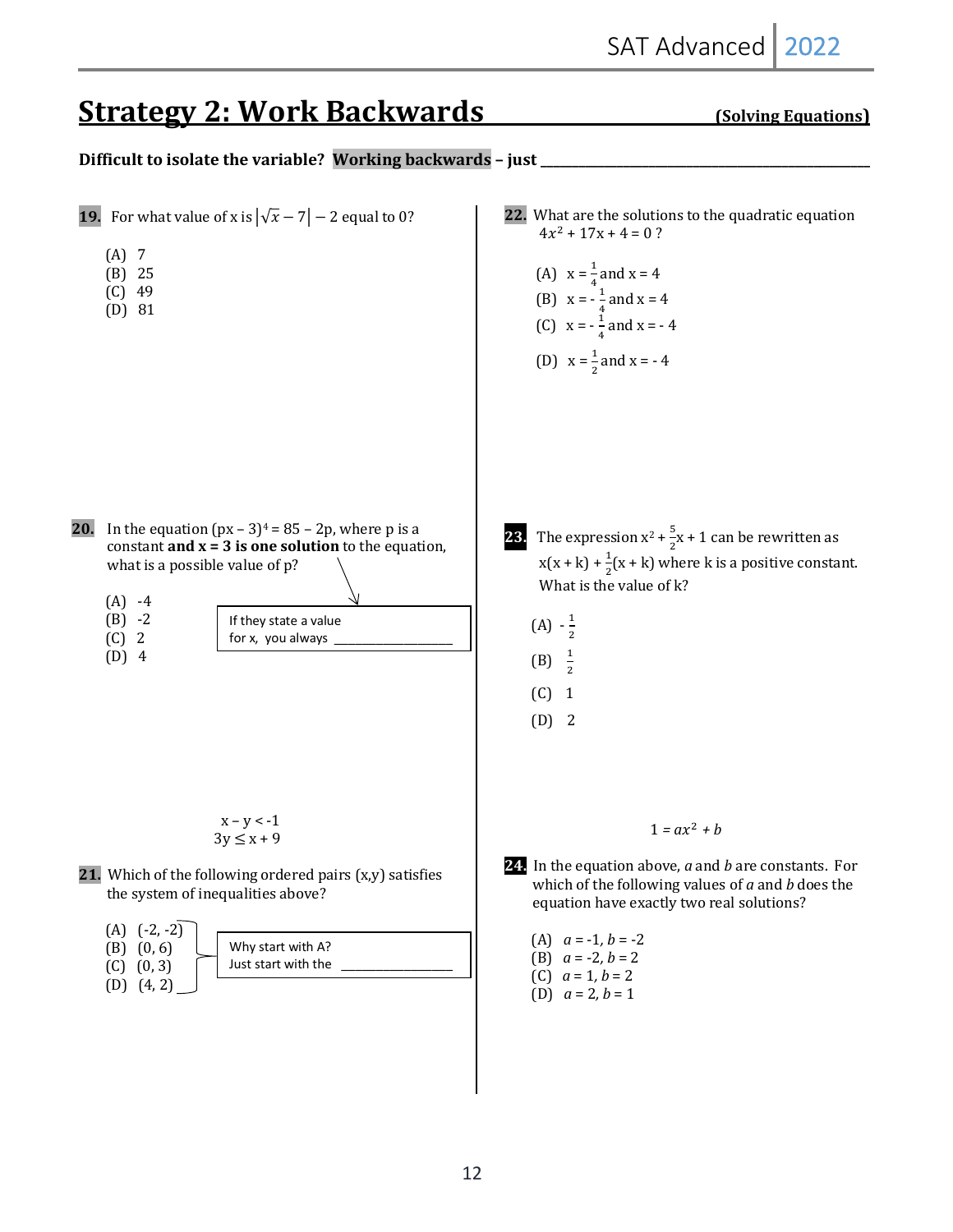# **Strategy 2: Work Backwards** (Solving Equations)

**Difficult to isolate the variable? Working backwards - just** 

**19.** For what value of x is  $|\sqrt{x} - 7| - 2$  equal to 0?  $(A)$  7  $(B)$  25  $(C)$  49  $(D)$  81 **20.** In the equation  $(px - 3)<sup>4</sup> = 85 - 2p$ , where p is a constant  $\text{and } x = 3$  is one solution to the equation, what is a possible value of  $p$ ?  $(A) -4$  $(B) -2$  $(C)$  2  $(D)$  4  $x - y < -1$  $3y \leq x + 9$ **21.** Which of the following ordered pairs (x,y) satisfies the system of inequalities above?  $(A)$   $(-2, -2)$  $(B)$   $(0, 6)$  $(C)$   $(0, 3)$  $(D)$   $(4, 2)$ **22.** What are the solutions to the quadratic equation  $4x^2 + 17x + 4 = 0$ ? (A)  $x = \frac{1}{4}$  and  $x = 4$ (B)  $x = -\frac{1}{4}$  and  $x = 4$ (C)  $x = -\frac{1}{4}$  and  $x = -4$ (D)  $x = \frac{1}{2}$  and  $x = -4$ **23.** The expression  $x^2 + \frac{5}{3}$  $\frac{3}{2}$ x + 1 can be rewritten as  $x(x + k) + \frac{1}{2}(x + k)$  where k is a positive constant. What is the value of  $k$ ?  $(A) - \frac{1}{2}$  $\overline{\mathbf{c}}$ (B)  $\frac{1}{2}$  $\overline{\mathbf{c}}$  $(C)$  1  $(D)$  2  $1 = ax^2 + b$ **24.** In the equation above, *a* and *b* are constants. For which of the following values of *a* and *b* does the equation have exactly two real solutions? (A)  $a = -1, b = -2$ (B)  $a = -2, b = 2$ (C)  $a = 1, b = 2$ (D)  $a = 2, b = 1$ If they state a value for x, you always Why start with A? Just start with the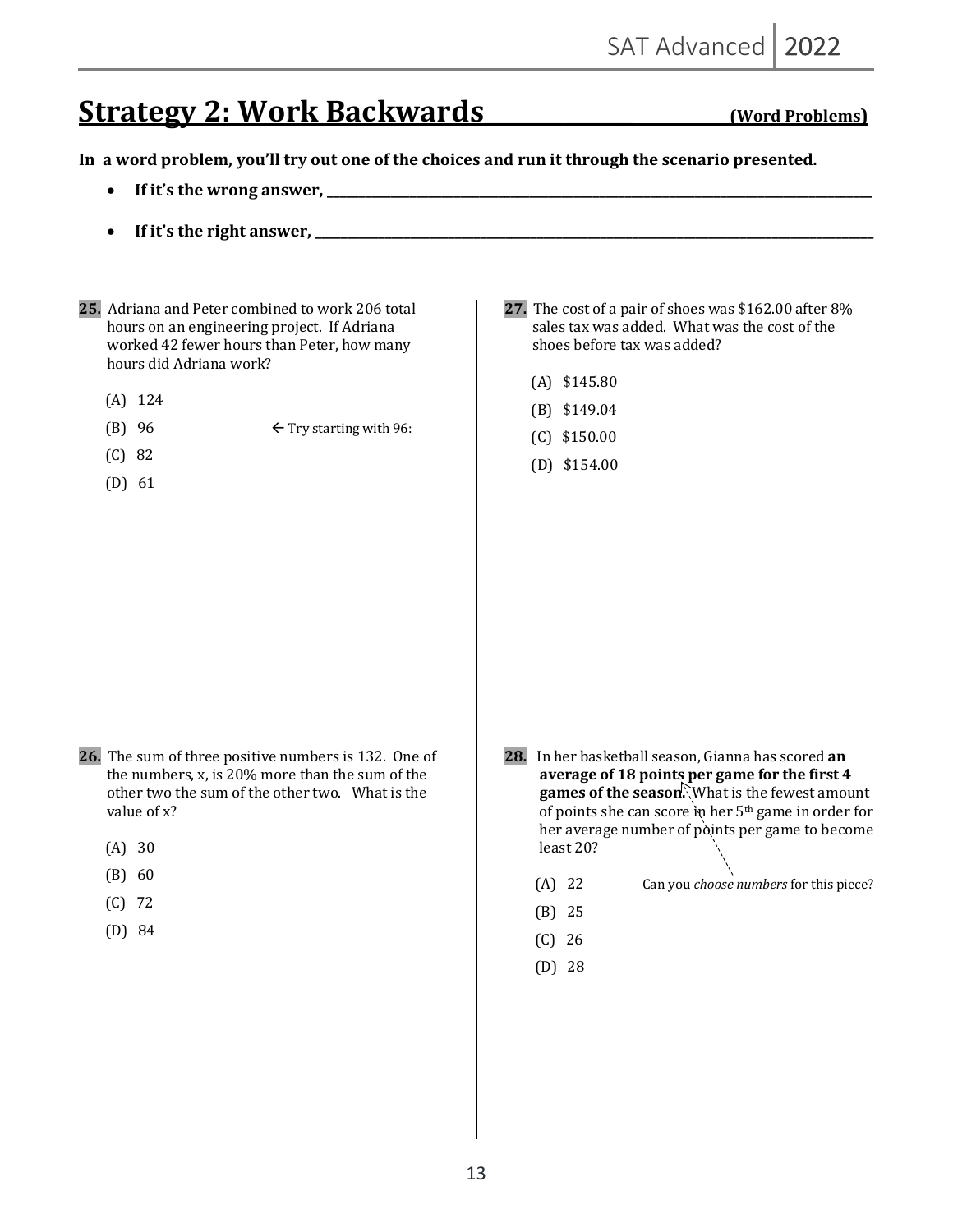# **Strategy 2: Work Backwards** (Word Problems)

In a word problem, you'll try out one of the choices and run it through the scenario presented.

- **If it's the wrong answer, \_\_\_\_\_\_\_\_\_\_\_\_\_\_\_\_\_\_\_\_\_\_\_\_\_\_\_\_\_\_\_\_\_\_\_\_\_\_\_\_\_\_\_\_\_\_\_\_\_\_\_\_\_\_\_\_\_\_\_\_\_\_\_\_\_\_\_\_\_\_\_\_\_\_\_\_\_\_\_\_\_\_\_\_\_\_**
- **If it's the right answer, \_\_\_\_\_\_\_\_\_\_\_\_\_\_\_\_\_\_\_\_\_\_\_\_\_\_\_\_\_\_\_\_\_\_\_\_\_\_\_\_\_\_\_\_\_\_\_\_\_\_\_\_\_\_\_\_\_\_\_\_\_\_\_\_\_\_\_\_\_\_\_\_\_\_\_\_\_\_\_\_\_\_\_\_\_\_\_\_**
- **25.** Adriana and Peter combined to work 206 total hours on an engineering project. If Adriana worked 42 fewer hours than Peter, how many hours did Adriana work?
	- $(A)$  124
	- (B)  $96 \leftarrow$  Try starting with  $96$ :
	- $(C) 82$
	- $(D)$  61

#### **27.** The cost of a pair of shoes was \$162.00 after 8% sales tax was added. What was the cost of the shoes before tax was added?

- $(A)$  \$145.80
- (B) \$149.04
- $(C)$  \$150.00
- $(D)$  \$154.00

- **26.** The sum of three positive numbers is 132. One of the numbers, x, is  $20\%$  more than the sum of the other two the sum of the other two. What is the value of x?
	- $(A) 30$
	- $(B)$  60
	- $(C)$  72
	- $(D) 84$

**28.** In her basketball season, Gianna has scored an average of 18 points per game for the first 4 **games of the season.** What is the fewest amount of points she can score in her 5<sup>th</sup> game in order for her average number of points per game to become least 20?

- (A) 22 Can you *choose numbers* for this piece?
- $(B) 25$
- $(C)$  26
- $(D) 28$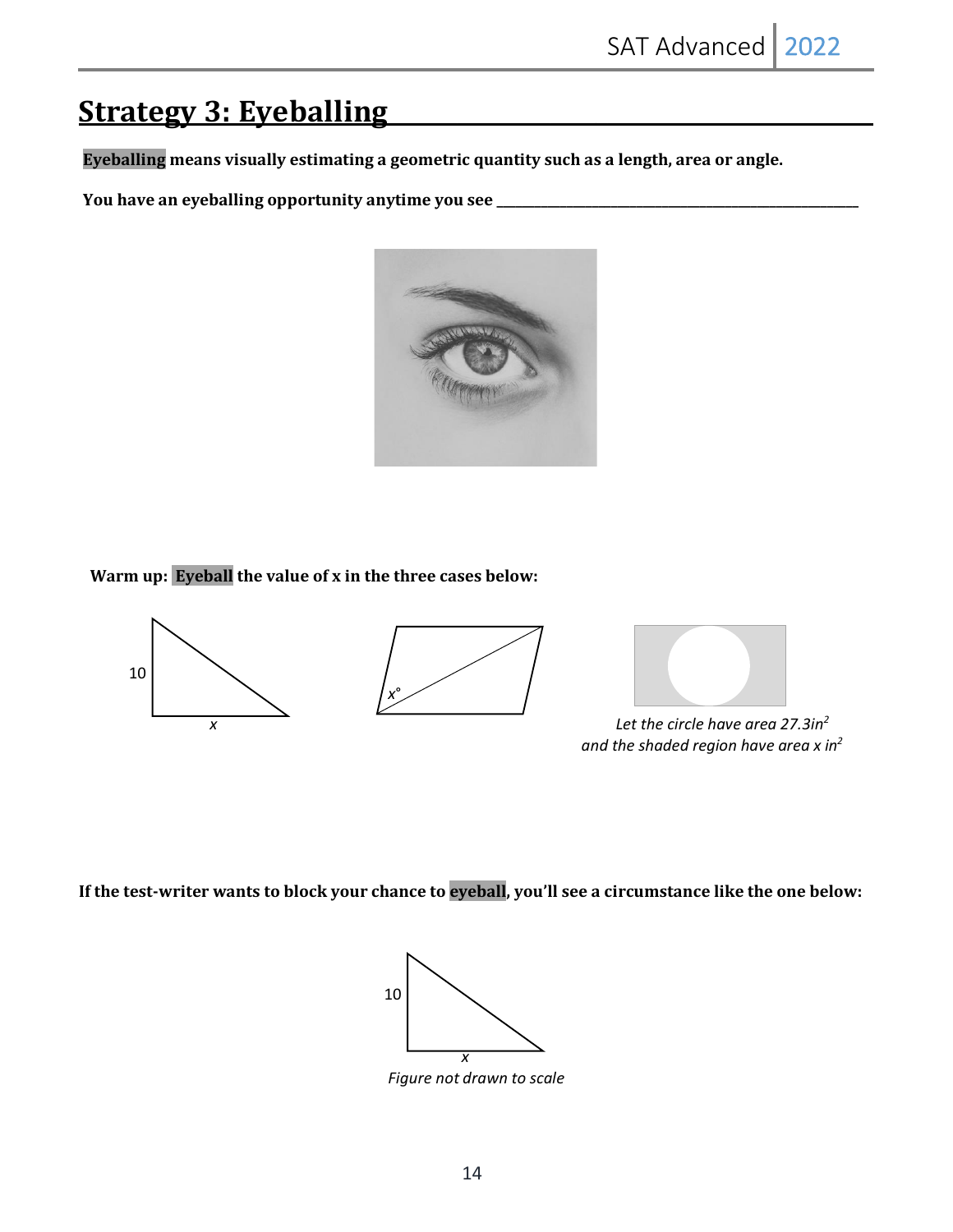# **Strategy 3: Eyeballing**

Eyeballing means visually estimating a geometric quantity such as a length, area or angle.

**You have an eyeballing opportunity anytime you see** 



**Warm up: Eyeball the value of x in the three cases below:** 



 *and the shaded region have area x in2*

If the test-writer wants to block your chance to eyeball, you'll see a circumstance like the one below:

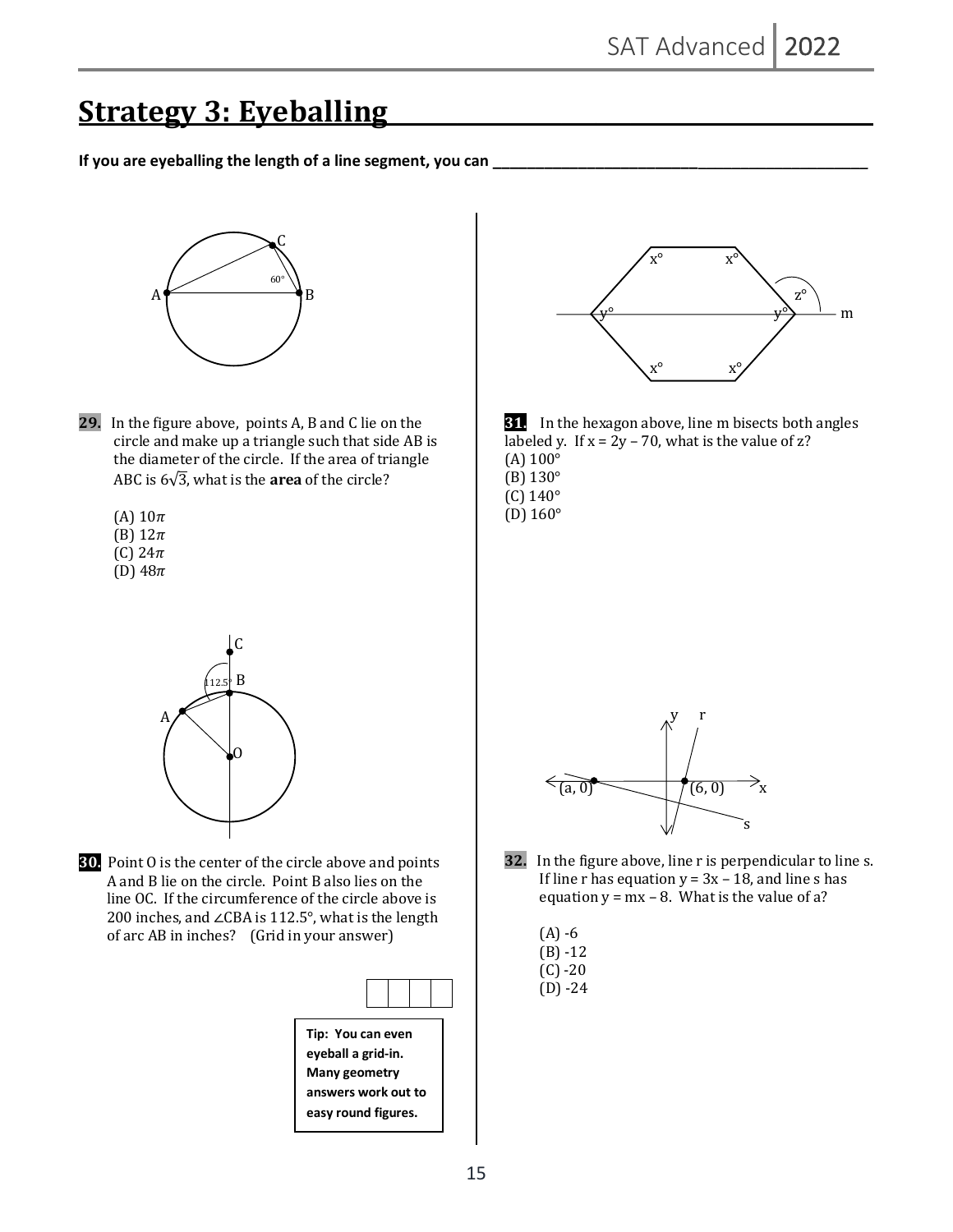## **Strategy 3: Eyeballing**

If you are eyeballing the length of a line segment, you can



- **29.** In the figure above, points A, B and C lie on the circle and make up a triangle such that side AB is the diameter of the circle. If the area of triangle ABC is  $6\sqrt{3}$ , what is the **area** of the circle?
	- (A)  $10\pi$
	- (B)  $12\pi$
	- (C)  $24\pi$
	- (D)  $48\pi$



**30.** Point O is the center of the circle above and points A and B lie on the circle. Point B also lies on the line OC. If the circumference of the circle above is 200 inches, and ∠CBA is 112.5°, what is the length of arc AB in inches? (Grid in your answer)

| Tip: You can even |  |  |  |
|-------------------|--|--|--|

**eyeball a grid-in. Many geometry answers work out to easy round figures.** 





- $(B)$  130 $^{\circ}$
- $(C)$  140 $\circ$
- $(D) 160°$



**32.** In the figure above, line r is perpendicular to line s. If line r has equation  $y = 3x - 18$ , and line s has equation  $y = mx - 8$ . What is the value of a?

|  | ۰. |
|--|----|
|--|----|

- $(B) 12$
- $(C) -20$
- $(D) -24$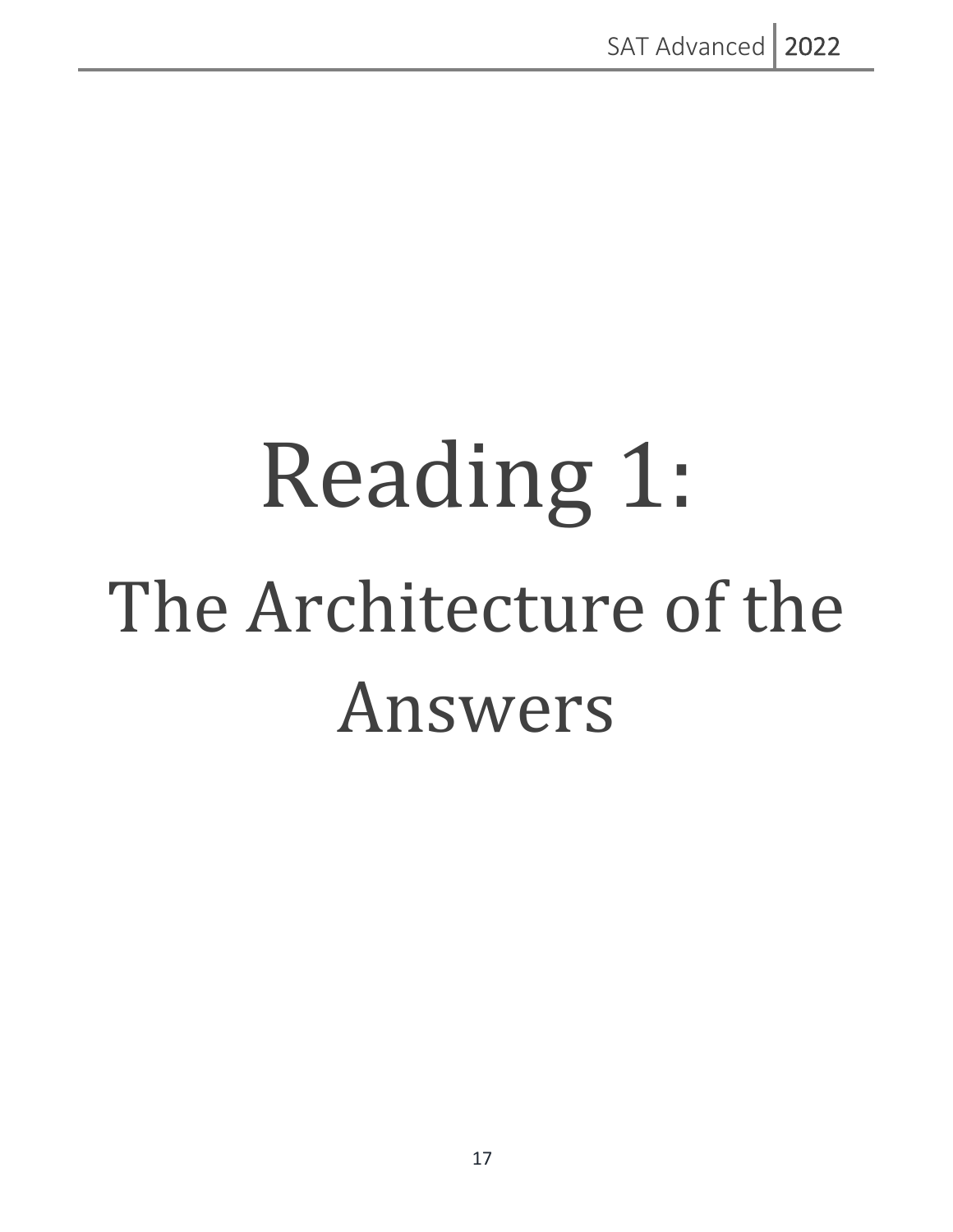# Reading 1: The Architecture of the Answers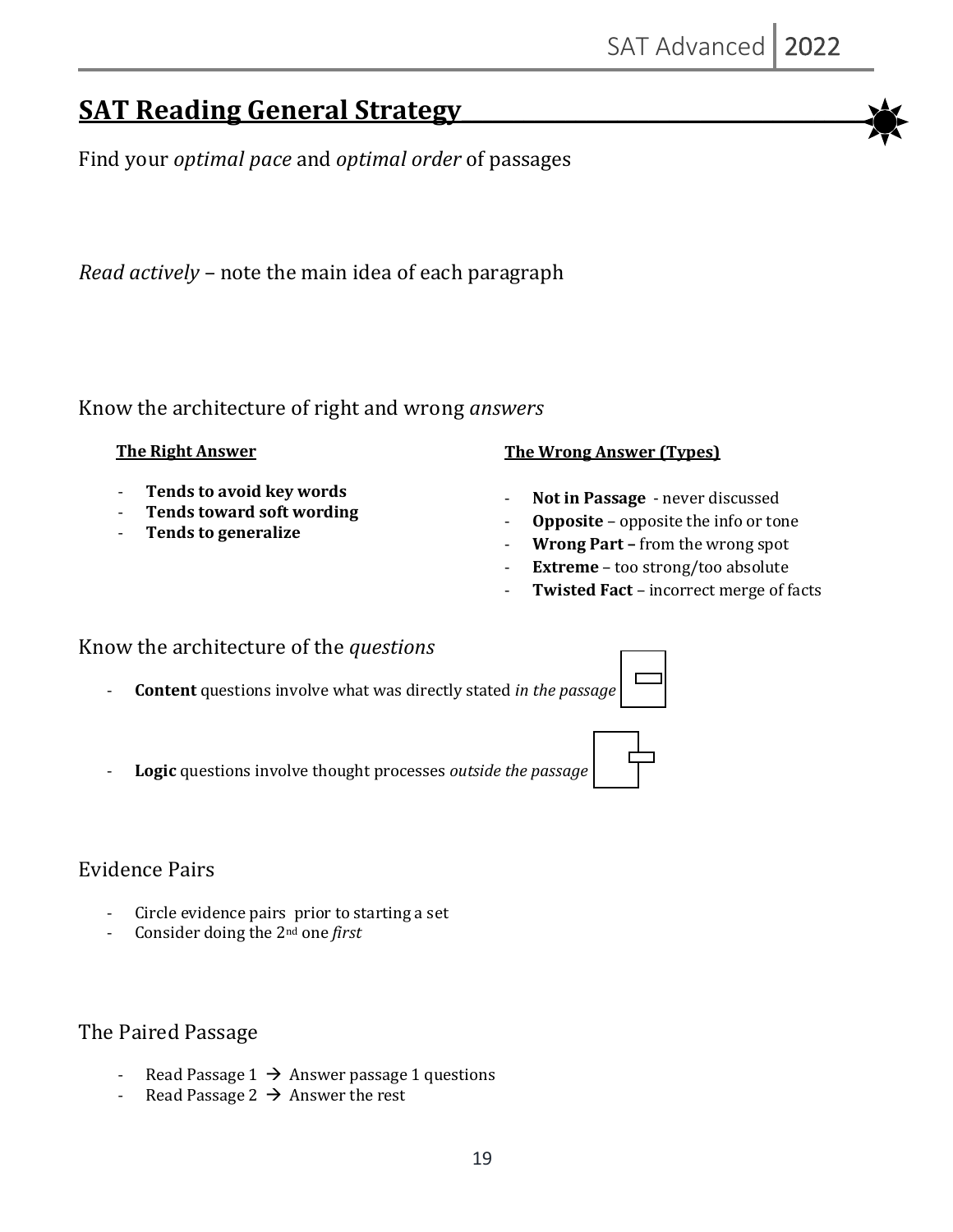## **SAT Reading General Strategy**

Find your *optimal pace* and *optimal order* of passages

*Read actively* – note the main idea of each paragraph

Know the architecture of right and wrong *answers*

### **The Right Answer**

- **Tends to avoid key words**
- Tends toward soft wording
- **Tends to generalize**

### **The Wrong Answer (Types)**

- Not in Passage never discussed
- **Opposite** opposite the info or tone
- **Wrong Part** from the wrong spot
- **Extreme** too strong/too absolute
- **Twisted Fact** incorrect merge of facts

## Know the architecture of the *questions*

- **Content** questions involve what was directly stated *in the passage*
- Logic questions involve thought processes *outside the passage*

## Evidence Pairs

- Circle evidence pairs prior to starting a set
- Consider doing the 2<sup>nd</sup> one *first*

## The Paired Passage

- Read Passage  $1 \rightarrow$  Answer passage 1 questions
- Read Passage  $2 \rightarrow$  Answer the rest



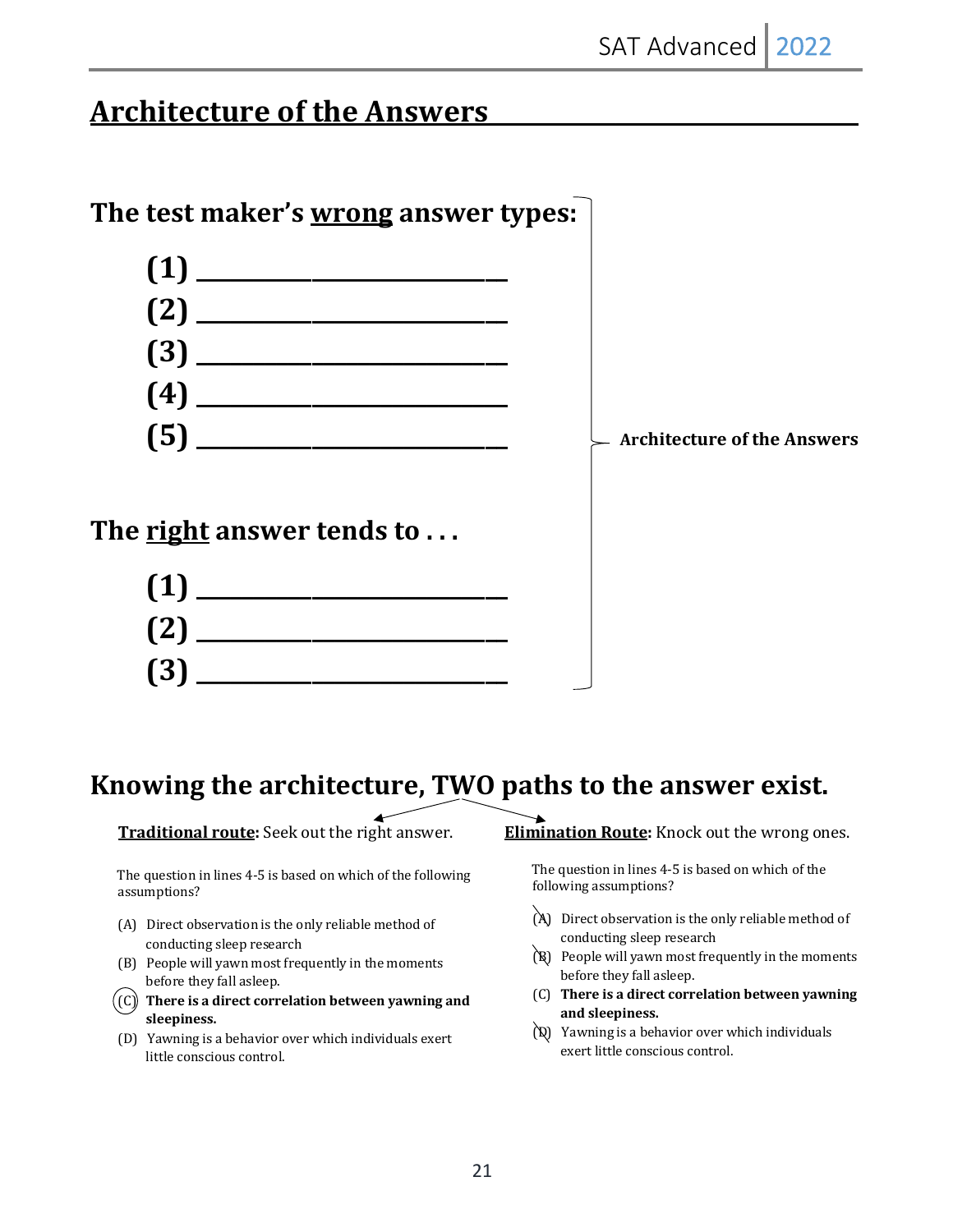# **Architecture of the Answers**





## Knowing the architecture, TWO paths to the answer exist.

**Traditional route:** Seek out the right answer.

The question in lines 4-5 is based on which of the following assumptions?

- (A) Direct observation is the only reliable method of conducting sleep research
- (B) People will yawn most frequently in the moments before they fall asleep.
- $\bigl((\mathsf{C})\bigr)$  There is a direct correlation between yawning and **sleepiness.**
- (D) Yawning is a behavior over which individuals exert little conscious control.

**Elimination Route:** Knock out the wrong ones.

The question in lines 4-5 is based on which of the following assumptions?

- $(A)$  Direct observation is the only reliable method of conducting sleep research
- $(R)$  People will yawn most frequently in the moments before they fall asleep.
- (C) **There is a direct correlation between yawning and sleepiness.**
- $(Q)$  Yawning is a behavior over which individuals exert little conscious control.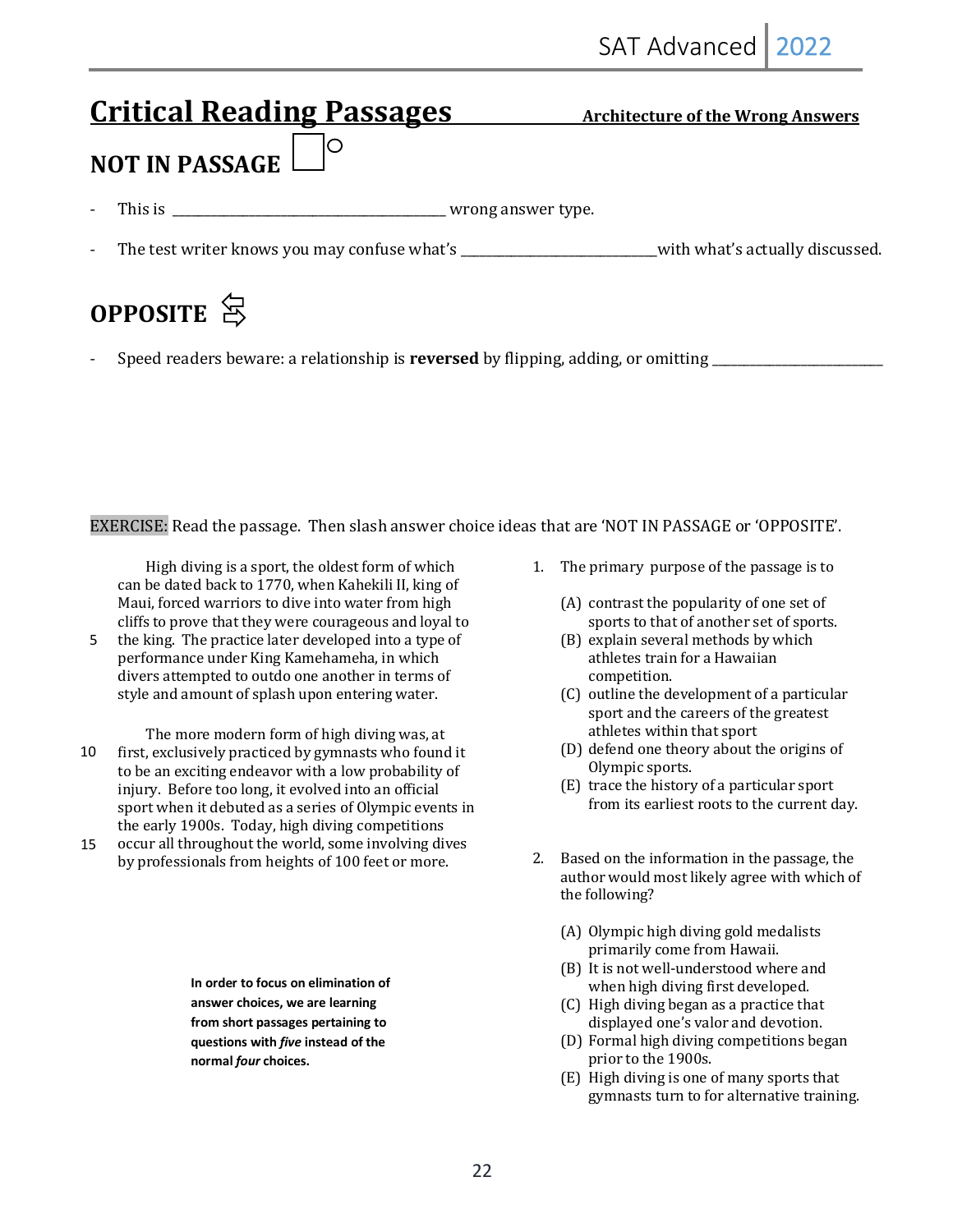# **Critical Reading Passages** Architecture of the Wrong Answers Ó **NOT IN PASSAGE** - This is \_\_\_\_\_\_\_\_\_\_\_\_\_\_\_\_\_\_\_\_\_\_\_\_\_\_\_\_\_\_\_\_\_\_\_\_\_\_\_\_\_\_\_ wrong answer type. The test writer knows you may confuse what's \_\_\_\_\_\_\_\_\_\_\_\_\_\_\_\_\_\_\_\_\_\_\_\_\_\_\_with what's actually discussed. **OPPOSITE** 8

- Speed readers beware: a relationship is **reversed** by flipping, adding, or omitting \_\_\_\_\_\_\_\_\_\_\_\_\_\_\_\_\_\_\_\_\_\_\_\_\_\_\_

EXERCISE: Read the passage. Then slash answer choice ideas that are 'NOT IN PASSAGE or 'OPPOSITE'.

High diving is a sport, the oldest form of which can be dated back to 1770, when Kahekili II, king of Maui, forced warriors to dive into water from high cliffs to prove that they were courageous and loyal to

the king. The practice later developed into a type of performance under King Kamehameha, in which divers attempted to outdo one another in terms of style and amount of splash upon entering water. 5

The more modern form of high diving was, at first, exclusively practiced by gymnasts who found it to be an exciting endeavor with a low probability of injury. Before too long, it evolved into an official sport when it debuted as a series of Olympic events in the early 1900s. Today, high diving competitions occur all throughout the world, some involving dives 10 15

by professionals from heights of 100 feet or more.

**In order to focus on elimination of answer choices, we are learning from short passages pertaining to questions with** *five* **instead of the normal** *four* **choices.** 

- 1. The primary purpose of the passage is to
	- $(A)$  contrast the popularity of one set of sports to that of another set of sports.
	- (B) explain several methods by which athletes train for a Hawaiian competition.
	- (C) outline the development of a particular sport and the careers of the greatest athletes within that sport
	- (D) defend one theory about the origins of Olympic sports.
	- (E) trace the history of a particular sport from its earliest roots to the current day.
- 2. Based on the information in the passage, the author would most likely agree with which of the following?
	- (A) Olympic high diving gold medalists primarily come from Hawaii.
	- (B) It is not well-understood where and when high diving first developed.
	- (C) High diving began as a practice that displayed one's valor and devotion.
	- (D) Formal high diving competitions began prior to the 1900s.
	- (E) High diving is one of many sports that gymnasts turn to for alternative training.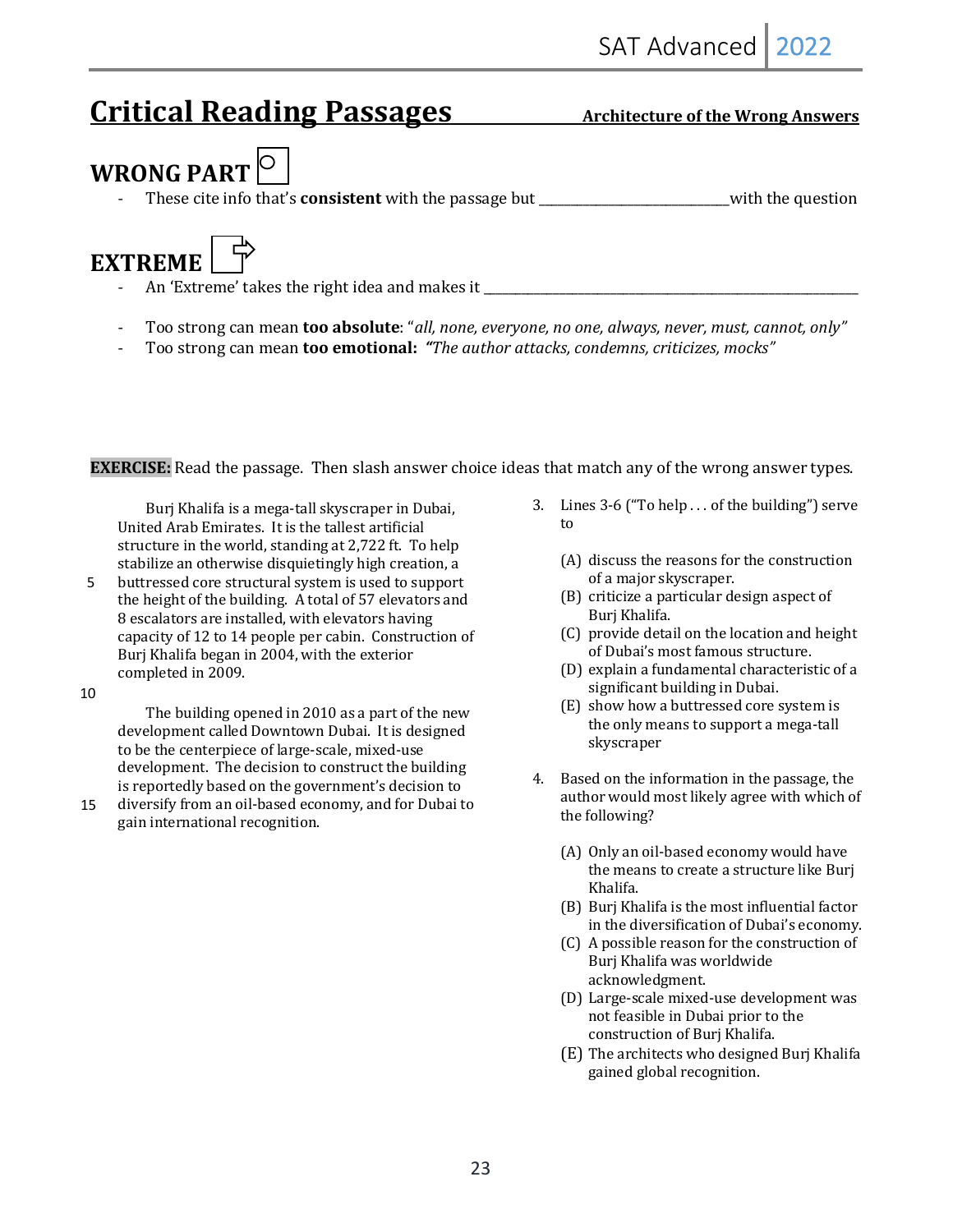# **Critical Reading Passages** Architecture of the Wrong Answers

# **WRONG PART** $\vert$ <sup>O</sup>

These cite info that's **consistent** with the passage but \_\_\_\_\_\_\_\_\_\_\_\_\_\_\_\_\_\_\_\_\_\_\_\_\_\_\_with the question



- An 'Extreme' takes the right idea and makes it \_\_\_\_\_\_\_\_\_\_\_\_\_\_\_\_\_\_\_\_\_\_\_\_\_\_\_\_\_\_\_\_\_
- Too strong can mean **too absolute**: "all, none, everyone, no one, always, never, must, cannot, only"
- Too strong can mean **too emotional:** "The *author attacks, condemns, criticizes, mocks"*

**EXERCISE:** Read the passage. Then slash answer choice ideas that match any of the wrong answer types.

Burj Khalifa is a mega-tall skyscraper in Dubai, United Arab Emirates. It is the tallest artificial structure in the world, standing at  $2,722$  ft. To help stabilize an otherwise disquietingly high creation, a

buttressed core structural system is used to support the height of the building. A total of 57 elevators and 8 escalators are installed, with elevators having capacity of 12 to 14 people per cabin. Construction of Burj Khalifa began in 2004, with the exterior completed in 2009. 5

10

The building opened in  $2010$  as a part of the new development called Downtown Dubai. It is designed to be the centerpiece of large-scale, mixed-use development. The decision to construct the building is reportedly based on the government's decision to

diversify from an oil-based economy, and for Dubai to gain international recognition. 15

- 3. Lines 3-6 ("To help ... of the building") serve to
	- (A) discuss the reasons for the construction of a major skyscraper.
	- (B) criticize a particular design aspect of Burj Khalifa.
	- (C) provide detail on the location and height of Dubai's most famous structure.
	- $(D)$  explain a fundamental characteristic of a significant building in Dubai.
	- (E) show how a buttressed core system is the only means to support a mega-tall skyscraper
- 4. Based on the information in the passage, the author would most likely agree with which of the following?
	- (A) Only an oil-based economy would have the means to create a structure like Burj Khalifa.
	- (B) Burj Khalifa is the most influential factor in the diversification of Dubai's economy.
	- (C) A possible reason for the construction of Burj Khalifa was worldwide acknowledgment.
	- (D) Large-scale mixed-use development was not feasible in Dubai prior to the construction of Burj Khalifa.
	- (E) The architects who designed Burj Khalifa gained global recognition.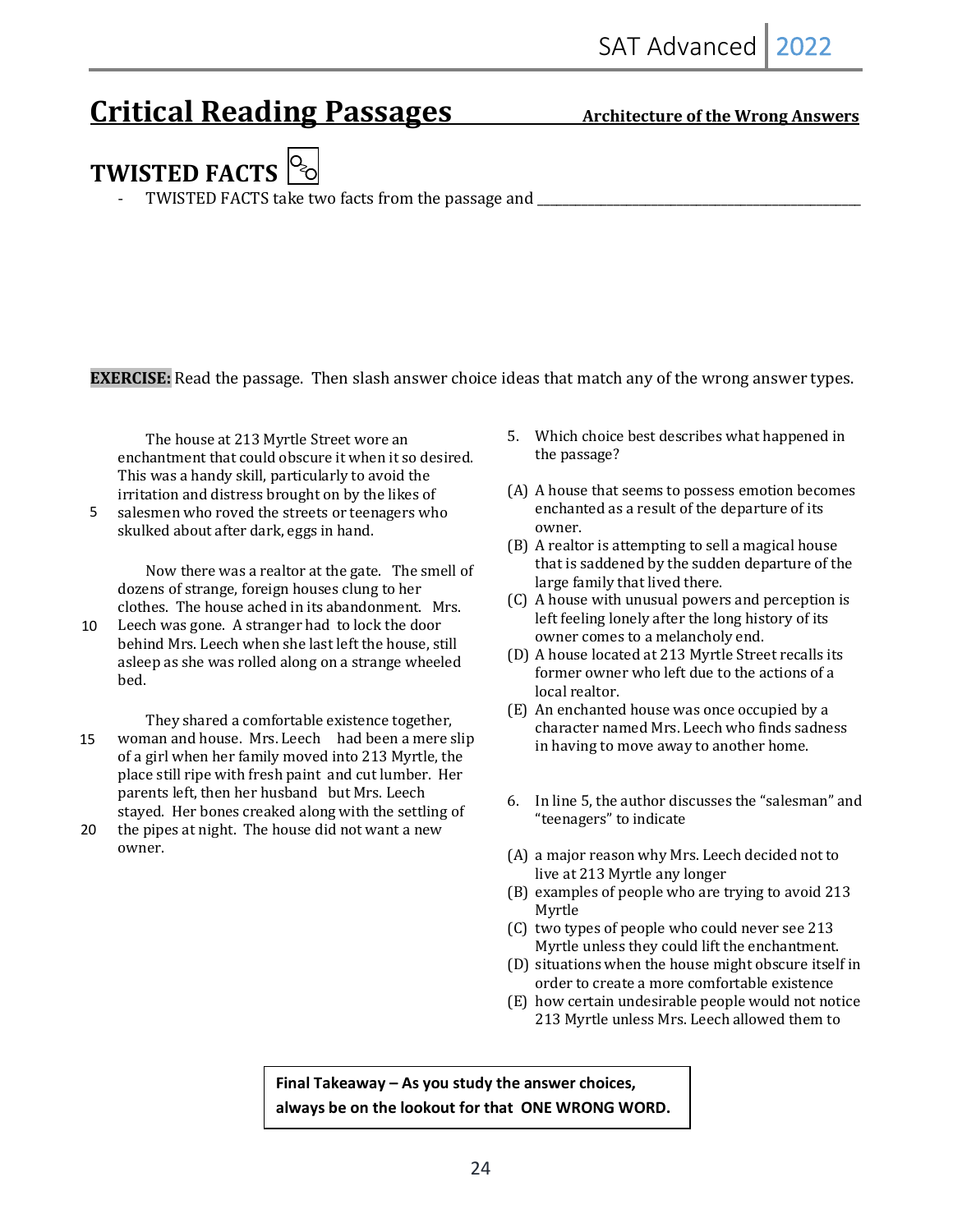# **Critical Reading Passages** Architecture of the Wrong Answers

# **TWISTED FACTS**  $\left|\frac{O_2}{O}\right|$

TWISTED FACTS take two facts from the passage and \_\_\_\_\_\_\_\_\_\_\_\_\_\_\_\_\_\_\_\_\_\_\_\_\_\_\_\_\_\_

**EXERCISE:** Read the passage. Then slash answer choice ideas that match any of the wrong answer types.

The house at 213 Myrtle Street wore an enchantment that could obscure it when it so desired. This was a handy skill, particularly to avoid the irritation and distress brought on by the likes of

salesmen who roved the streets or teenagers who skulked about after dark, eggs in hand. 5

Now there was a realtor at the gate. The smell of dozens of strange, foreign houses clung to her clothes. The house ached in its abandonment. Mrs.

- Leech was gone. A stranger had to lock the door behind Mrs. Leech when she last left the house, still asleep as she was rolled along on a strange wheeled bed. 10
- They shared a comfortable existence together, woman and house. Mrs. Leech had been a mere slip of a girl when her family moved into 213 Myrtle, the place still ripe with fresh paint and cut lumber. Her parents left, then her husband but Mrs. Leech stayed. Her bones creaked along with the settling of 15
- the pipes at night. The house did not want a new owner. 20
- 5. Which choice best describes what happened in the passage?
- (A) A house that seems to possess emotion becomes enchanted as a result of the departure of its owner.
- $(B)$  A realtor is attempting to sell a magical house that is saddened by the sudden departure of the large family that lived there.
- (C) A house with unusual powers and perception is left feeling lonely after the long history of its owner comes to a melancholy end.
- (D) A house located at 213 Myrtle Street recalls its former owner who left due to the actions of a local realtor.
- (E) An enchanted house was once occupied by a character named Mrs. Leech who finds sadness in having to move away to another home.
- 6. In line 5, the author discusses the "salesman" and "teenagers" to indicate
- (A) a major reason why Mrs. Leech decided not to live at 213 Myrtle any longer
- (B) examples of people who are trying to avoid 213 Myrtle
- (C) two types of people who could never see 213 Myrtle unless they could lift the enchantment.
- (D) situations when the house might obscure itself in order to create a more comfortable existence
- (E) how certain undesirable people would not notice 213 Myrtle unless Mrs. Leech allowed them to

**Final Takeaway – As you study the answer choices, always be on the lookout for that ONE WRONG WORD.**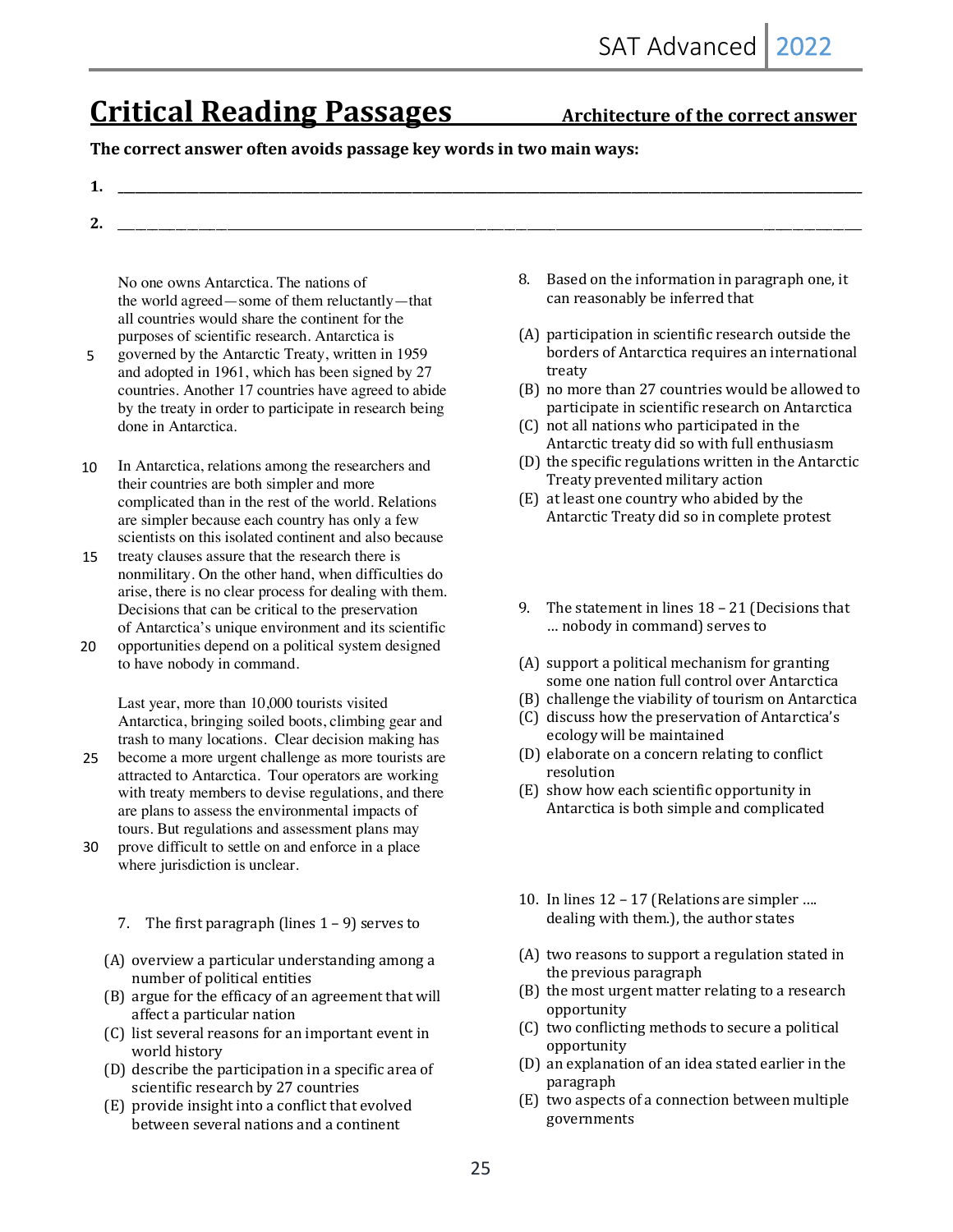# **Critical Reading Passages** Architecture of the correct answer

#### The correct answer often avoids passage key words in two main ways:

| -- |  |
|----|--|
|    |  |
|    |  |
|    |  |

**2.** \_\_\_\_\_\_\_\_\_\_\_\_\_\_\_\_\_\_\_\_\_\_\_\_\_\_\_\_\_\_\_\_\_\_\_\_\_\_\_\_\_\_\_\_\_\_\_\_\_\_\_\_\_\_\_\_\_\_\_\_\_\_\_\_\_\_\_\_\_\_\_\_\_\_\_\_\_\_\_\_\_\_\_\_\_\_\_\_\_\_\_\_\_\_\_\_\_\_\_\_\_\_\_\_\_\_\_\_\_\_\_\_\_\_\_\_\_\_\_\_\_\_\_\_\_\_\_\_\_

No one owns Antarctica. The nations of the world agreed—some of them reluctantly—that all countries would share the continent for the purposes of scientific research. Antarctica is

governed by the Antarctic Treaty, written in 1959 and adopted in 1961, which has been signed by 27 countries. Another 17 countries have agreed to abide by the treaty in order to participate in research being done in Antarctica. 5

In Antarctica, relations among the researchers and their countries are both simpler and more complicated than in the rest of the world. Relations are simpler because each country has only a few scientists on this isolated continent and also because 10

- treaty clauses assure that the research there is nonmilitary. On the other hand, when difficulties do arise, there is no clear process for dealing with them. Decisions that can be critical to the preservation of Antarctica's unique environment and its scientific 15
- opportunities depend on a political system designed to have nobody in command. 20

Last year, more than 10,000 tourists visited Antarctica, bringing soiled boots, climbing gear and trash to many locations. Clear decision making has

- become a more urgent challenge as more tourists are attracted to Antarctica. Tour operators are working with treaty members to devise regulations, and there are plans to assess the environmental impacts of tours. But regulations and assessment plans may 25
- prove difficult to settle on and enforce in a place where jurisdiction is unclear. 30
	- 7. The first paragraph (lines  $1 9$ ) serves to
	- (A) overview a particular understanding among a number of political entities
	- (B) argue for the efficacy of an agreement that will affect a particular nation
	- (C) list several reasons for an important event in world history
	- $(D)$  describe the participation in a specific area of scientific research by 27 countries
	- $(E)$  provide insight into a conflict that evolved between several nations and a continent
- 8. Based on the information in paragraph one, it can reasonably be inferred that
- (A) participation in scientific research outside the borders of Antarctica requires an international treaty
- (B) no more than 27 countries would be allowed to participate in scientific research on Antarctica
- (C) not all nations who participated in the Antarctic treaty did so with full enthusiasm
- (D) the specific regulations written in the Antarctic Treaty prevented military action
- (E) at least one country who abided by the Antarctic Treaty did so in complete protest
- 9. The statement in lines  $18 21$  (Decisions that ... nobody in command) serves to
- $(A)$  support a political mechanism for granting some one nation full control over Antarctica
- (B) challenge the viability of tourism on Antarctica
- (C) discuss how the preservation of Antarctica's ecology will be maintained
- (D) elaborate on a concern relating to conflict resolution
- (E) show how each scientific opportunity in Antarctica is both simple and complicated
- 10. In lines  $12 17$  (Relations are simpler .... dealing with them.), the author states
- $(A)$  two reasons to support a regulation stated in the previous paragraph
- (B) the most urgent matter relating to a research opportunity
- (C) two conflicting methods to secure a political opportunity
- (D) an explanation of an idea stated earlier in the paragraph
- (E) two aspects of a connection between multiple governments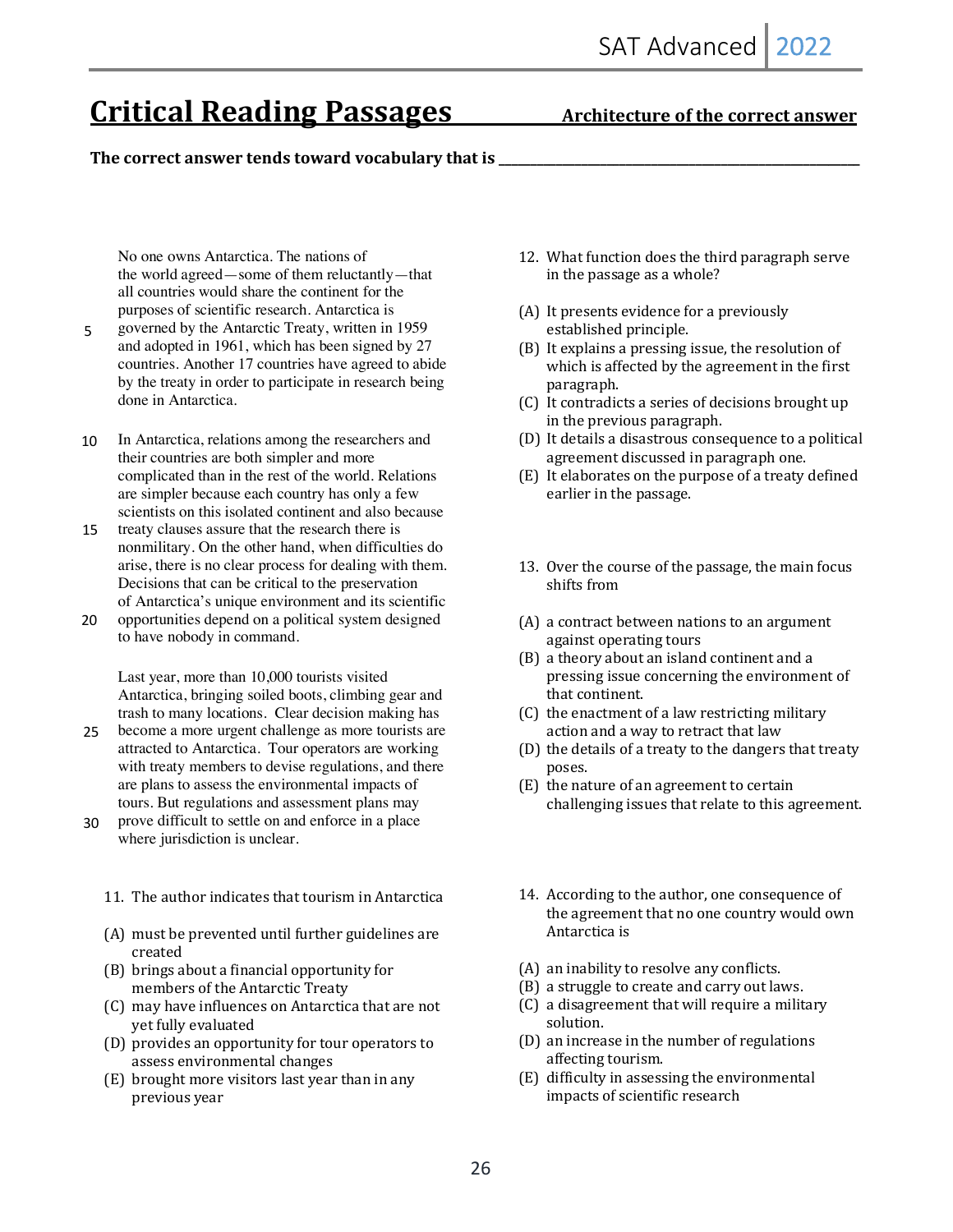# **Critical Reading Passages** Architecture of the correct answer

#### The correct answer tends toward vocabulary that is \_

No one owns Antarctica. The nations of the world agreed—some of them reluctantly—that all countries would share the continent for the purposes of scientific research. Antarctica is

- governed by the Antarctic Treaty, written in 1959 and adopted in 1961, which has been signed by 27 countries. Another 17 countries have agreed to abide by the treaty in order to participate in research being done in Antarctica. 5
- In Antarctica, relations among the researchers and their countries are both simpler and more complicated than in the rest of the world. Relations are simpler because each country has only a few scientists on this isolated continent and also because 10
- treaty clauses assure that the research there is nonmilitary. On the other hand, when difficulties do arise, there is no clear process for dealing with them. Decisions that can be critical to the preservation of Antarctica's unique environment and its scientific 15
- opportunities depend on a political system designed to have nobody in command. 20

Last year, more than 10,000 tourists visited Antarctica, bringing soiled boots, climbing gear and trash to many locations. Clear decision making has

- become a more urgent challenge as more tourists are attracted to Antarctica. Tour operators are working with treaty members to devise regulations, and there are plans to assess the environmental impacts of tours. But regulations and assessment plans may 25
- prove difficult to settle on and enforce in a place where jurisdiction is unclear. 30
	- 11. The author indicates that tourism in Antarctica
	- $(A)$  must be prevented until further guidelines are created
	- (B) brings about a financial opportunity for members of the Antarctic Treaty
	- (C) may have influences on Antarctica that are not yet fully evaluated
	- (D) provides an opportunity for tour operators to assess environmental changes
	- $(E)$  brought more visitors last year than in any previous year
- 12. What function does the third paragraph serve in the passage as a whole?
- (A) It presents evidence for a previously established principle.
- $(B)$  It explains a pressing issue, the resolution of which is affected by the agreement in the first paragraph.
- (C) It contradicts a series of decisions brought up in the previous paragraph.
- (D) It details a disastrous consequence to a political agreement discussed in paragraph one.
- $(E)$  It elaborates on the purpose of a treaty defined earlier in the passage.
- 13. Over the course of the passage, the main focus shifts from
- (A) a contract between nations to an argument against operating tours
- (B) a theory about an island continent and a pressing issue concerning the environment of that continent.
- $(C)$  the enactment of a law restricting military action and a way to retract that law
- (D) the details of a treaty to the dangers that treaty poses.
- (E) the nature of an agreement to certain challenging issues that relate to this agreement.
- 14. According to the author, one consequence of the agreement that no one country would own Antarctica is
- (A) an inability to resolve any conflicts.
- (B) a struggle to create and carry out laws.
- (C) a disagreement that will require a military solution.
- (D) an increase in the number of regulations affecting tourism.
- (E) difficulty in assessing the environmental impacts of scientific research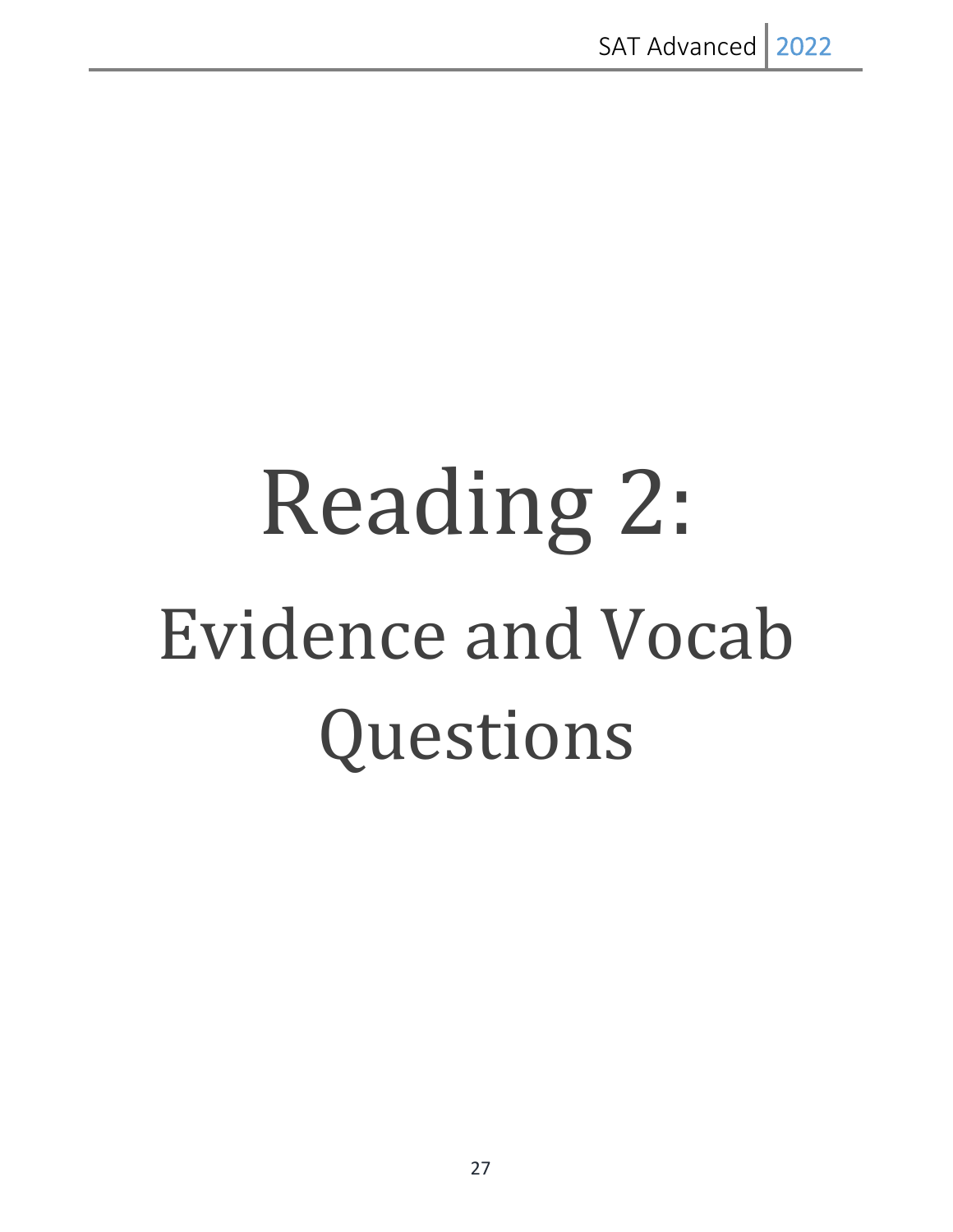# Reading 2: Evidence and Vocab Questions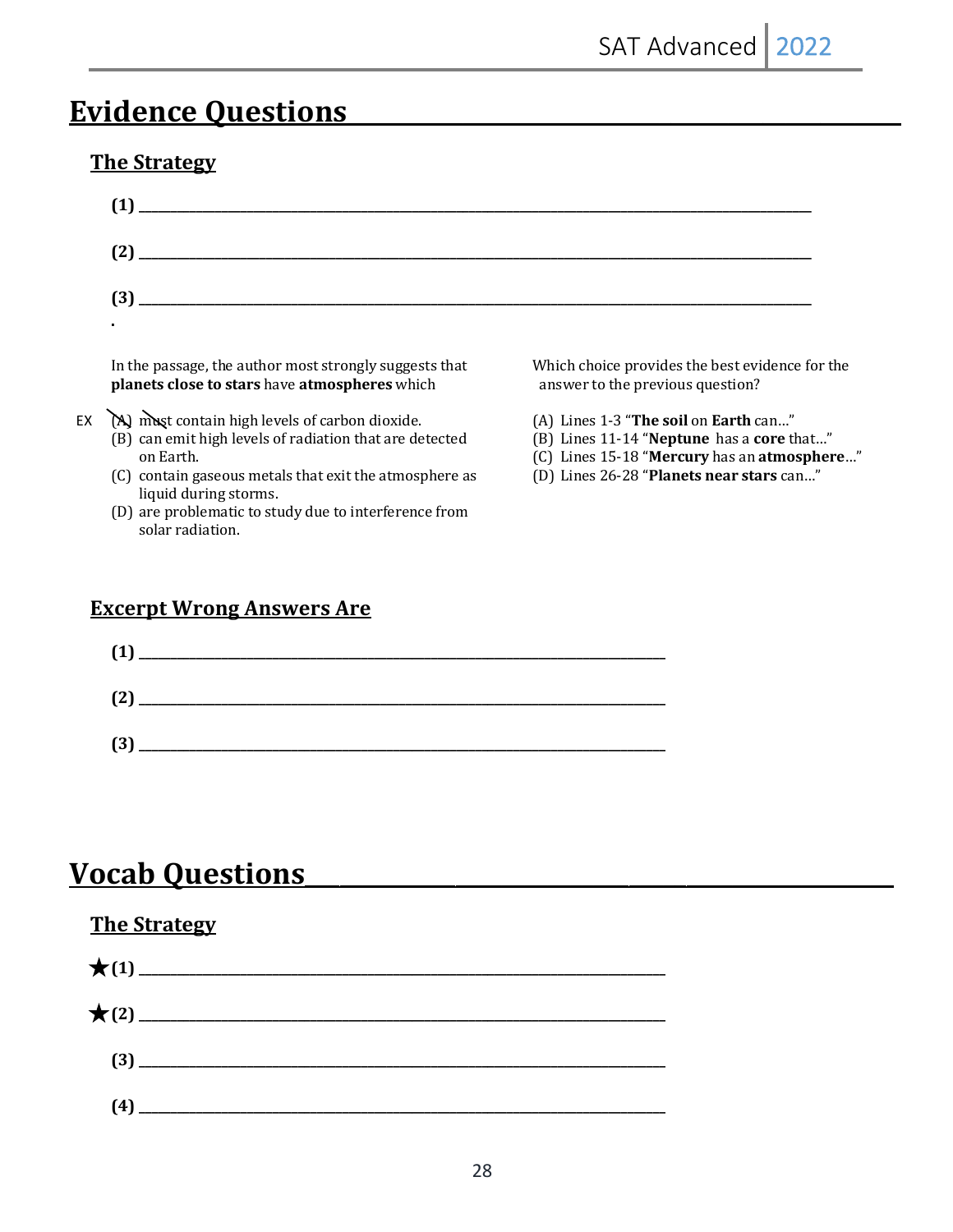# **Evidence Questions**

## **The Strategy**

EX

| (1)                                                                                                                                                                                                        |                                                                                                                                                                               |
|------------------------------------------------------------------------------------------------------------------------------------------------------------------------------------------------------------|-------------------------------------------------------------------------------------------------------------------------------------------------------------------------------|
| (2)                                                                                                                                                                                                        |                                                                                                                                                                               |
| (3)                                                                                                                                                                                                        |                                                                                                                                                                               |
|                                                                                                                                                                                                            |                                                                                                                                                                               |
| In the passage, the author most strongly suggests that<br>planets close to stars have atmospheres which                                                                                                    | Which choice provides the best evidence for the<br>answer to the previous question?                                                                                           |
| (A) must contain high levels of carbon dioxide.<br>(B) can emit high levels of radiation that are detected<br>on Earth.<br>(C) contain gaseous metals that exit the atmosphere as<br>liquid during storms. | (A) Lines 1-3 "The soil on Earth can"<br>(B) Lines 11-14 "Neptune has a core that"<br>(C) Lines 15-18 "Mercury has an atmosphere"<br>(D) Lines 26-28 "Planets near stars can" |

(D) are problematic to study due to interference from solar radiation.

## **Excerpt Wrong Answers Are**



# **Vocab Questions**

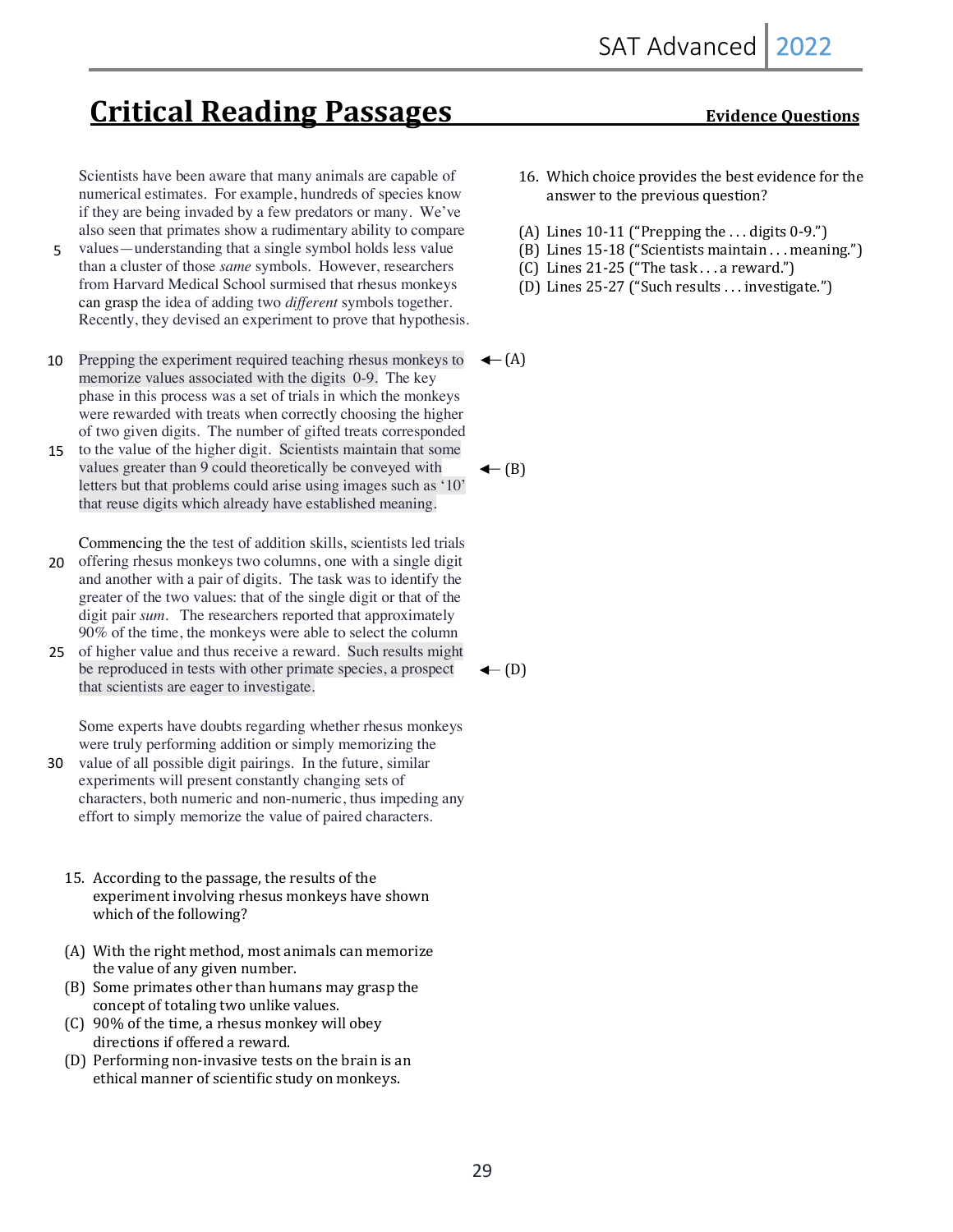# **Critical Reading Passages** Evidence Questions

Scientists have been aware that many animals are capable of numerical estimates. For example, hundreds of species know if they are being invaded by a few predators or many. We've also seen that primates show a rudimentary ability to compare

- values—understanding that a single symbol holds less value than a cluster of those *same* symbols. However, researchers from Harvard Medical School surmised that rhesus monkeys can grasp the idea of adding two *different* symbols together. Recently, they devised an experiment to prove that hypothesis. 5
- Prepping the experiment required teaching rhesus monkeys to memorize values associated with the digits 0-9. The key phase in this process was a set of trials in which the monkeys were rewarded with treats when correctly choosing the higher of two given digits. The number of gifted treats corresponded 10
- 15 to the value of the higher digit. Scientists maintain that some values greater than 9 could theoretically be conveyed with letters but that problems could arise using images such as '10' that reuse digits which already have established meaning.

Commencing the the test of addition skills, scientists led trials 20 offering rhesus monkeys two columns, one with a single digit and another with a pair of digits. The task was to identify the greater of the two values: that of the single digit or that of the digit pair *sum*. The researchers reported that approximately

90% of the time, the monkeys were able to select the column 25 of higher value and thus receive a reward. Such results might be reproduced in tests with other primate species, a prospect that scientists are eager to investigate.

Some experts have doubts regarding whether rhesus monkeys were truly performing addition or simply memorizing the

- 30 value of all possible digit pairings. In the future, similar experiments will present constantly changing sets of characters, both numeric and non-numeric, thus impeding any effort to simply memorize the value of paired characters.
	- 15. According to the passage, the results of the experiment involving rhesus monkeys have shown which of the following?
	- $(A)$  With the right method, most animals can memorize the value of any given number.
	- (B) Some primates other than humans may grasp the concept of totaling two unlike values.
	- (C) 90% of the time, a rhesus monkey will obey directions if offered a reward.
	- (D) Performing non-invasive tests on the brain is an ethical manner of scientific study on monkeys.

- 16. Which choice provides the best evidence for the answer to the previous question?
- (A) Lines  $10-11$  ("Prepping the ... digits  $0-9$ .")
- (B) Lines 15-18 ("Scientists maintain . . . meaning.")
- $(C)$  Lines 21-25 ("The task . . . a reward.")
- (D) Lines 25-27 ("Such results . . . investigate.")

 $\leftarrow(A)$ 

 $\leftarrow$  (B)

 $\leftarrow$  (D)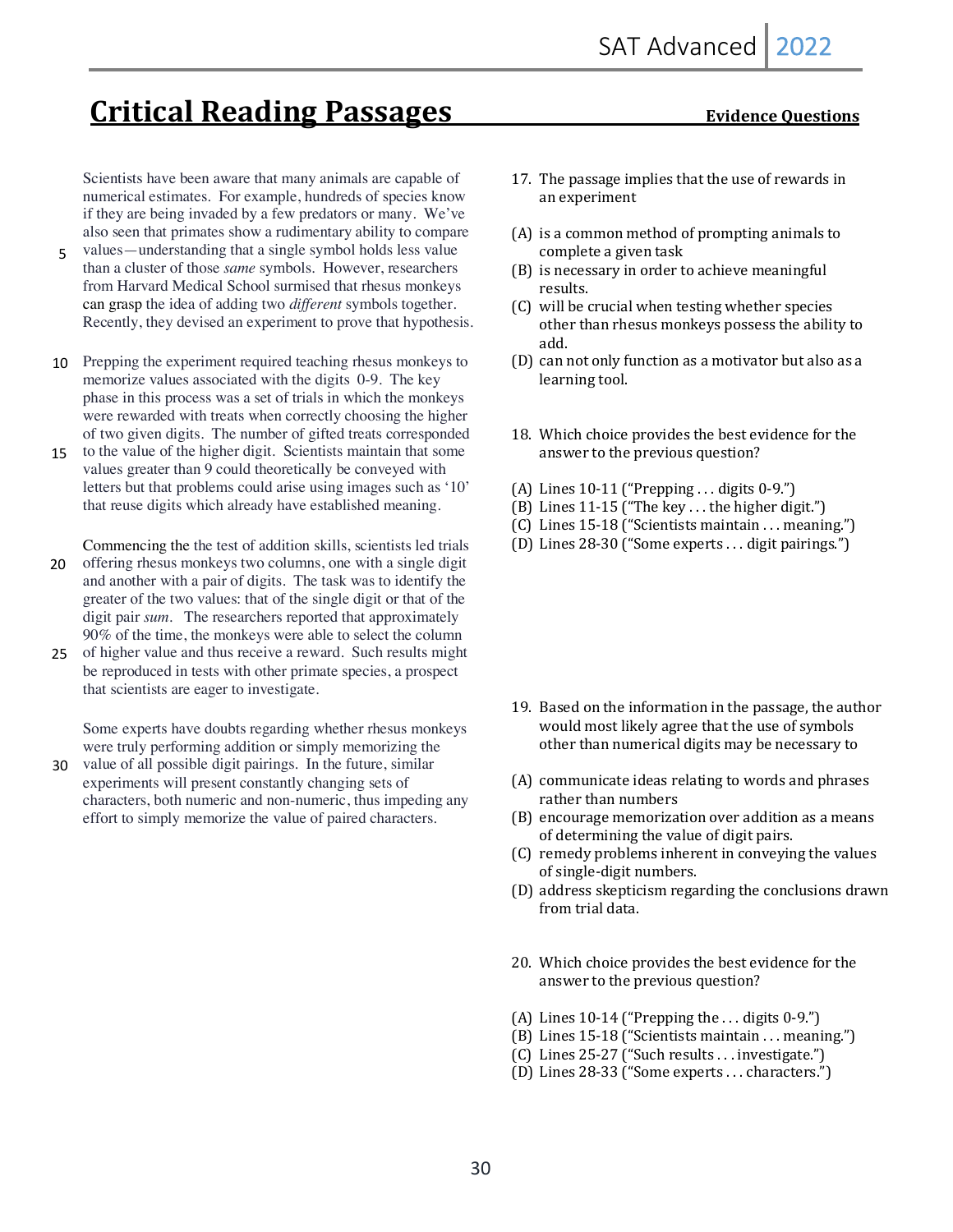# **Critical Reading Passages** *Critical Reading Passages*

Scientists have been aware that many animals are capable of numerical estimates. For example, hundreds of species know if they are being invaded by a few predators or many. We've also seen that primates show a rudimentary ability to compare

- values—understanding that a single symbol holds less value than a cluster of those *same* symbols. However, researchers from Harvard Medical School surmised that rhesus monkeys can grasp the idea of adding two *different* symbols together. Recently, they devised an experiment to prove that hypothesis. 5
- 10 Prepping the experiment required teaching rhesus monkeys to memorize values associated with the digits 0-9. The key phase in this process was a set of trials in which the monkeys were rewarded with treats when correctly choosing the higher of two given digits. The number of gifted treats corresponded
- to the value of the higher digit. Scientists maintain that some values greater than 9 could theoretically be conveyed with letters but that problems could arise using images such as '10' that reuse digits which already have established meaning. 15

Commencing the the test of addition skills, scientists led trials offering rhesus monkeys two columns, one with a single digit and another with a pair of digits. The task was to identify the greater of the two values: that of the single digit or that of the digit pair *sum*. The researchers reported that approximately 90% of the time, the monkeys were able to select the column 20

25 of higher value and thus receive a reward. Such results might be reproduced in tests with other primate species, a prospect that scientists are eager to investigate.

Some experts have doubts regarding whether rhesus monkeys were truly performing addition or simply memorizing the

30 value of all possible digit pairings. In the future, similar experiments will present constantly changing sets of characters, both numeric and non-numeric, thus impeding any effort to simply memorize the value of paired characters.

- 17. The passage implies that the use of rewards in an experiment
- $(A)$  is a common method of prompting animals to complete a given task
- (B) is necessary in order to achieve meaningful results.
- (C) will be crucial when testing whether species other than rhesus monkeys possess the ability to add.
- (D) can not only function as a motivator but also as a learning tool.
- 18. Which choice provides the best evidence for the answer to the previous question?
- (A) Lines  $10-11$  ("Prepping ... digits  $0-9$ .")
- $(B)$  Lines 11-15 ("The key . . . the higher digit.")
- (C) Lines 15-18 ("Scientists maintain . . . meaning.")
- (D) Lines  $28-30$  ("Some experts ... digit pairings.")

- 19. Based on the information in the passage, the author would most likely agree that the use of symbols other than numerical digits may be necessary to
- (A) communicate ideas relating to words and phrases rather than numbers
- (B) encourage memorization over addition as a means of determining the value of digit pairs.
- (C) remedy problems inherent in conveying the values of single-digit numbers.
- (D) address skepticism regarding the conclusions drawn from trial data.
- 20. Which choice provides the best evidence for the answer to the previous question?
- (A) Lines  $10-14$  ("Prepping the ... digits  $0-9$ .")
- (B) Lines  $15-18$  ("Scientists maintain . . . meaning.")
- $(C)$  Lines 25-27 ("Such results ... investigate.")
- (D) Lines 28-33 ("Some experts ... characters.")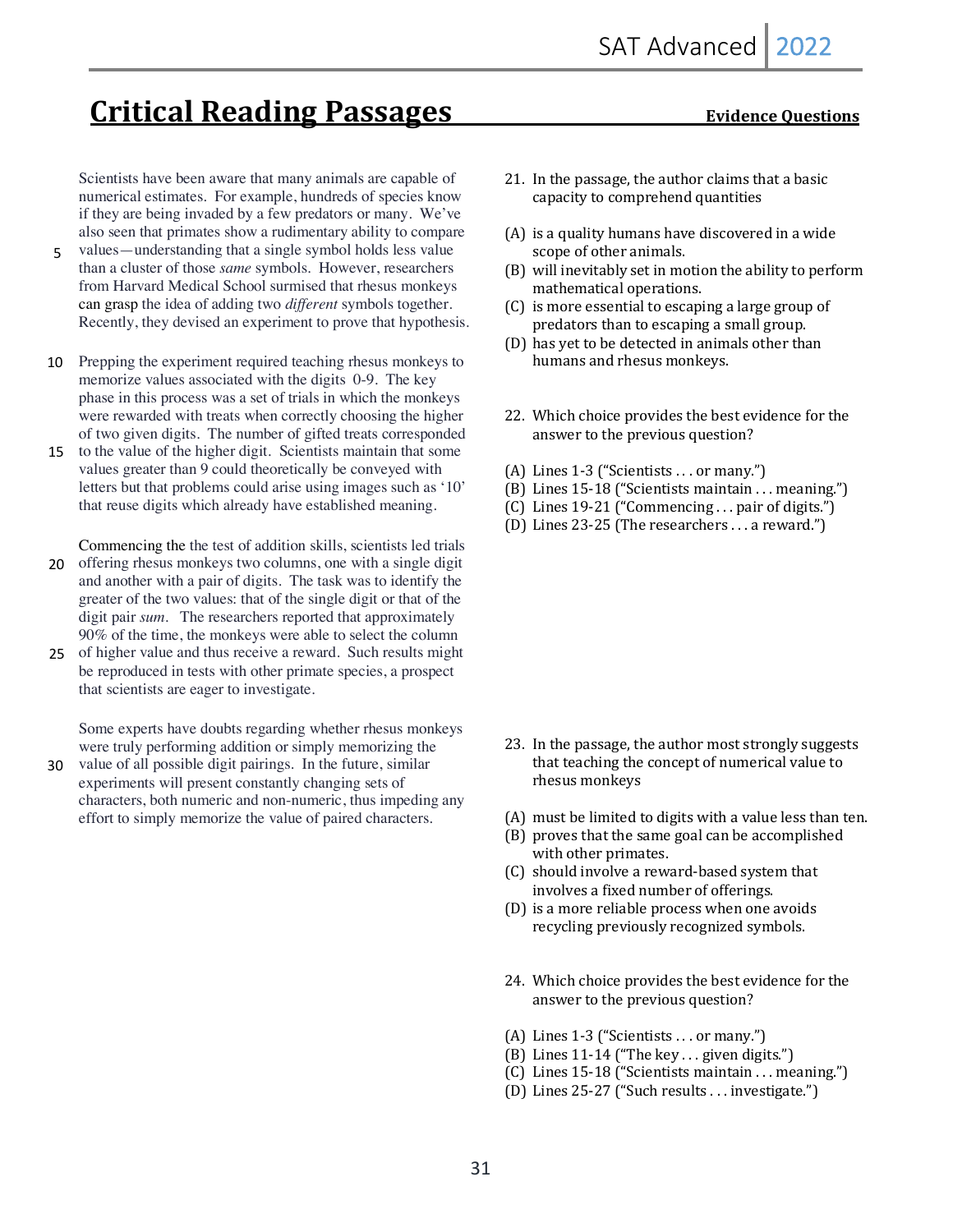# **Critical Reading Passages** *Critical Reading Passages*

Scientists have been aware that many animals are capable of numerical estimates. For example, hundreds of species know if they are being invaded by a few predators or many. We've also seen that primates show a rudimentary ability to compare

- values—understanding that a single symbol holds less value than a cluster of those *same* symbols. However, researchers from Harvard Medical School surmised that rhesus monkeys can grasp the idea of adding two *different* symbols together. Recently, they devised an experiment to prove that hypothesis. 5
- 10 Prepping the experiment required teaching rhesus monkeys to memorize values associated with the digits 0-9. The key phase in this process was a set of trials in which the monkeys were rewarded with treats when correctly choosing the higher of two given digits. The number of gifted treats corresponded
- 15 to the value of the higher digit. Scientists maintain that some values greater than 9 could theoretically be conveyed with letters but that problems could arise using images such as '10' that reuse digits which already have established meaning.

Commencing the the test of addition skills, scientists led trials 20 offering rhesus monkeys two columns, one with a single digit and another with a pair of digits. The task was to identify the greater of the two values: that of the single digit or that of the digit pair *sum*. The researchers reported that approximately 90% of the time, the monkeys were able to select the column

25 of higher value and thus receive a reward. Such results might be reproduced in tests with other primate species, a prospect that scientists are eager to investigate.

Some experts have doubts regarding whether rhesus monkeys were truly performing addition or simply memorizing the

30 value of all possible digit pairings. In the future, similar experiments will present constantly changing sets of characters, both numeric and non-numeric, thus impeding any effort to simply memorize the value of paired characters.

- 21. In the passage, the author claims that a basic capacity to comprehend quantities
- $(A)$  is a quality humans have discovered in a wide scope of other animals.
- $(B)$  will inevitably set in motion the ability to perform mathematical operations.
- (C) is more essential to escaping a large group of predators than to escaping a small group.
- (D) has yet to be detected in animals other than humans and rhesus monkeys.
- 22. Which choice provides the best evidence for the answer to the previous question?
- (A) Lines  $1-3$  ("Scientists . . . or many.")
- (B) Lines  $15-18$  ("Scientists maintain . . . meaning.")
- (C) Lines 19-21 ("Commencing . . . pair of digits.")
- (D) Lines  $23-25$  (The researchers ... a reward.")

- 23. In the passage, the author most strongly suggests that teaching the concept of numerical value to rhesus monkeys
- (A) must be limited to digits with a value less than ten.
- $(B)$  proves that the same goal can be accomplished with other primates.
- (C) should involve a reward-based system that involves a fixed number of offerings.
- $(D)$  is a more reliable process when one avoids recycling previously recognized symbols.
- 24. Which choice provides the best evidence for the answer to the previous question?
- (A) Lines 1-3 ("Scientists ... or many.")
- (B) Lines  $11-14$  ("The key ... given digits.")
- $(C)$  Lines 15-18 ("Scientists maintain . . . meaning.")
- (D) Lines 25-27 ("Such results . . . investigate.")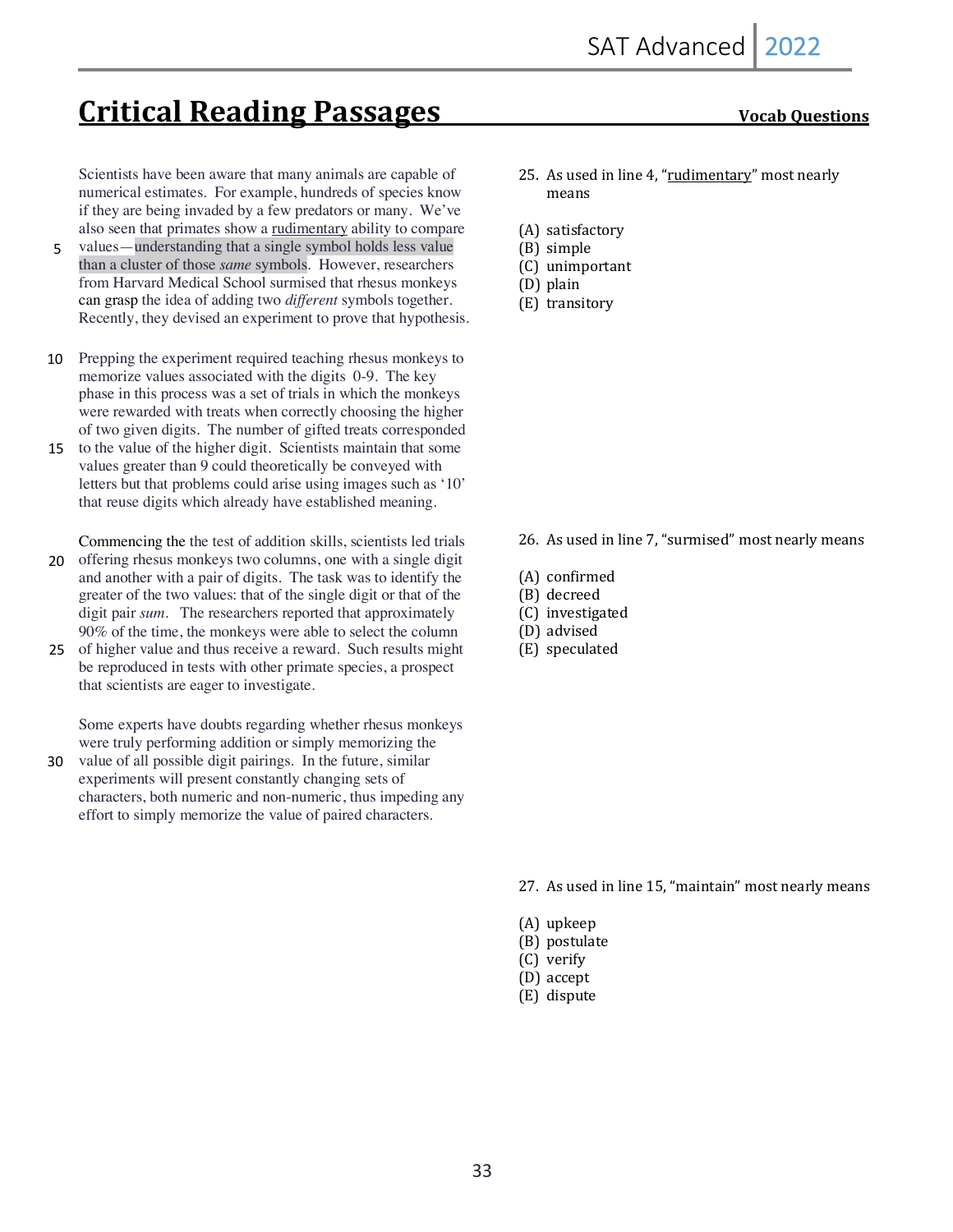# **Critical Reading Passages Vocab Questions**

Scientists have been aware that many animals are capable of numerical estimates. For example, hundreds of species know if they are being invaded by a few predators or many. We've also seen that primates show a rudimentary ability to compare

- values—understanding that a single symbol holds less value than a cluster of those *same* symbols. However, researchers from Harvard Medical School surmised that rhesus monkeys can grasp the idea of adding two *different* symbols together. Recently, they devised an experiment to prove that hypothesis. 5
- 10 Prepping the experiment required teaching rhesus monkeys to memorize values associated with the digits 0-9. The key phase in this process was a set of trials in which the monkeys were rewarded with treats when correctly choosing the higher of two given digits. The number of gifted treats corresponded
- 15 to the value of the higher digit. Scientists maintain that some values greater than 9 could theoretically be conveyed with letters but that problems could arise using images such as '10' that reuse digits which already have established meaning.

Commencing the the test of addition skills, scientists led trials offering rhesus monkeys two columns, one with a single digit and another with a pair of digits. The task was to identify the greater of the two values: that of the single digit or that of the digit pair *sum*. The researchers reported that approximately 20

90% of the time, the monkeys were able to select the column 25 of higher value and thus receive a reward. Such results might be reproduced in tests with other primate species, a prospect that scientists are eager to investigate.

Some experts have doubts regarding whether rhesus monkeys were truly performing addition or simply memorizing the

30 value of all possible digit pairings. In the future, similar experiments will present constantly changing sets of characters, both numeric and non-numeric, thus impeding any effort to simply memorize the value of paired characters.

- 25. As used in line 4, "rudimentary" most nearly means
- (A) satisfactory
- (B) simple
- (C) unimportant
- (D) plain
- (E) transitory

- 26. As used in line 7, "surmised" most nearly means
- (A) confirmed
- (B) decreed
- (C) investigated
- (D) advised
- (E) speculated

- 27. As used in line 15, "maintain" most nearly means
- (A) upkeep
- (B) postulate
- (C) verify
- (D) accept
- (E) dispute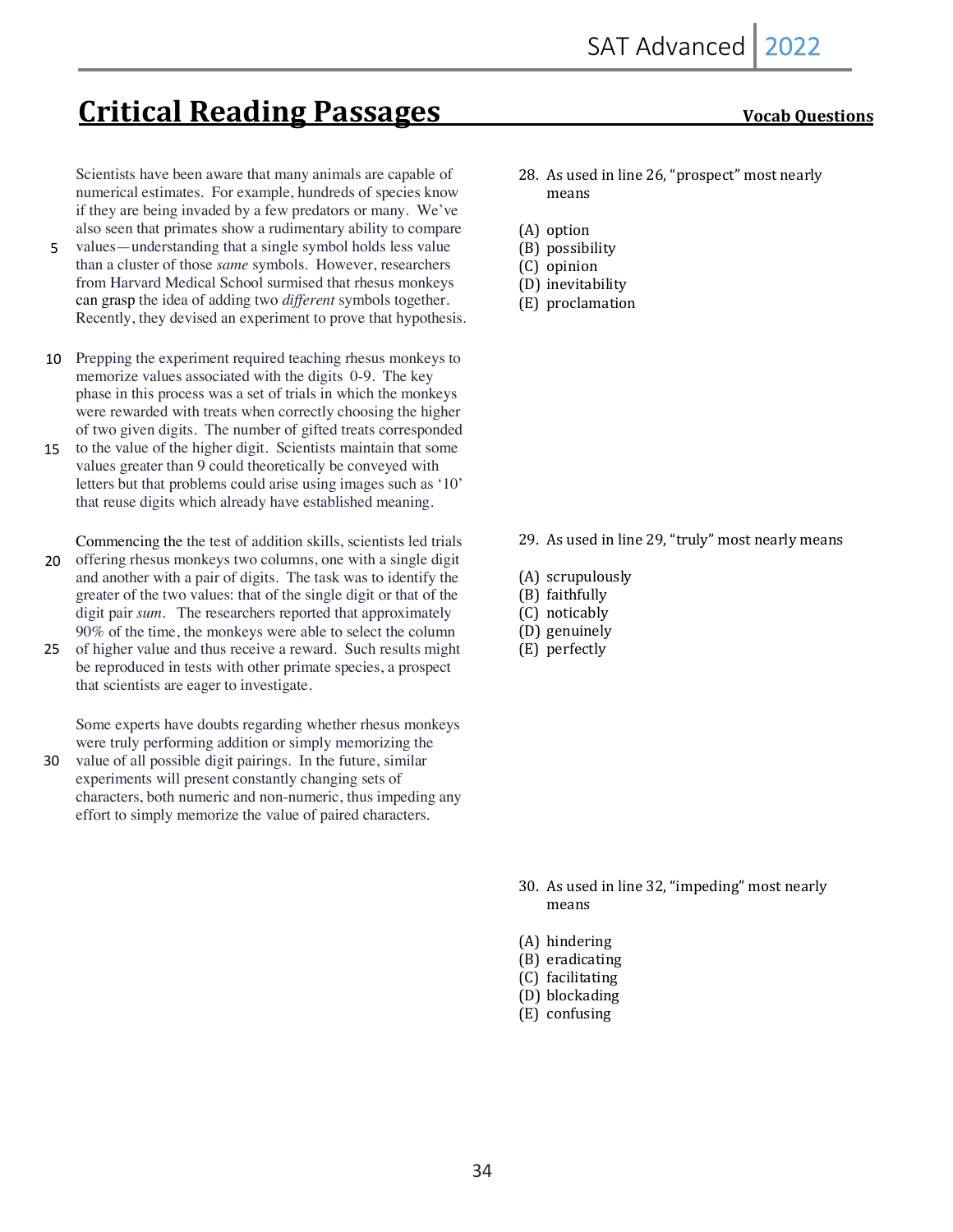# **Critical Reading Passages Critical Reading Passages CRIP CONDING THEORY CONDING THEORY OF THEORY OF THEORY CONDING THEORY OF THEORY OF THEORY OF THEORY OF THEORY OF THEORY OF THEORY OF THEORY OF THEORY OF THEORY OF TH**

Scientists have been aware that many animals are capable of numerical estimates. For example, hundreds of species know if they are being invaded by a few predators or many. We've also seen that primates show a rudimentary ability to compare

- values—understanding that a single symbol holds less value than a cluster of those *same* symbols. However, researchers from Harvard Medical School surmised that rhesus monkeys can grasp the idea of adding two *different* symbols together. Recently, they devised an experiment to prove that hypothesis. 5
- 10 Prepping the experiment required teaching rhesus monkeys to memorize values associated with the digits 0-9. The key phase in this process was a set of trials in which the monkeys were rewarded with treats when correctly choosing the higher of two given digits. The number of gifted treats corresponded
- 15 to the value of the higher digit. Scientists maintain that some values greater than 9 could theoretically be conveyed with letters but that problems could arise using images such as '10' that reuse digits which already have established meaning.

Commencing the the test of addition skills, scientists led trials offering rhesus monkeys two columns, one with a single digit 20

- and another with a pair of digits. The task was to identify the greater of the two values: that of the single digit or that of the digit pair *sum*. The researchers reported that approximately 90% of the time, the monkeys were able to select the column
- of higher value and thus receive a reward. Such results might be reproduced in tests with other primate species, a prospect that scientists are eager to investigate. 25

Some experts have doubts regarding whether rhesus monkeys were truly performing addition or simply memorizing the

value of all possible digit pairings. In the future, similar experiments will present constantly changing sets of characters, both numeric and non-numeric, thus impeding any effort to simply memorize the value of paired characters. 30

- 28. As used in line 26, "prospect" most nearly means
- (A) option
- (B) possibility
- (C) opinion
- (D) inevitability
- (E) proclamation

- 29. As used in line 29, "truly" most nearly means
- (A) scrupulously
- (B) faithfully
- (C) noticably
- (D) genuinely
- (E) perfectly

- 30. As used in line 32, "impeding" most nearly means
- (A) hindering
- (B) eradicating
- (C) facilitating
- (D) blockading
- (E) confusing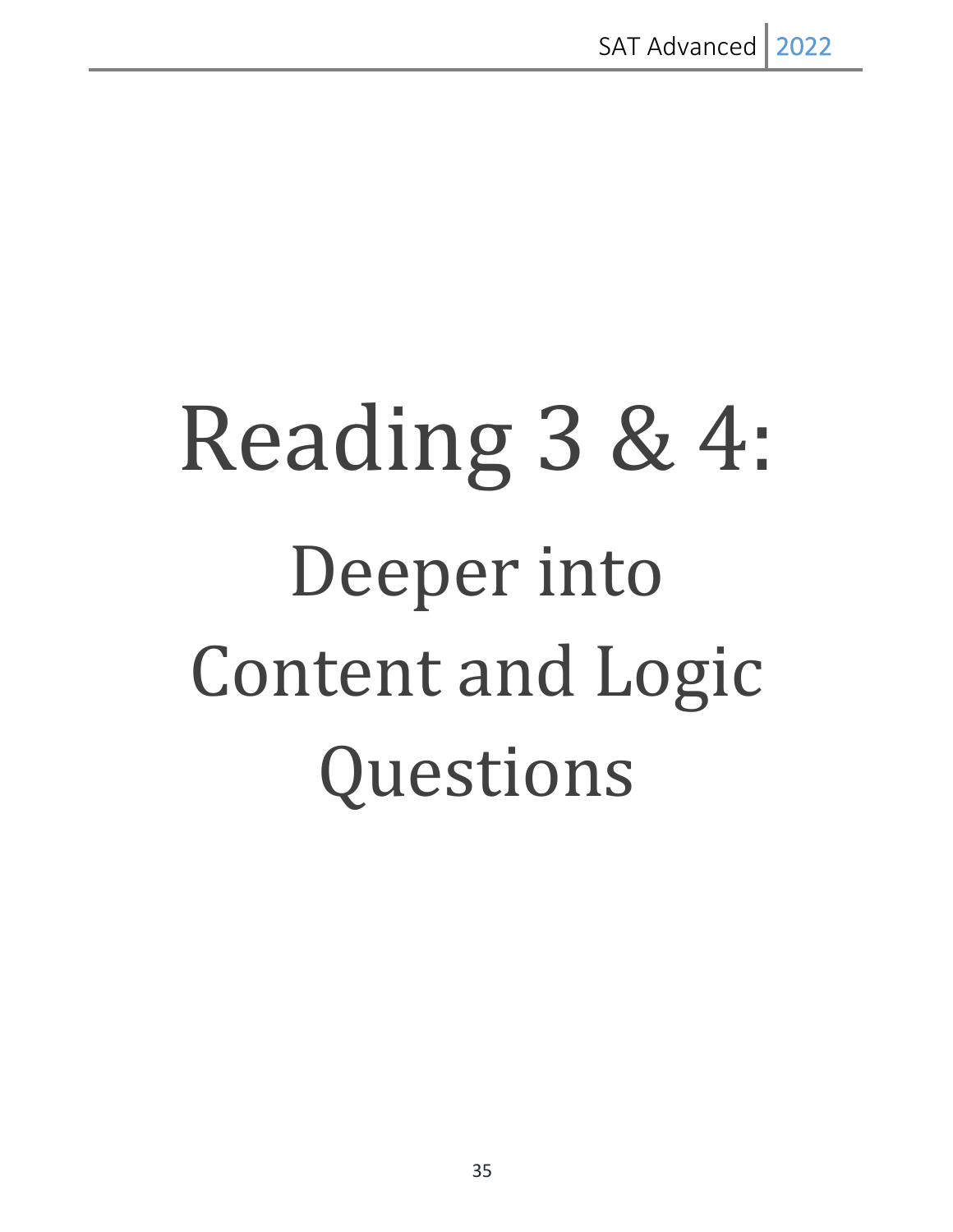# Reading 3 & 4: Deeper into Content and Logic Questions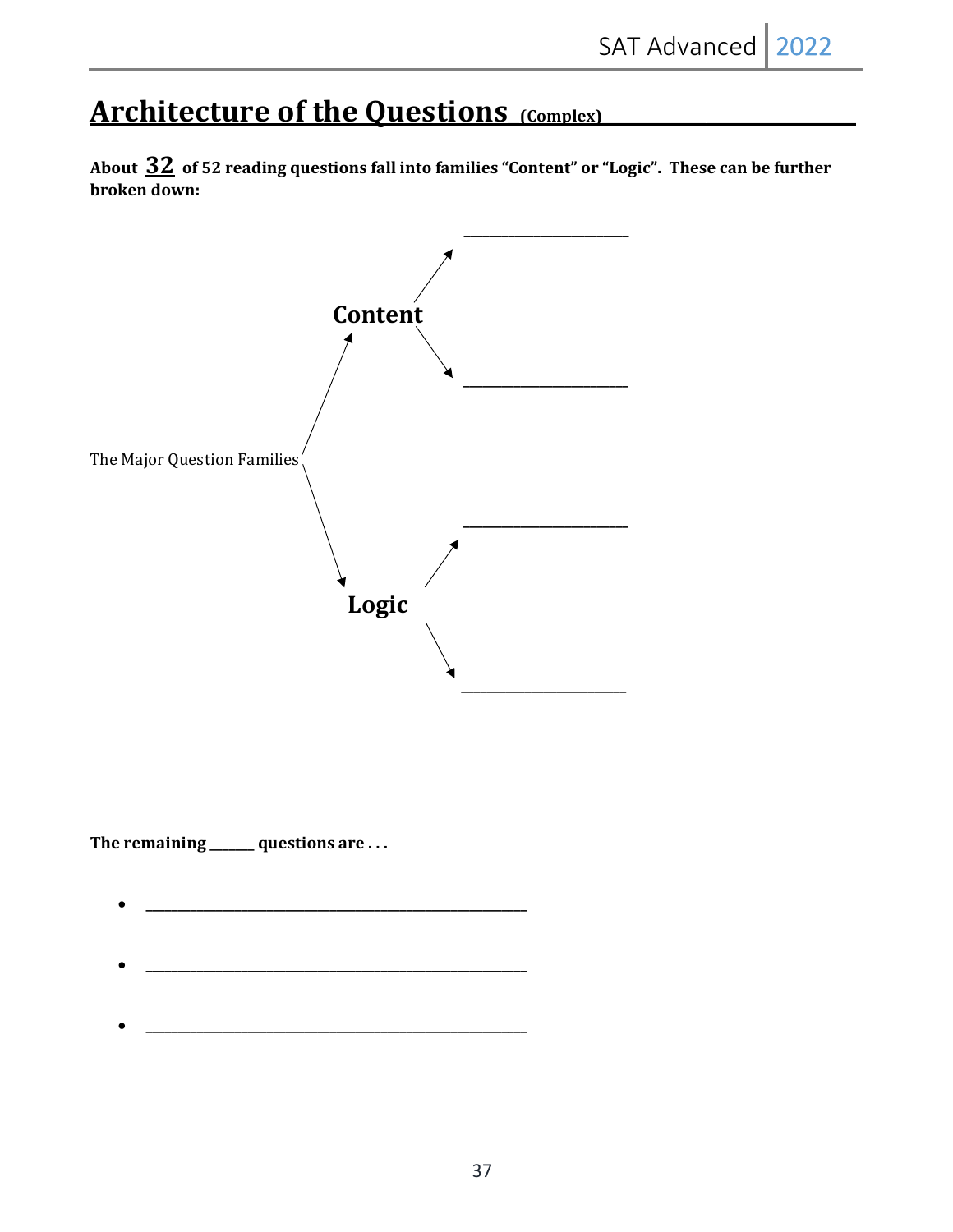# **Architecture of the Questions (Complex)**

About  $32$  of 52 reading questions fall into families "Content" or "Logic". These can be further **broken** down:

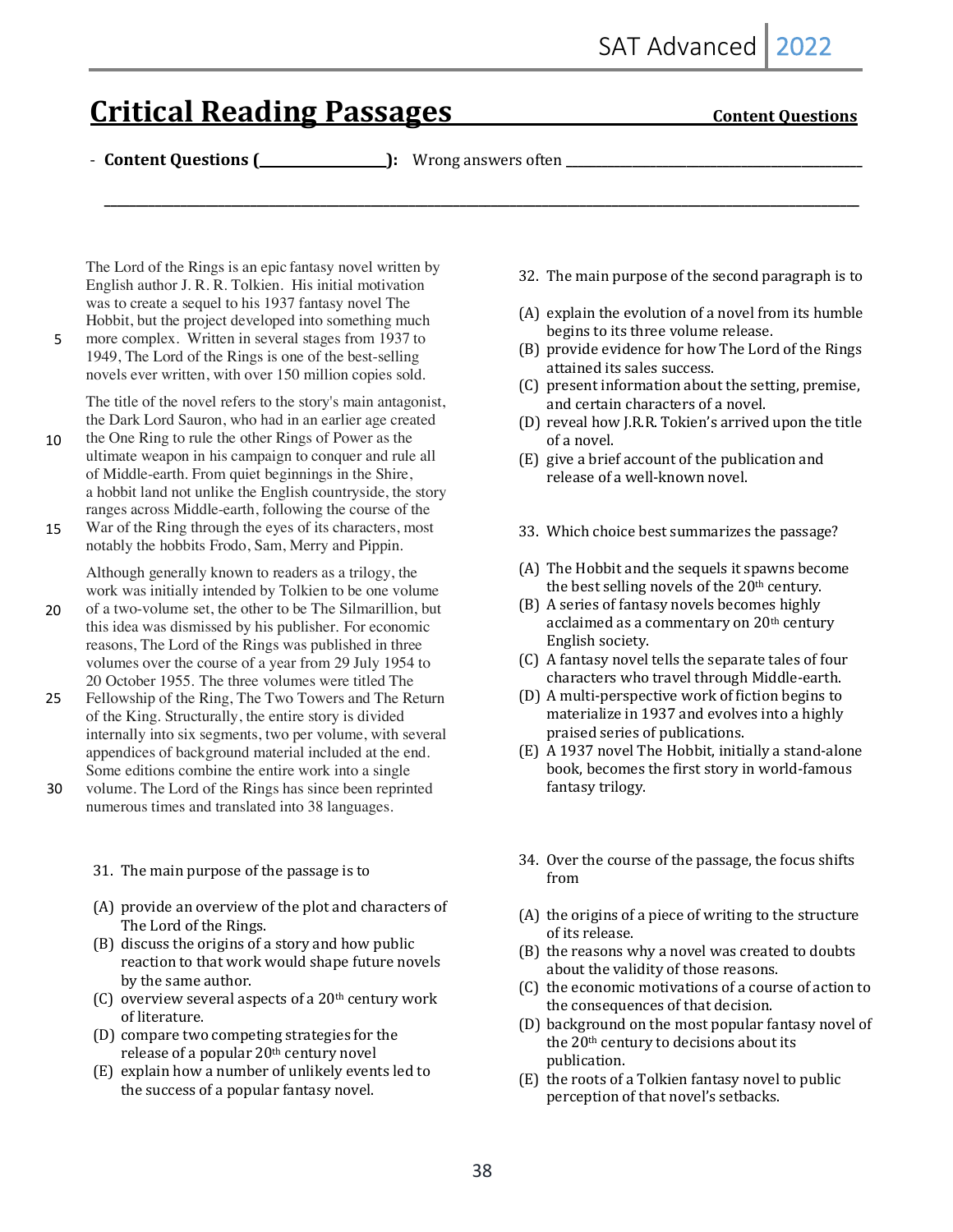# **Critical Reading Passages Content Questions**

- **Content Questions (\_\_\_\_\_\_\_\_\_\_\_\_\_\_\_\_\_\_\_\_):** Wrong answers often **\_\_\_\_\_\_\_\_\_\_\_\_\_\_\_\_\_\_\_\_\_\_\_\_\_\_\_\_\_\_\_\_\_\_\_\_\_\_\_\_\_\_\_\_\_\_\_\_\_**

**\_\_\_\_\_\_\_\_\_\_\_\_\_\_\_\_\_\_\_\_\_\_\_\_\_\_\_\_\_\_\_\_\_\_\_\_\_\_\_\_\_\_\_\_\_\_\_\_\_\_\_\_\_\_\_\_\_\_\_\_\_\_\_\_\_\_\_\_\_\_\_\_\_\_\_\_\_\_\_\_\_\_\_\_\_\_\_\_\_\_\_\_\_\_\_\_\_\_\_\_\_\_\_\_\_\_\_\_\_\_\_\_\_\_\_\_\_\_\_**

The Lord of the Rings is an epic fantasy novel written by English author J. R. R. Tolkien. His initial motivation was to create a sequel to his 1937 fantasy novel The Hobbit, but the project developed into something much

more complex. Written in several stages from 1937 to 1949, The Lord of the Rings is one of the best-selling novels ever written, with over 150 million copies sold. 5

The title of the novel refers to the story's main antagonist, the Dark Lord Sauron, who had in an earlier age created

- the One Ring to rule the other Rings of Power as the ultimate weapon in his campaign to conquer and rule all of Middle-earth. From quiet beginnings in the Shire, a hobbit land not unlike the English countryside, the story ranges across Middle-earth, following the course of the 10
- War of the Ring through the eyes of its characters, most notably the hobbits Frodo, Sam, Merry and Pippin. 15

Although generally known to readers as a trilogy, the work was initially intended by Tolkien to be one volume

- of a two-volume set, the other to be The Silmarillion, but this idea was dismissed by his publisher. For economic reasons, The Lord of the Rings was published in three volumes over the course of a year from 29 July 1954 to 20 October 1955. The three volumes were titled The 20
- Fellowship of the Ring, The Two Towers and The Return of the King. Structurally, the entire story is divided internally into six segments, two per volume, with several appendices of background material included at the end. Some editions combine the entire work into a single 25

volume. The Lord of the Rings has since been reprinted numerous times and translated into 38 languages. 30

- 31. The main purpose of the passage is to
- (A) provide an overview of the plot and characters of The Lord of the Rings.
- $(B)$  discuss the origins of a story and how public reaction to that work would shape future novels by the same author.
- (C) overview several aspects of a  $20<sup>th</sup>$  century work of literature.
- (D) compare two competing strategies for the release of a popular 20<sup>th</sup> century novel
- (E) explain how a number of unlikely events led to the success of a popular fantasy novel.
- 32. The main purpose of the second paragraph is to
- $(A)$  explain the evolution of a novel from its humble begins to its three volume release.
- (B) provide evidence for how The Lord of the Rings attained its sales success.
- $(C)$  present information about the setting, premise, and certain characters of a novel.
- (D) reveal how J.R.R. Tokien's arrived upon the title of a novel.
- $(E)$  give a brief account of the publication and release of a well-known novel.
- 33. Which choice best summarizes the passage?
- (A) The Hobbit and the sequels it spawns become the best selling novels of the  $20<sup>th</sup>$  century.
- (B) A series of fantasy novels becomes highly acclaimed as a commentary on 20<sup>th</sup> century English society.
- (C) A fantasy novel tells the separate tales of four characters who travel through Middle-earth.
- (D) A multi-perspective work of fiction begins to materialize in 1937 and evolves into a highly praised series of publications.
- (E) A 1937 novel The Hobbit, initially a stand-alone book, becomes the first story in world-famous fantasy trilogy.
- 34. Over the course of the passage, the focus shifts from
- $(A)$  the origins of a piece of writing to the structure of its release.
- $(B)$  the reasons why a novel was created to doubts about the validity of those reasons.
- (C) the economic motivations of a course of action to the consequences of that decision.
- (D) background on the most popular fantasy novel of the  $20<sup>th</sup>$  century to decisions about its publication.
- $(E)$  the roots of a Tolkien fantasy novel to public perception of that novel's setbacks.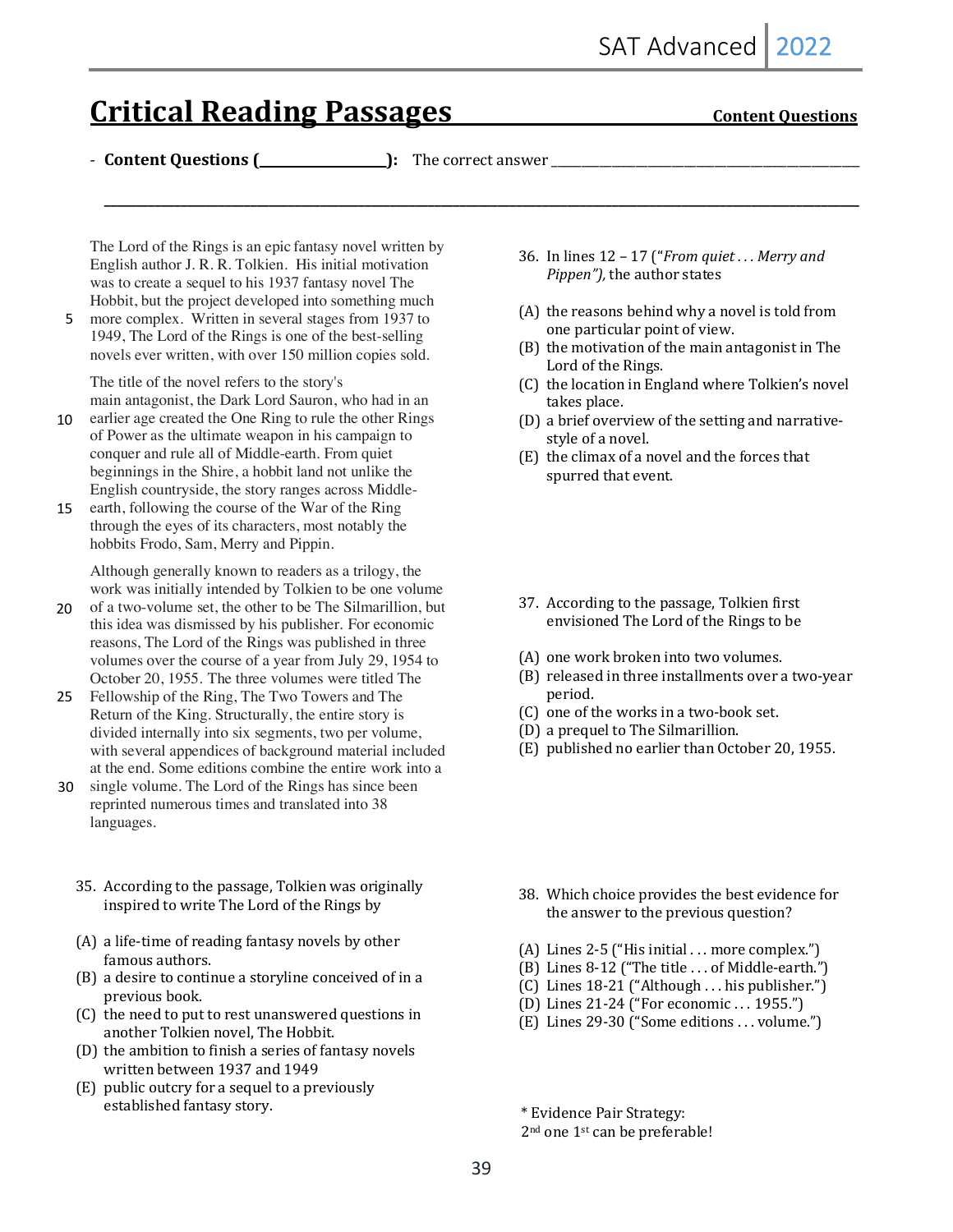# **Critical Reading Passages Content Questions**

- **Content Questions (\_\_\_\_\_\_\_\_\_\_\_\_\_\_\_\_\_\_\_\_):** The correct answer \_\_\_\_\_\_\_\_\_\_\_\_\_\_\_\_\_\_\_\_\_\_\_\_\_\_\_\_\_\_\_\_\_\_\_\_\_\_\_\_\_\_\_\_\_\_\_\_\_\_\_

**\_\_\_\_\_\_\_\_\_\_\_\_\_\_\_\_\_\_\_\_\_\_\_\_\_\_\_\_\_\_\_\_\_\_\_\_\_\_\_\_\_\_\_\_\_\_\_\_\_\_\_\_\_\_\_\_\_\_\_\_\_\_\_\_\_\_\_\_\_\_\_\_\_\_\_\_\_\_\_\_\_\_\_\_\_\_\_\_\_\_\_\_\_\_\_\_\_\_\_\_\_\_\_\_\_\_\_\_\_\_\_\_\_\_\_\_\_\_\_**

The Lord of the Rings is an epic fantasy novel written by English author J. R. R. Tolkien. His initial motivation was to create a sequel to his 1937 fantasy novel The Hobbit, but the project developed into something much

5 more complex. Written in several stages from 1937 to 1949, The Lord of the Rings is one of the best-selling novels ever written, with over 150 million copies sold.

The title of the novel refers to the story's main antagonist, the Dark Lord Sauron, who had in an

- 10 earlier age created the One Ring to rule the other Rings of Power as the ultimate weapon in his campaign to conquer and rule all of Middle-earth. From quiet beginnings in the Shire, a hobbit land not unlike the English countryside, the story ranges across Middle-
- earth, following the course of the War of the Ring through the eyes of its characters, most notably the hobbits Frodo, Sam, Merry and Pippin. 15

Although generally known to readers as a trilogy, the work was initially intended by Tolkien to be one volume

- of a two-volume set, the other to be The Silmarillion, but this idea was dismissed by his publisher. For economic reasons, The Lord of the Rings was published in three volumes over the course of a year from July 29, 1954 to October 20, 1955. The three volumes were titled The 20
- 25 Fellowship of the Ring, The Two Towers and The Return of the King. Structurally, the entire story is divided internally into six segments, two per volume, with several appendices of background material included at the end. Some editions combine the entire work into a
- single volume. The Lord of the Rings has since been 30 reprinted numerous times and translated into 38 languages.
	- 35. According to the passage, Tolkien was originally inspired to write The Lord of the Rings by
	- (A) a life-time of reading fantasy novels by other famous authors.
	- $(B)$  a desire to continue a storyline conceived of in a previous book.
	- (C) the need to put to rest unanswered questions in another Tolkien novel, The Hobbit.
	- (D) the ambition to finish a series of fantasy novels written between 1937 and 1949
	- $(E)$  public outcry for a sequel to a previously established fantasy story.
- 36. In lines  $12 17$  ("*From quiet... Merry and Pippen"*), the author states
- $(A)$  the reasons behind why a novel is told from one particular point of view.
- (B) the motivation of the main antagonist in The Lord of the Rings.
- (C) the location in England where Tolkien's novel takes place.
- (D) a brief overview of the setting and narrativestyle of a novel.
- (E) the climax of a novel and the forces that spurred that event.
- 37. According to the passage, Tolkien first envisioned The Lord of the Rings to be
- (A) one work broken into two volumes.
- (B) released in three installments over a two-year period.
- (C) one of the works in a two-book set.
- (D) a prequel to The Silmarillion.
- (E) published no earlier than October 20, 1955.

- 38. Which choice provides the best evidence for the answer to the previous question?
- (A) Lines 2-5 ("His initial . . . more complex.")
- $(B)$  Lines 8-12 ("The title ... of Middle-earth.")
- (C) Lines 18-21 ("Although . . . his publisher.")
- (D) Lines 21-24 ("For economic . . . 1955.")
- (E) Lines 29-30 ("Some editions ... volume.")

 \* Evidence Pair Strategy: 

 $2<sup>nd</sup>$  one  $1<sup>st</sup>$  can be preferable!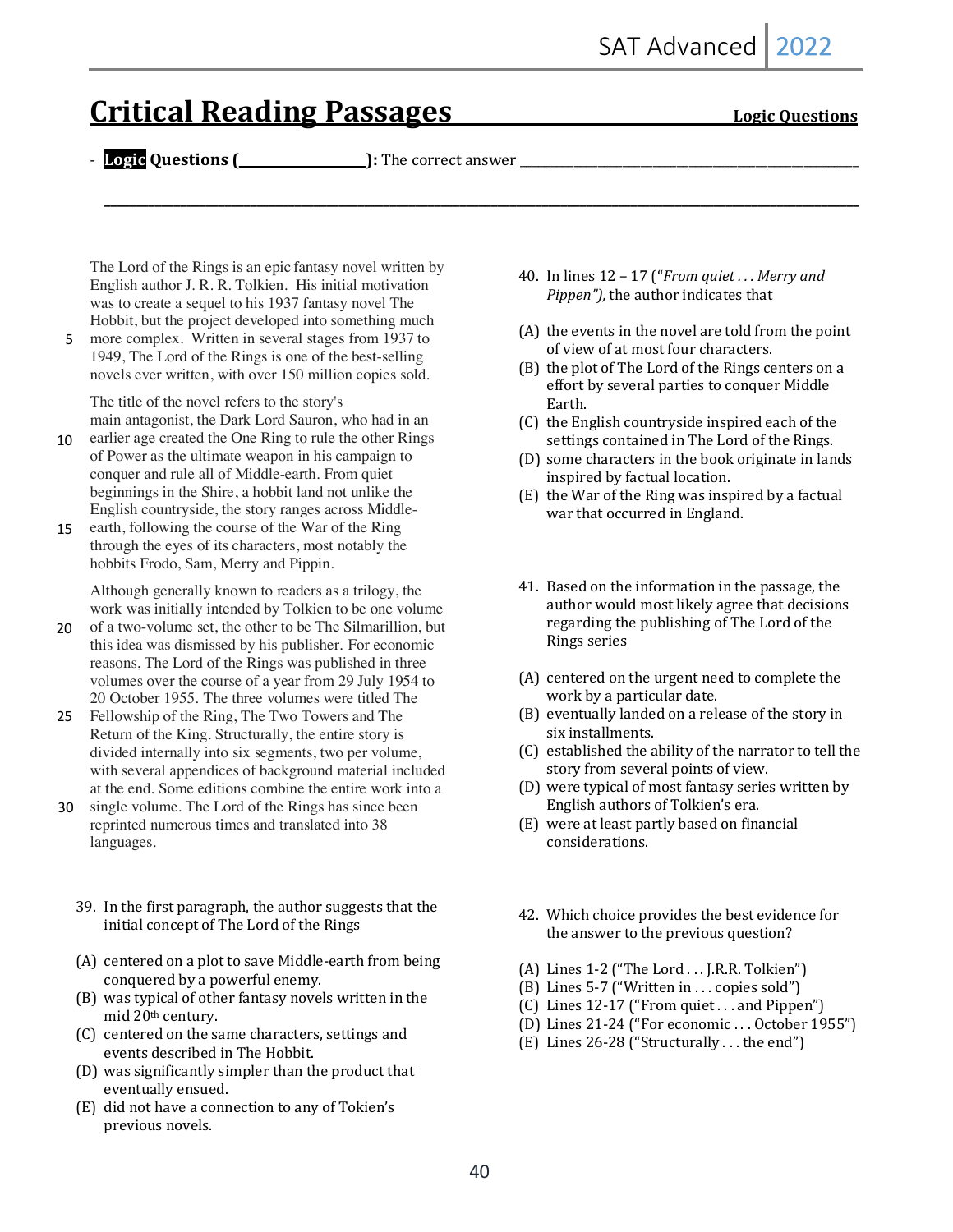# **Critical Reading Passages Critical Reading Passages** *Logic Questions*

- **Logic Questions (\_\_\_\_\_\_\_\_\_\_\_\_\_\_\_\_\_\_\_\_):** The correct answer \_\_\_\_\_\_\_\_\_\_\_\_\_\_\_\_\_\_\_\_\_\_\_\_\_\_\_\_\_\_\_\_\_\_\_\_\_\_\_\_\_\_\_\_\_\_\_\_\_\_\_\_\_\_\_\_

**\_\_\_\_\_\_\_\_\_\_\_\_\_\_\_\_\_\_\_\_\_\_\_\_\_\_\_\_\_\_\_\_\_\_\_\_\_\_\_\_\_\_\_\_\_\_\_\_\_\_\_\_\_\_\_\_\_\_\_\_\_\_\_\_\_\_\_\_\_\_\_\_\_\_\_\_\_\_\_\_\_\_\_\_\_\_\_\_\_\_\_\_\_\_\_\_\_\_\_\_\_\_\_\_\_\_\_\_\_\_\_\_\_\_\_\_\_\_\_**

The Lord of the Rings is an epic fantasy novel written by English author J. R. R. Tolkien. His initial motivation was to create a sequel to his 1937 fantasy novel The Hobbit, but the project developed into something much

5 more complex. Written in several stages from 1937 to 1949, The Lord of the Rings is one of the best-selling novels ever written, with over 150 million copies sold.

The title of the novel refers to the story's main antagonist, the Dark Lord Sauron, who had in an

- earlier age created the One Ring to rule the other Rings of Power as the ultimate weapon in his campaign to conquer and rule all of Middle-earth. From quiet beginnings in the Shire, a hobbit land not unlike the English countryside, the story ranges across Middle-10
- earth, following the course of the War of the Ring through the eyes of its characters, most notably the hobbits Frodo, Sam, Merry and Pippin. 15

Although generally known to readers as a trilogy, the work was initially intended by Tolkien to be one volume

- of a two-volume set, the other to be The Silmarillion, but this idea was dismissed by his publisher. For economic reasons, The Lord of the Rings was published in three volumes over the course of a year from 29 July 1954 to 20 October 1955. The three volumes were titled The 20
- 25 Fellowship of the Ring, The Two Towers and The Return of the King. Structurally, the entire story is divided internally into six segments, two per volume, with several appendices of background material included at the end. Some editions combine the entire work into a
- single volume. The Lord of the Rings has since been reprinted numerous times and translated into 38 languages. 30
	- 39. In the first paragraph, the author suggests that the initial concept of The Lord of the Rings
	- (A) centered on a plot to save Middle-earth from being conquered by a powerful enemy.
	- (B) was typical of other fantasy novels written in the mid 20<sup>th</sup> century.
	- (C) centered on the same characters, settings and events described in The Hobbit.
	- (D) was significantly simpler than the product that eventually ensued.
	- (E) did not have a connection to any of Tokien's previous novels.
- 40. In lines  $12 17$  ("*From quiet... Merry and Pippen"*), the author indicates that
- $(A)$  the events in the novel are told from the point of view of at most four characters.
- (B) the plot of The Lord of the Rings centers on a effort by several parties to conquer Middle Earth.
- $(C)$  the English countryside inspired each of the settings contained in The Lord of the Rings.
- (D) some characters in the book originate in lands inspired by factual location.
- (E) the War of the Ring was inspired by a factual war that occurred in England.
- 41. Based on the information in the passage, the author would most likely agree that decisions regarding the publishing of The Lord of the Rings series
- (A) centered on the urgent need to complete the work by a particular date.
- (B) eventually landed on a release of the story in six installments.
- (C) established the ability of the narrator to tell the story from several points of view.
- (D) were typical of most fantasy series written by English authors of Tolkien's era.
- (E) were at least partly based on financial considerations.
- 42. Which choice provides the best evidence for the answer to the previous question?
- (A) Lines 1-2 ("The Lord . . . J.R.R. Tolkien")
- (B) Lines  $5-7$  ("Written in ... copies sold")
- $(C)$  Lines 12-17 ("From quiet . . . and Pippen")
- (D) Lines 21-24 ("For economic ... October 1955")
- (E) Lines  $26-28$  ("Structurally ... the end")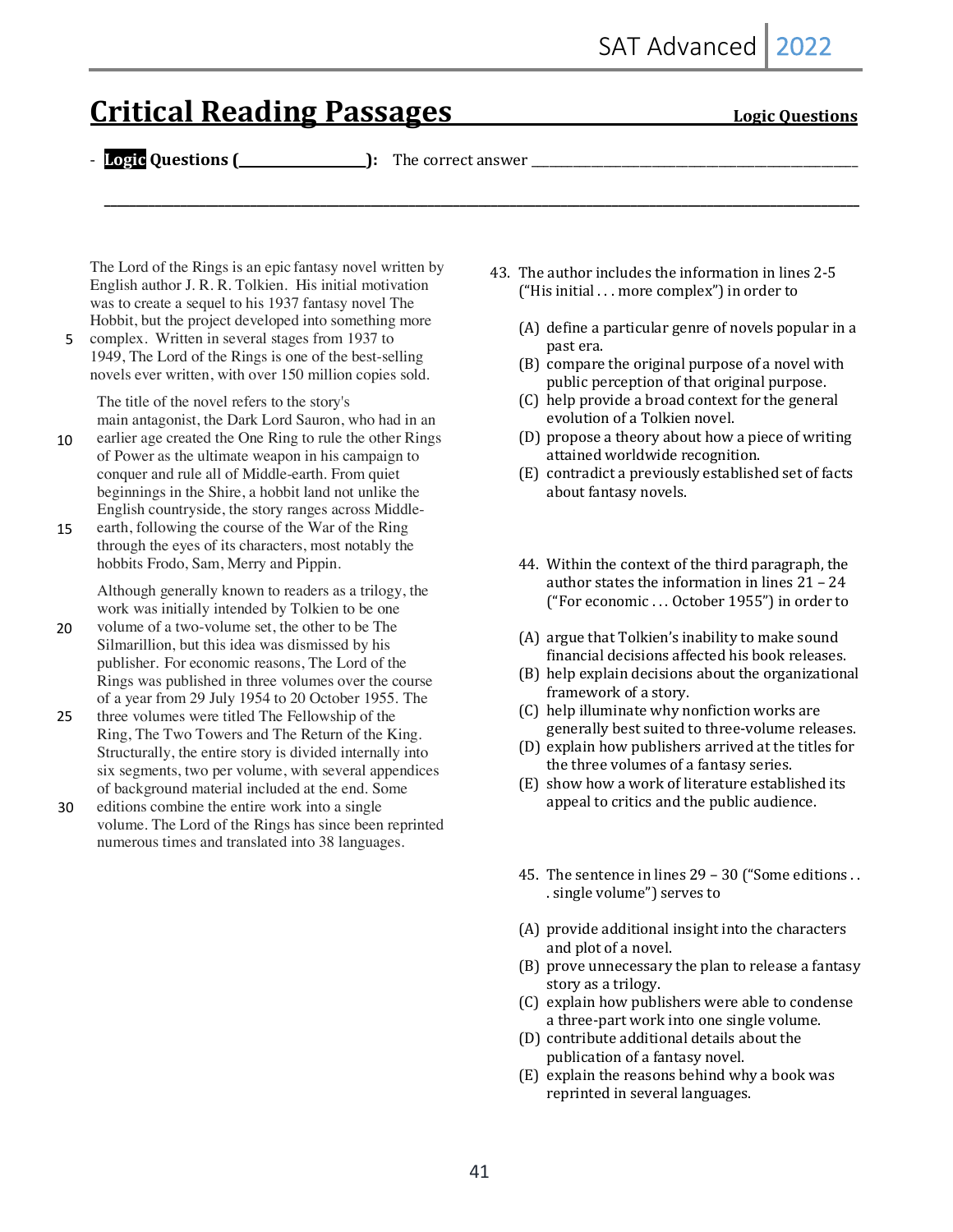# **Critical Reading Passages Critical Reading Passages** *Logic Questions*

- **Logic Questions (\_\_\_\_\_\_\_\_\_\_\_\_\_\_\_\_\_\_\_\_):** The correct answer \_\_\_\_\_\_\_\_\_\_\_\_\_\_\_\_\_\_\_\_\_\_\_\_\_\_\_\_\_\_\_\_\_\_\_\_\_\_\_\_\_\_\_\_\_\_\_\_\_\_\_\_\_\_

**\_\_\_\_\_\_\_\_\_\_\_\_\_\_\_\_\_\_\_\_\_\_\_\_\_\_\_\_\_\_\_\_\_\_\_\_\_\_\_\_\_\_\_\_\_\_\_\_\_\_\_\_\_\_\_\_\_\_\_\_\_\_\_\_\_\_\_\_\_\_\_\_\_\_\_\_\_\_\_\_\_\_\_\_\_\_\_\_\_\_\_\_\_\_\_\_\_\_\_\_\_\_\_\_\_\_\_\_\_\_\_\_\_\_\_\_\_\_\_**

The Lord of the Rings is an epic fantasy novel written by English author J. R. R. Tolkien. His initial motivation was to create a sequel to his 1937 fantasy novel The Hobbit, but the project developed into something more

5 complex. Written in several stages from 1937 to 1949, The Lord of the Rings is one of the best-selling novels ever written, with over 150 million copies sold.

The title of the novel refers to the story's main antagonist, the Dark Lord Sauron, who had in an

- earlier age created the One Ring to rule the other Rings of Power as the ultimate weapon in his campaign to conquer and rule all of Middle-earth. From quiet beginnings in the Shire, a hobbit land not unlike the English countryside, the story ranges across Middle-10
- earth, following the course of the War of the Ring through the eyes of its characters, most notably the hobbits Frodo, Sam, Merry and Pippin. 15

Although generally known to readers as a trilogy, the work was initially intended by Tolkien to be one

- volume of a two-volume set, the other to be The Silmarillion, but this idea was dismissed by his publisher. For economic reasons, The Lord of the Rings was published in three volumes over the course of a year from 29 July 1954 to 20 October 1955. The 20
- three volumes were titled The Fellowship of the Ring, The Two Towers and The Return of the King. Structurally, the entire story is divided internally into six segments, two per volume, with several appendices of background material included at the end. Some 25
- editions combine the entire work into a single volume. The Lord of the Rings has since been reprinted numerous times and translated into 38 languages. 30
- 43. The author includes the information in lines 2-5 ("His initial  $\dots$  more complex") in order to
	- $(A)$  define a particular genre of novels popular in a past era.
	- $(B)$  compare the original purpose of a novel with public perception of that original purpose.
	- (C) help provide a broad context for the general evolution of a Tolkien novel.
	- (D) propose a theory about how a piece of writing attained worldwide recognition.
	- (E) contradict a previously established set of facts about fantasy novels.
	- 44. Within the context of the third paragraph, the author states the information in lines  $21 - 24$ ("For economic ... October 1955") in order to
	- $(A)$  argue that  $T$ olkien's inability to make sound financial decisions affected his book releases.
	- (B) help explain decisions about the organizational framework of a story.
	- (C) help illuminate why nonfiction works are generally best suited to three-volume releases.
	- (D) explain how publishers arrived at the titles for the three volumes of a fantasy series.
	- (E) show how a work of literature established its appeal to critics and the public audience.
	- 45. The sentence in lines  $29 30$  ("Some editions . . . single volume") serves to
	- (A) provide additional insight into the characters and plot of a novel.
	- (B) prove unnecessary the plan to release a fantasy story as a trilogy.
	- (C) explain how publishers were able to condense a three-part work into one single volume.
	- (D) contribute additional details about the publication of a fantasy novel.
	- $(E)$  explain the reasons behind why a book was reprinted in several languages.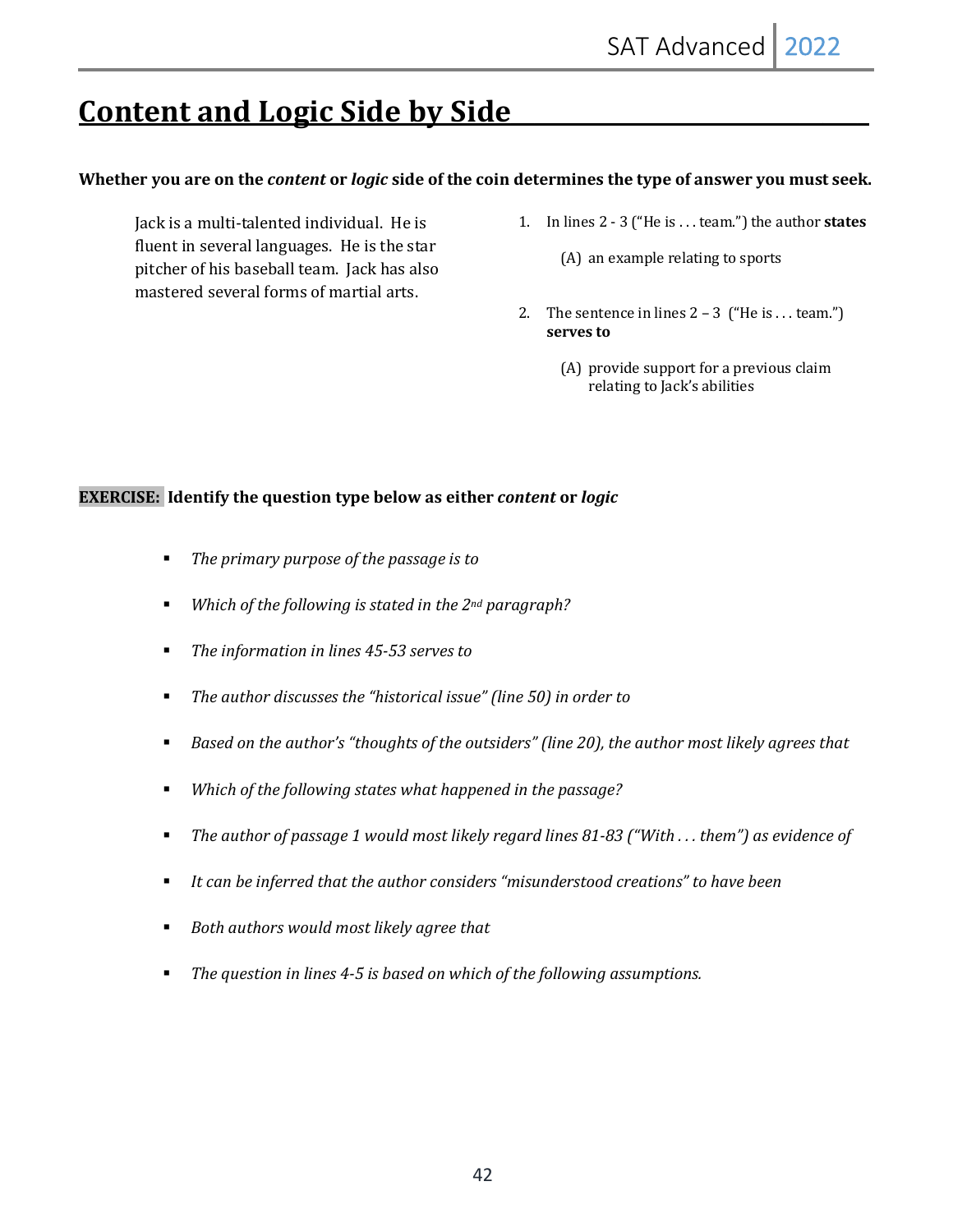# **Content and Logic Side by Side**

#### Whether you are on the *content* or *logic* side of the coin determines the type of answer you must seek.

Jack is a multi-talented individual. He is fluent in several languages. He is the star pitcher of his baseball team. Jack has also mastered several forms of martial arts.

- 1. In lines 2 3 ("He is . . . team.") the author **states** 
	- $(A)$  an example relating to sports
- 2. The sentence in lines  $2 3$  ("He is ... team.") serves to
	- (A) provide support for a previous claim relating to Jack's abilities

#### **EXERCISE:** Identify the question type below as either *content* or *logic*

- The primary purpose of the passage is to
- *Which of the following is stated in the 2<sup>nd</sup> paragraph?*
- The information in lines 45-53 serves to
- The author discusses the "historical issue" (line 50) in order to
- *Based on the author's "thoughts of the outsiders" (line 20), the author most likely agrees that*
- *Which of the following states what happened in the passage?*
- The author of passage 1 would most likely regard lines 81-83 ("With ... them") as evidence of
- It can be inferred that the author considers "misunderstood creations" to have been
- Both authors would most likely agree that
- The question in lines 4-5 is based on which of the following assumptions.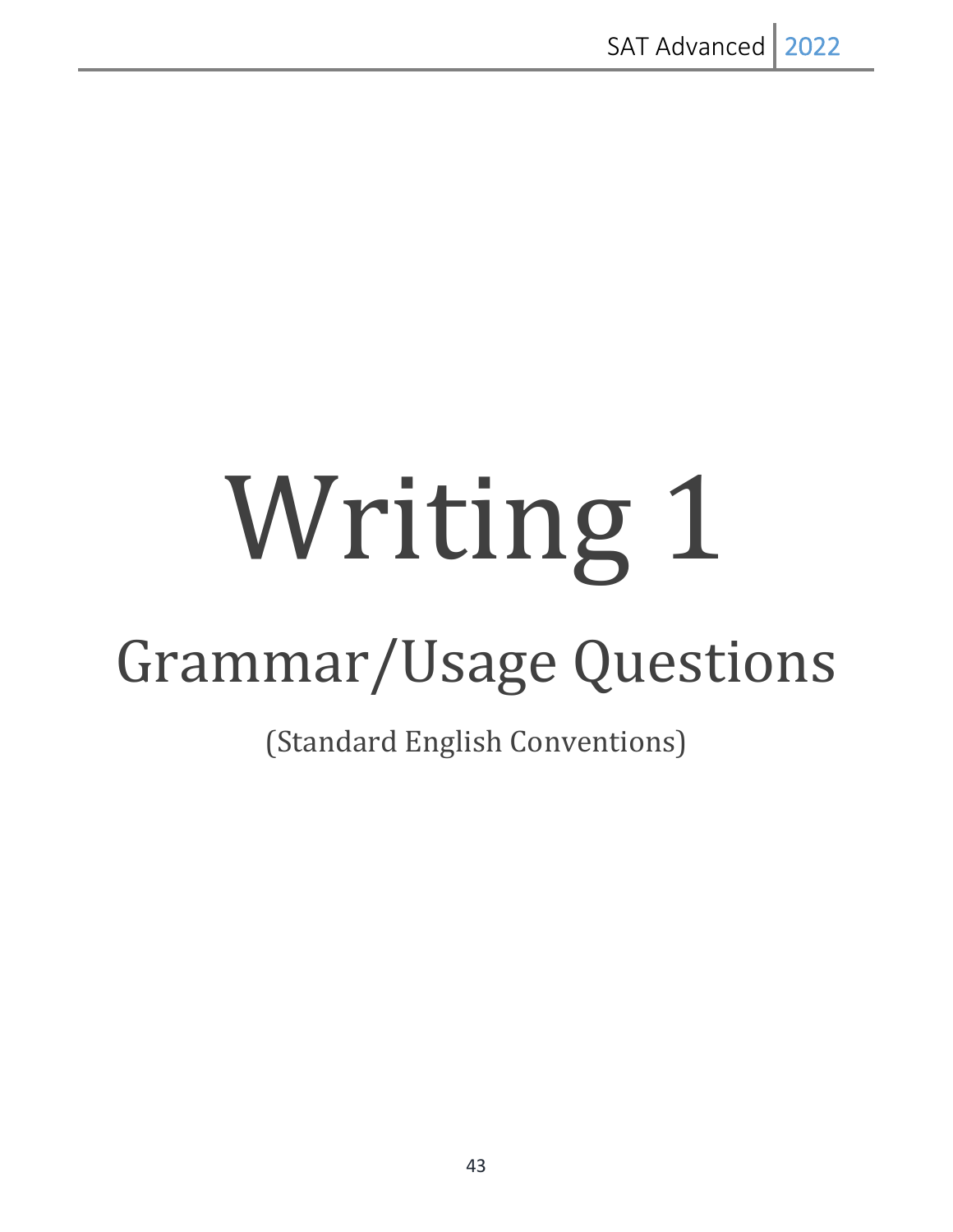# Writing 1

# Grammar/Usage Questions

(Standard English Conventions)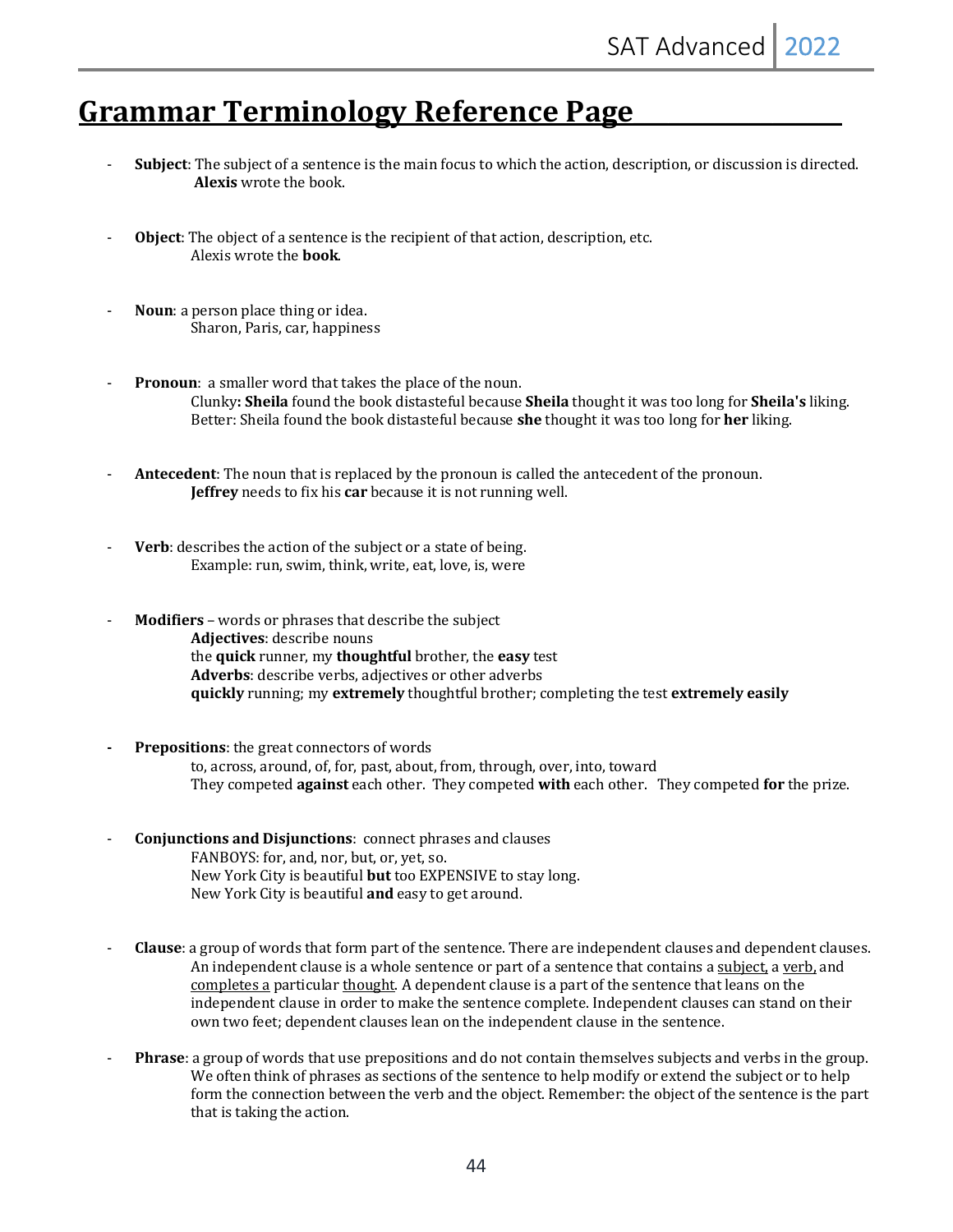## **<u>Grammar Terminology Reference Page</u>**

- **Subject**: The subject of a sentence is the main focus to which the action, description, or discussion is directed. **Alexis** wrote the book.
- **Object**: The object of a sentence is the recipient of that action, description, etc. Alexis wrote the **book**.
- **Noun**: a person place thing or idea. Sharon, Paris, car, happiness
- **Pronoun**: a smaller word that takes the place of the noun. Clunky: Sheila found the book distasteful because Sheila thought it was too long for Sheila's liking. Better: Sheila found the book distasteful because **she** thought it was too long for **her** liking.
- **Antecedent**: The noun that is replaced by the pronoun is called the antecedent of the pronoun. **Jeffrey** needs to fix his **car** because it is not running well.
- **Verb**: describes the action of the subject or a state of being. Example: run, swim, think, write, eat, love, is, were
- **Modifiers** words or phrases that describe the subject Adjectives: describe nouns the **quick** runner, my **thoughtful** brother, the **easy** test Adverbs: describe verbs, adjectives or other adverbs **quickly** running; my extremely thoughtful brother; completing the test extremely easily
- **Prepositions:** the great connectors of words to, across, around, of, for, past, about, from, through, over, into, toward They competed **against** each other. They competed **with** each other. They competed **for** the prize.
- **Conjunctions and Disjunctions:** connect phrases and clauses FANBOYS: for, and, nor, but, or, yet, so. New York City is beautiful **but** too EXPENSIVE to stay long. New York City is beautiful **and** easy to get around.
- **Clause**: a group of words that form part of the sentence. There are independent clauses and dependent clauses. An independent clause is a whole sentence or part of a sentence that contains a subject, a verb, and completes a particular thought. A dependent clause is a part of the sentence that leans on the independent clause in order to make the sentence complete. Independent clauses can stand on their own two feet; dependent clauses lean on the independent clause in the sentence.
- **Phrase**: a group of words that use prepositions and do not contain themselves subjects and verbs in the group. We often think of phrases as sections of the sentence to help modify or extend the subject or to help form the connection between the verb and the object. Remember: the object of the sentence is the part that is taking the action.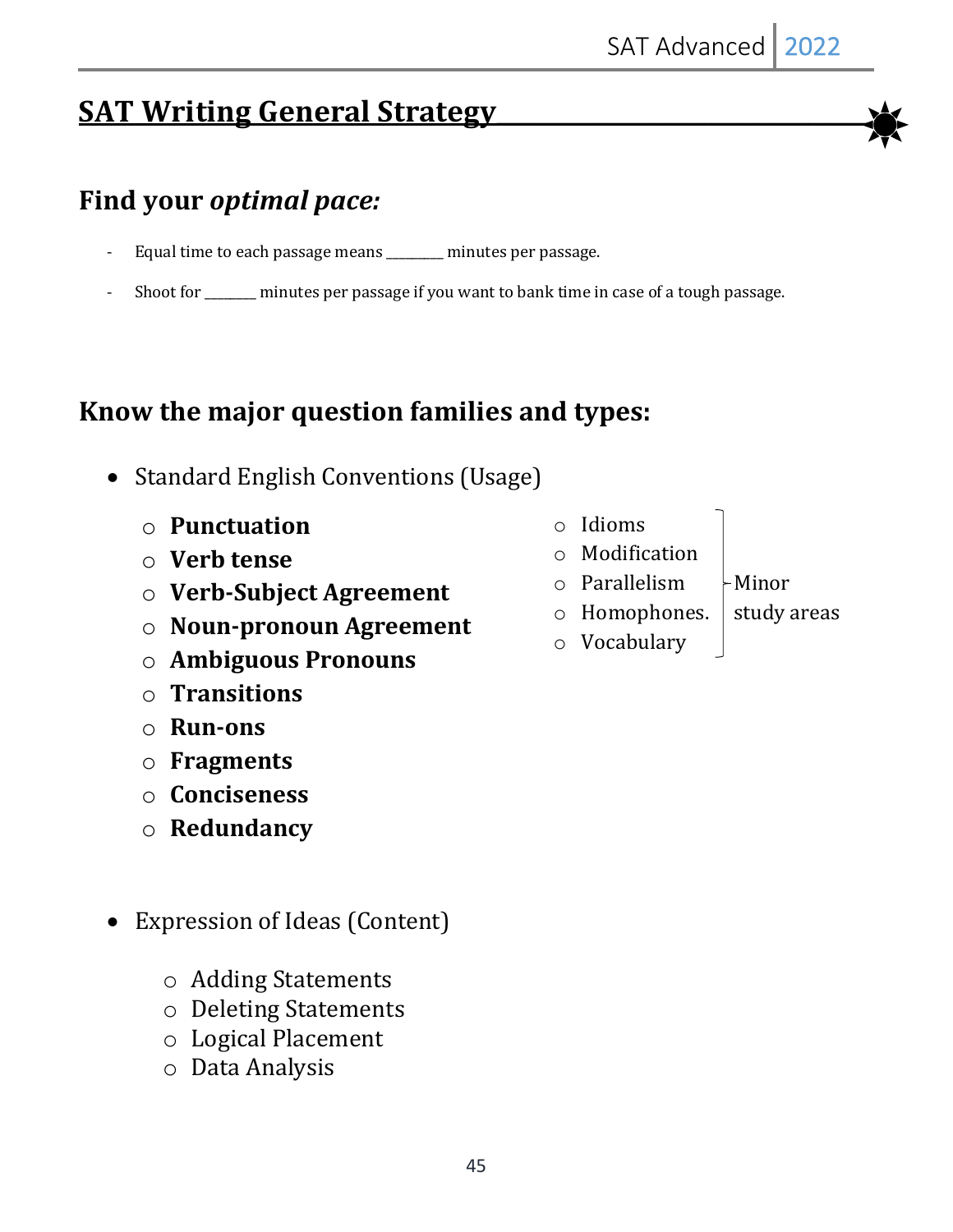# **SAT Writing General Strategy**

# **Find your** *optimal pace:*

- Equal time to each passage means \_\_\_\_\_\_\_ minutes per passage.
- Shoot for \_\_\_\_\_\_\_ minutes per passage if you want to bank time in case of a tough passage.

# Know the major question families and types:

- Standard English Conventions (Usage)
	- o **Punctuation**
	- o **Verb tense**
	- o **Verb-Subject Agreement**
	- o **Noun-pronoun Agreement**
	- o **Ambiguous Pronouns**
	- o **Transitions**
	- o **Run-ons**
	- o **Fragments**
	- o **Conciseness**
	- o **Redundancy**
- Expression of Ideas (Content)
	- o Adding Statements
	- o Deleting Statements
	- o Logical Placement
	- o Data Analysis
- o Idioms
- o Modification
- $\circ$  Parallelism  $\vdash$ Minor
- $\circ$  Homophones.  $\circ$  study areas o Vocabulary
- 

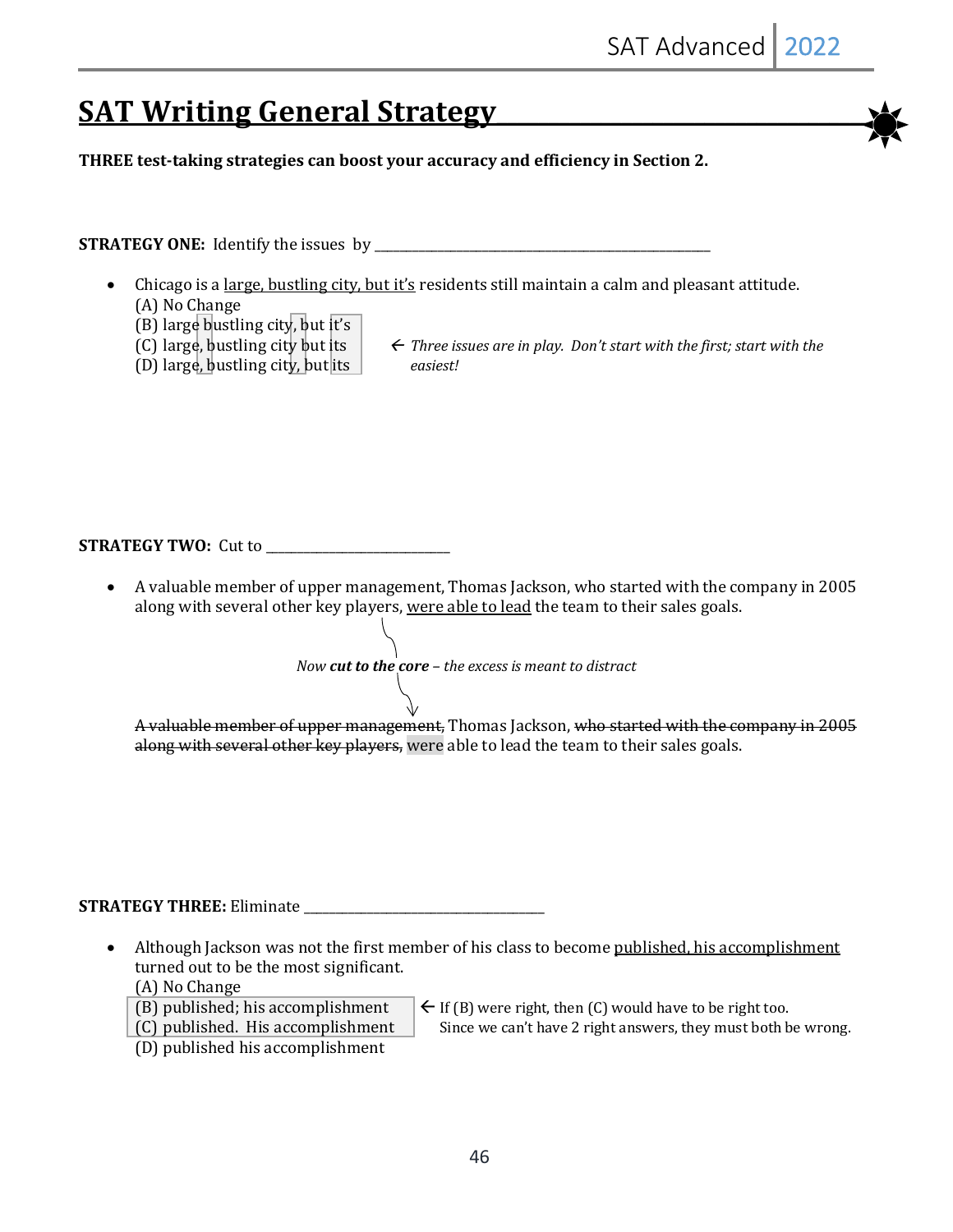# **SAT Writing General Strategy**

**THREE** test-taking strategies can boost your accuracy and efficiency in Section 2.

**STRATEGY ONE:**  Identify the issues by \_\_\_\_\_\_\_\_\_\_\_\_\_\_\_\_\_\_\_\_\_\_\_\_\_\_\_\_\_\_\_\_\_\_\_\_\_\_\_\_\_\_\_\_\_\_\_\_\_\_\_\_\_

- Chicago is a <u>large, bustling city, but it's</u> residents still maintain a calm and pleasant attitude. (A) No Change
	- (B) large bustling city, but it's
	-
	- (D) large, bustling city, but its easiest!
	- (C) large, bustling city but its  $\left\{ \begin{array}{ll} \infty & \text{There is a real number of } n \text{ is } n \text{ is } n \text{ is } n \text{ is } n \text{ is } n \text{ is } n \text{ is } n \text{ is } n \text{ is } n \text{ is } n \text{ is } n \text{ is } n \text{ is } n \text{ is } n \text{ is } n \text{ is } n \text{ is } n \text{ is } n \text{ is } n \text{ is } n \text{ is } n \text{ is } n \text{ is } n \text{ is } n \text{ is } n \text{ is } n \text{ is }$

**STRATEGY TWO:**  Cut to \_\_\_\_\_\_\_\_\_\_\_\_\_\_\_\_\_\_\_\_\_\_\_\_\_\_\_\_\_

• A valuable member of upper management, Thomas Jackson, who started with the company in 2005 along with several other key players, were able to lead the team to their sales goals.

*Now cut to the core* – *the excess is meant to distract* 

A valuable member of upper management, Thomas Jackson, who started with the company in 2005 along with several other key players, were able to lead the team to their sales goals.

**STRATEGY THREE:** Eliminate \_\_\_\_\_\_\_\_\_\_\_\_\_\_\_\_\_\_\_\_\_\_\_\_\_\_\_\_\_\_\_\_\_\_\_\_\_\_

Although Jackson was not the first member of his class to become published, his accomplishment turned out to be the most significant.

(A) No Change

- 
- 
- (D) published his accomplishment
- (B) published; his accomplishment  $\left\{ \in$  If (B) were right, then (C) would have to be right too.

(C) published. His accomplishment  $\parallel$  Since we can't have 2 right answers, they must both be wrong.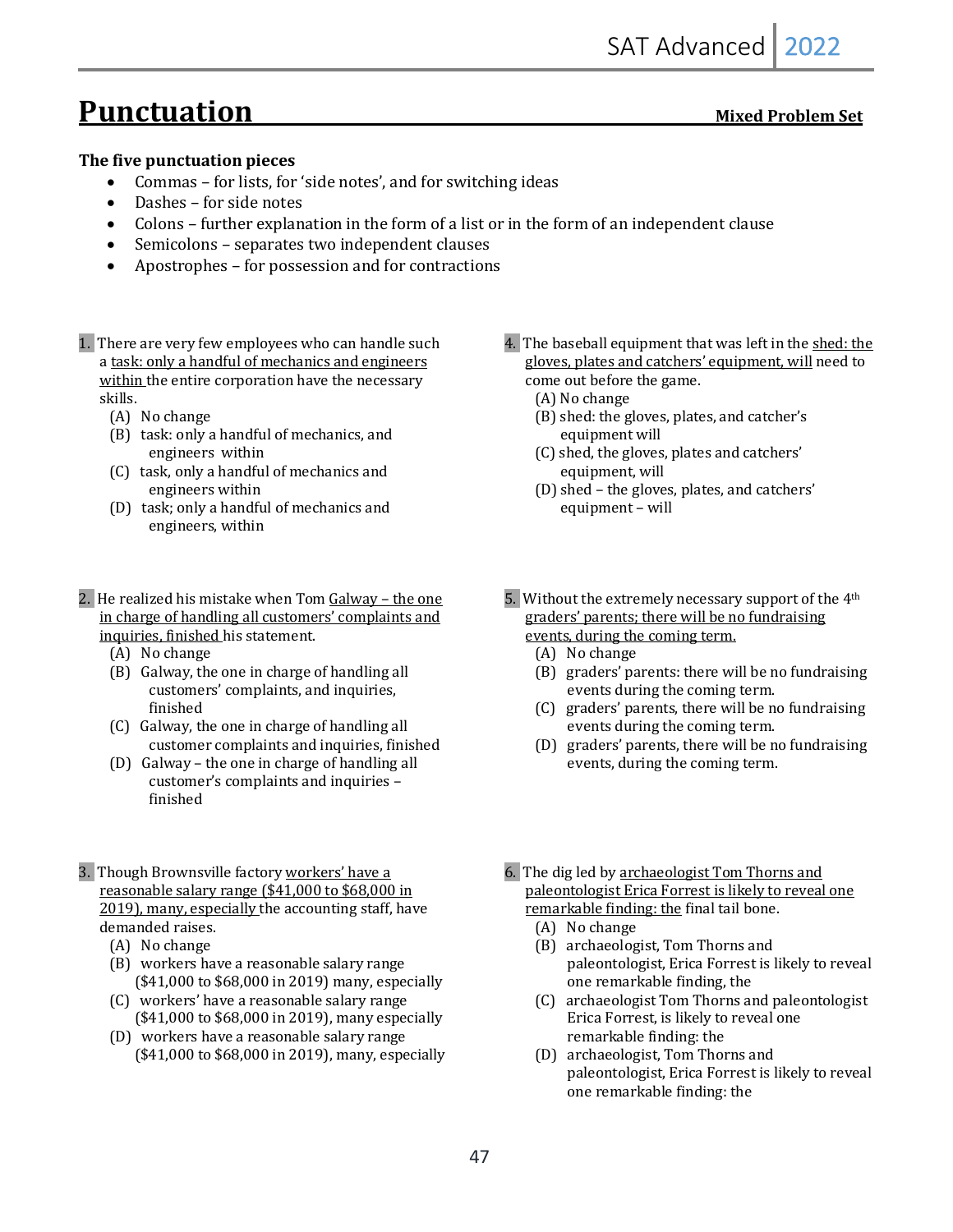# **Punctuation**

#### **The five punctuation pieces**

- Commas for lists, for 'side notes', and for switching ideas
- $\bullet$  Dashes for side notes
- Colons further explanation in the form of a list or in the form of an independent clause
- Semicolons separates two independent clauses
- Apostrophes for possession and for contractions
- 1. There are very few employees who can handle such a task: only a handful of mechanics and engineers within the entire corporation have the necessary skills.
	- (A) No change
	- (B) task: only a handful of mechanics, and engineers within
	- (C) task, only a handful of mechanics and engineers within
	- (D) task; only a handful of mechanics and engineers, within
- 2. He realized his mistake when  $Tom$   $Galway$  the one in charge of handling all customers' complaints and inquiries, finished his statement.
	- (A) No change
	- (B) Galway, the one in charge of handling all customers' complaints, and inquiries, finished
	- (C) Galway, the one in charge of handling all customer complaints and inquiries, finished
	- (D) Galway the one in charge of handling all customer's complaints and inquiries finished
- 3. Though Brownsville factory workers' have a reasonable salary range  $(\$41,000$  to  $\$68,000$  in 2019), many, especially the accounting staff, have demanded raises.
	- (A) No change
	- (B) workers have a reasonable salary range  $($41,000$  to  $$68,000$  in 2019) many, especially
	- (C) workers' have a reasonable salary range (\$41,000 to \$68,000 in 2019), many especially
	- (D) workers have a reasonable salary range  $($41,000$  to  $$68,000$  in 2019), many, especially
- 4. The baseball equipment that was left in the shed: the gloves, plates and catchers' equipment, will need to come out before the game.
	- (A) No change
	- (B) shed: the gloves, plates, and catcher's equipment will
	- (C) shed, the gloves, plates and catchers' equipment, will
	- (D) shed the gloves, plates, and catchers' equipment - will
- 5. Without the extremely necessary support of the  $4<sup>th</sup>$ graders' parents; there will be no fundraising events, during the coming term.
	- (A) No change
	- (B) graders' parents: there will be no fundraising events during the coming term.
	- (C) graders' parents, there will be no fundraising events during the coming term.
	- (D) graders' parents, there will be no fundraising events, during the coming term.
- 6. The dig led by archaeologist Tom Thorns and paleontologist Erica Forrest is likely to reveal one remarkable finding: the final tail bone.
	- (A) No change
	- (B) archaeologist, Tom Thorns and paleontologist, Erica Forrest is likely to reveal one remarkable finding, the
	- (C) archaeologist Tom Thorns and paleontologist Erica Forrest, is likely to reveal one remarkable finding: the
	- (D) archaeologist, Tom Thorns and paleontologist, Erica Forrest is likely to reveal one remarkable finding: the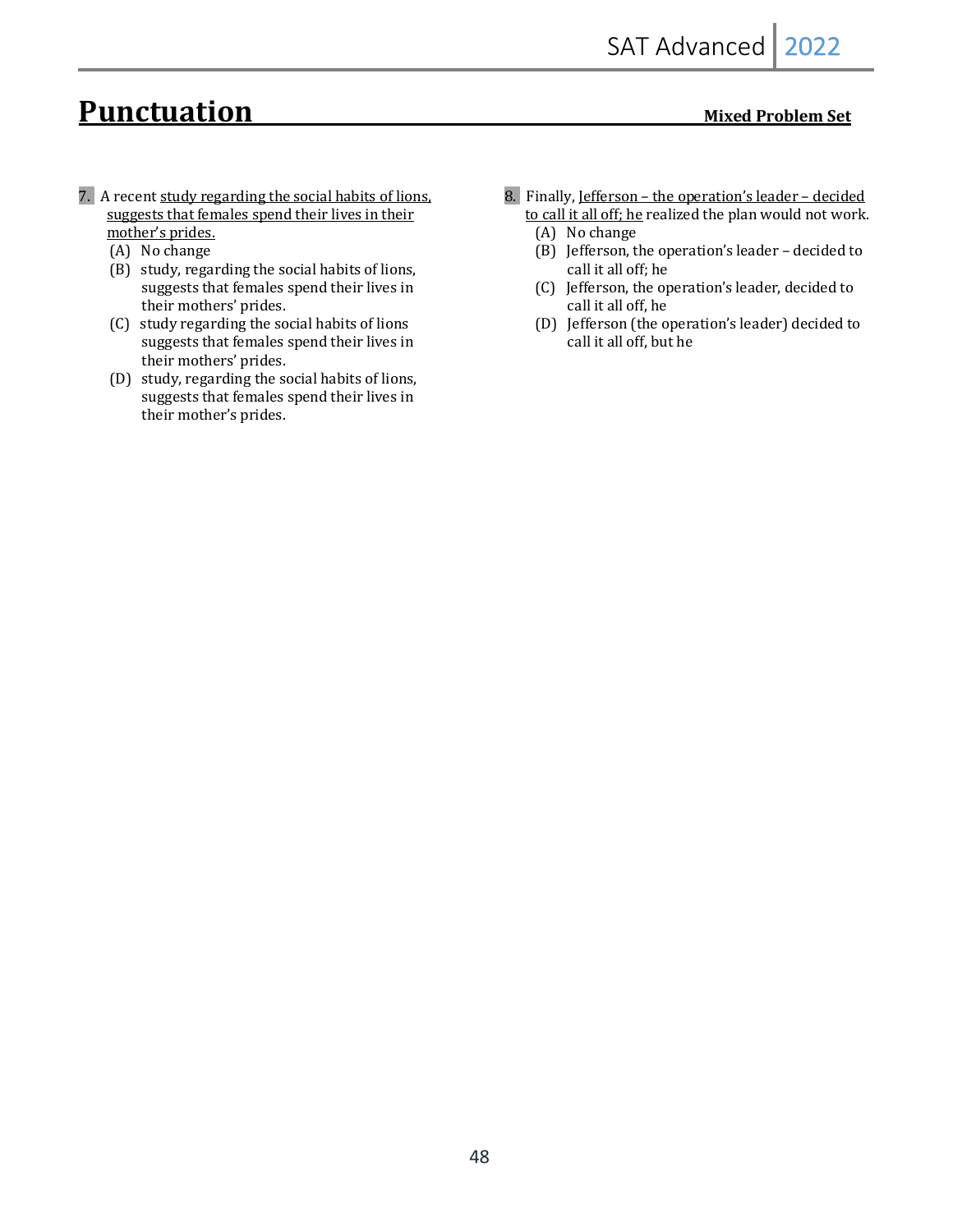# **Punctuation**<br>Mixed Problem Set

- 7. A recent study regarding the social habits of lions, suggests that females spend their lives in their mother's prides.
	- (A) No change
	- (B) study, regarding the social habits of lions, suggests that females spend their lives in their mothers' prides.
	- (C) study regarding the social habits of lions suggests that females spend their lives in their mothers' prides.
	- (D) study, regarding the social habits of lions, suggests that females spend their lives in their mother's prides.
- 8. Finally, Jefferson the operation's leader decided to call it all off; he realized the plan would not work.
	- (A) No change
	- (B) Jefferson, the operation's leader decided to call it all off; he
	- (C) Jefferson, the operation's leader, decided to call it all off, he
	- (D) Jefferson (the operation's leader) decided to call it all off, but he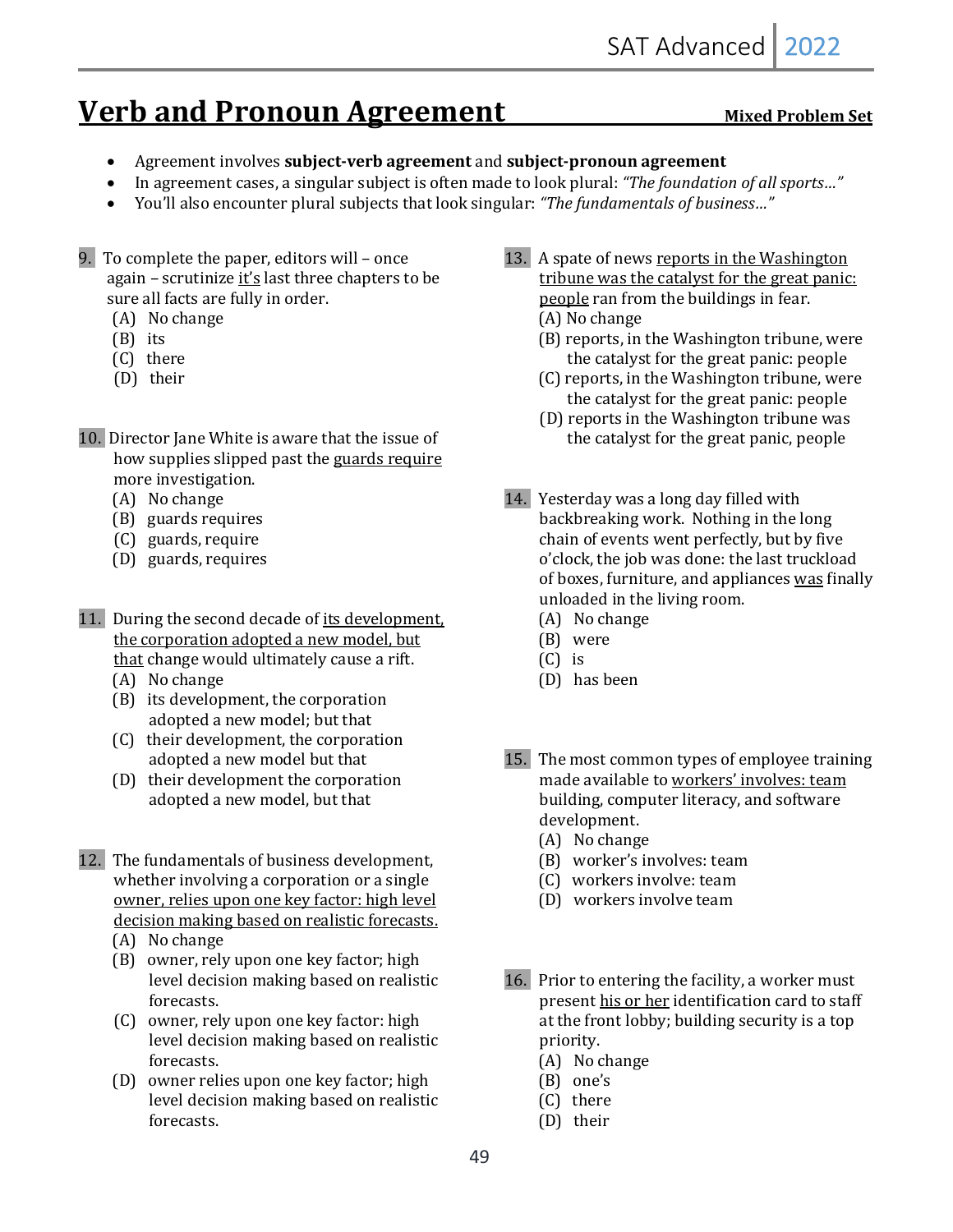# **Verb and Pronoun Agreement** Mixed Problem Set

- Agreement involves subject-verb agreement and subject-pronoun agreement
- In agreement cases, a singular subject is often made to look plural: "The foundation of all sports..."
- You'll also encounter plural subjects that look singular: *"The fundamentals of business..."*
- 9. To complete the paper, editors will  $-$  once again – scrutinize it's last three chapters to be sure all facts are fully in order.
	- (A) No change
	- $(B)$  its
	- (C) there
	- (D) their
- 10. Director Jane White is aware that the issue of how supplies slipped past the guards require more investigation.
	- (A) No change
	- (B) guards requires
	- (C) guards, require
	- (D) guards, requires
- 11. During the second decade of its development, the corporation adopted a new model, but that change would ultimately cause a rift.
	- (A) No change
	- (B) its development, the corporation adopted a new model; but that
	- (C) their development, the corporation adopted a new model but that
	- (D) their development the corporation adopted a new model, but that
- 12. The fundamentals of business development, whether involving a corporation or a single owner, relies upon one key factor: high level decision making based on realistic forecasts.
	- (A) No change
	- (B) owner, rely upon one key factor; high level decision making based on realistic forecasts.
	- (C) owner, rely upon one key factor: high level decision making based on realistic forecasts.
	- (D) owner relies upon one key factor; high level decision making based on realistic forecasts.
- 13. A spate of news reports in the Washington tribune was the catalyst for the great panic: people ran from the buildings in fear. (A) No change
	- (B) reports, in the Washington tribune, were the catalyst for the great panic: people
	- (C) reports, in the Washington tribune, were the catalyst for the great panic: people
	- (D) reports in the Washington tribune was the catalyst for the great panic, people
- 14. Yesterday was a long day filled with backbreaking work. Nothing in the long chain of events went perfectly, but by five o'clock, the job was done: the last truckload of boxes, furniture, and appliances was finally unloaded in the living room.
	- (A) No change
	- (B) were
	- $(C)$  is
	- (D) has been
- 15. The most common types of employee training made available to workers' involves: team building, computer literacy, and software development.
	- (A) No change
	- (B) worker's involves: team
	- (C) workers involve: team
	- (D) workers involve team
- 16. Prior to entering the facility, a worker must present his or her identification card to staff at the front lobby; building security is a top priority.
	- (A) No change
	- $(B)$  one's
	- (C) there
	- (D) their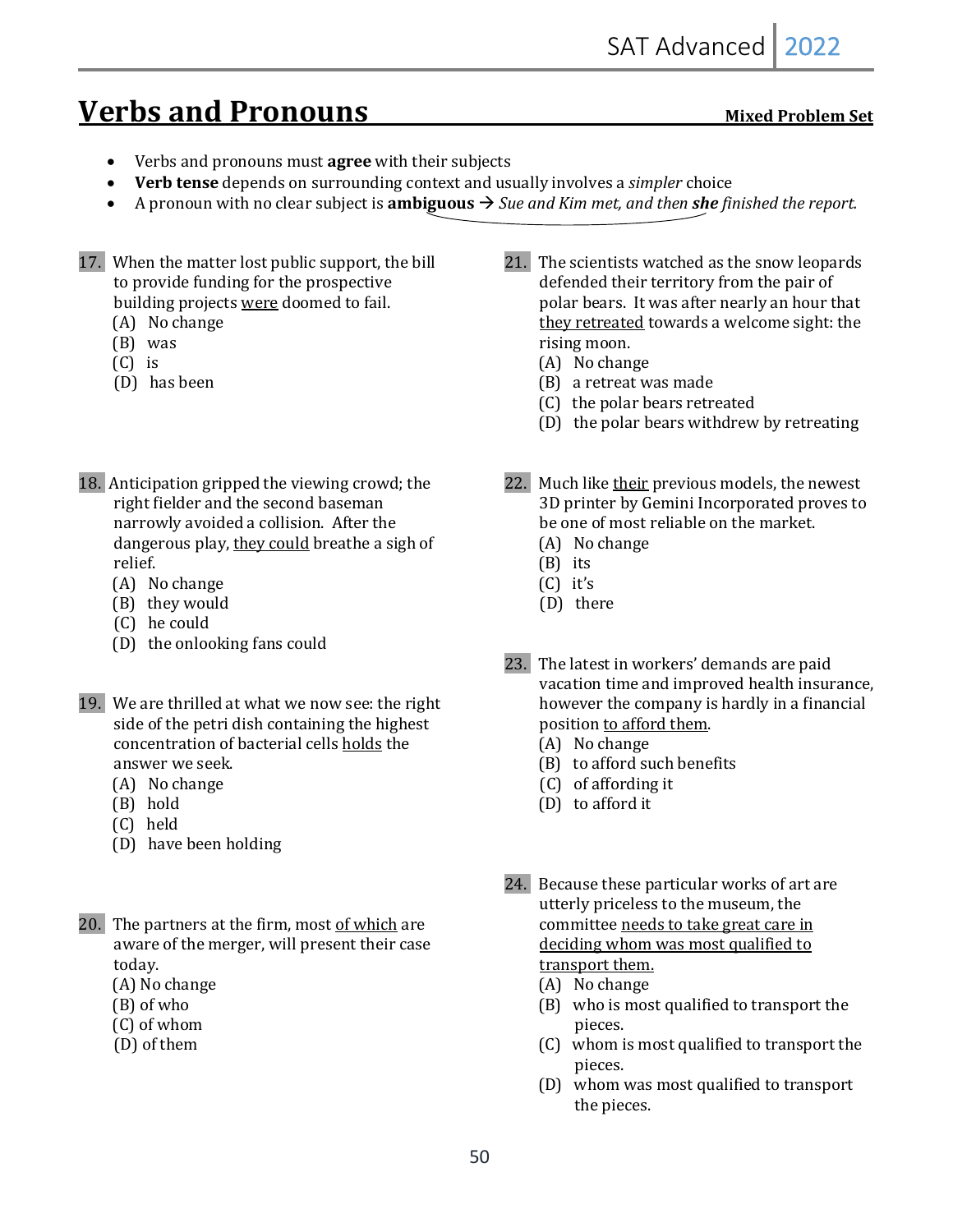# **Verbs and Pronouns** *Mixed Problem Set*

- Verbs and pronouns must **agree** with their subjects
- Verb tense depends on surrounding context and usually involves a *simpler* choice
- A pronoun with no clear subject is **ambiguous**  $\rightarrow$  *Sue and Kim met, and then she finished the report.*
- 17. When the matter lost public support, the bill to provide funding for the prospective building projects were doomed to fail.
	- (A) No change
	- $(B)$  was
	- $(C)$  is
	- (D) has been
- 18. Anticipation gripped the viewing crowd; the right fielder and the second baseman narrowly avoided a collision. After the dangerous play, they could breathe a sigh of relief.
	- (A) No change
	- (B) they would
	- (C) he could
	- (D) the onlooking fans could
- 19. We are thrilled at what we now see: the right side of the petri dish containing the highest concentration of bacterial cells holds the answer we seek.
	- (A) No change
	- (B) hold
	- (C) held
	- (D) have been holding
- 20. The partners at the firm, most of which are aware of the merger, will present their case today.
	- (A) No change
	- (B) of who
	- (C) of whom
	- (D) of them
- 21. The scientists watched as the snow leopards defended their territory from the pair of polar bears. It was after nearly an hour that they retreated towards a welcome sight: the rising moon.
	- (A) No change
	- (B) a retreat was made
	- (C) the polar bears retreated
	- (D) the polar bears withdrew by retreating
- 22. Much like their previous models, the newest 3D printer by Gemini Incorporated proves to be one of most reliable on the market.
	- (A) No change
	- $(B)$  its
	- $(C)$  it's
	- (D) there
- 23. The latest in workers' demands are paid vacation time and improved health insurance, however the company is hardly in a financial position to afford them.
	- (A) No change
	- $(B)$  to afford such benefits
	- (C) of affording it
	- (D) to afford it
- 24. Because these particular works of art are utterly priceless to the museum, the committee needs to take great care in deciding whom was most qualified to transport them.
	- (A) No change
	- (B) who is most qualified to transport the pieces.
	- (C) whom is most qualified to transport the pieces.
	- (D) whom was most qualified to transport the pieces.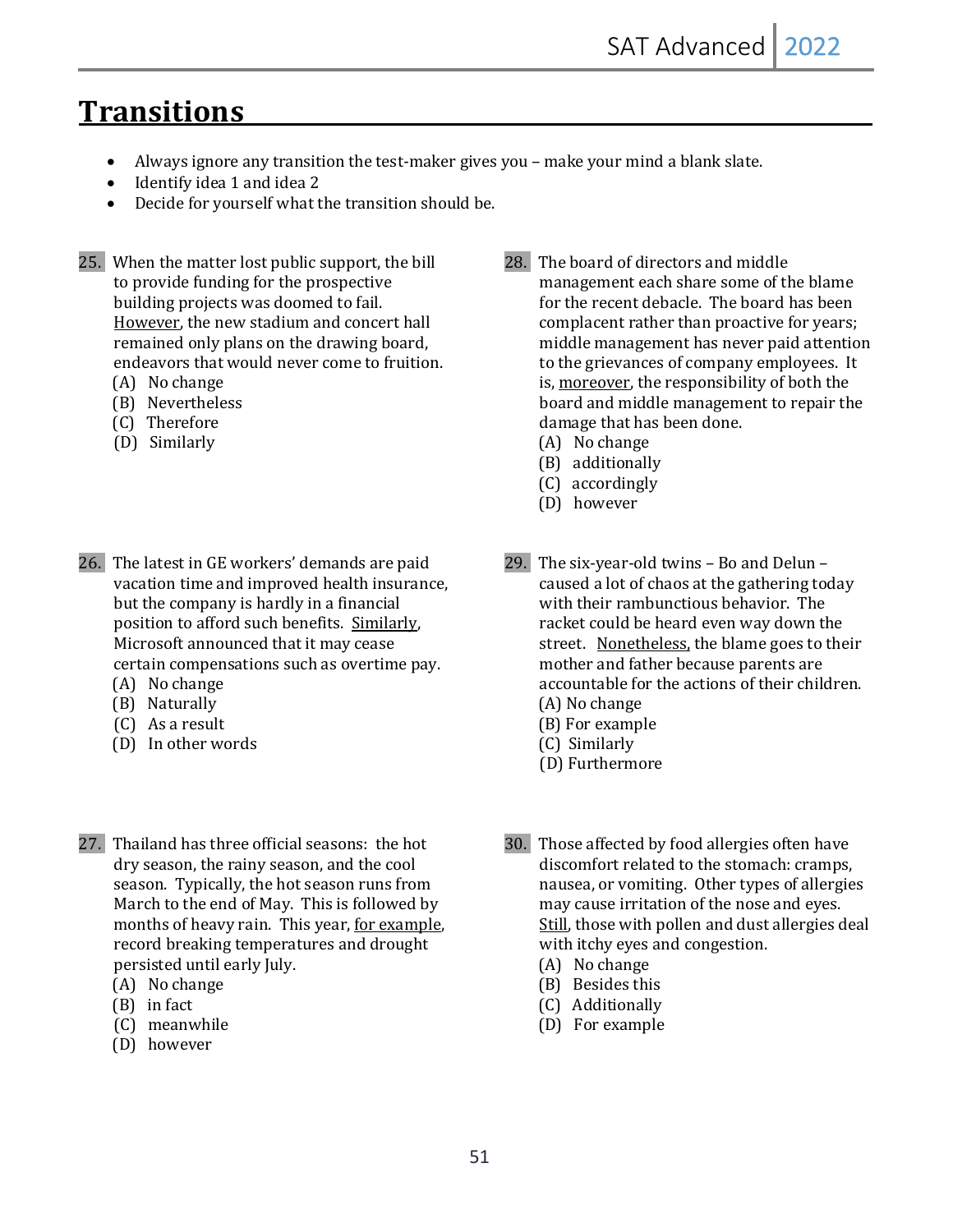## **Transitions**

- Always ignore any transition the test-maker gives you make your mind a blank slate.
- Identify idea 1 and idea 2
- Decide for yourself what the transition should be.
- 25. When the matter lost public support, the bill to provide funding for the prospective building projects was doomed to fail. However, the new stadium and concert hall remained only plans on the drawing board, endeavors that would never come to fruition.
	- (A) No change
	- (B) Nevertheless
	- (C) Therefore
	- (D) Similarly
- 26. The latest in GE workers' demands are paid vacation time and improved health insurance, but the company is hardly in a financial position to afford such benefits. Similarly, Microsoft announced that it may cease certain compensations such as overtime pay.
	- (A) No change
	- (B) Naturally
	- (C) As a result
	- (D) In other words
- 27. Thailand has three official seasons: the hot dry season, the rainy season, and the cool season. Typically, the hot season runs from March to the end of May. This is followed by months of heavy rain. This year, for example, record breaking temperatures and drought persisted until early July.
	- (A) No change
	- $(B)$  in fact
	- (C) meanwhile
	- (D) however
- 28. The board of directors and middle management each share some of the blame for the recent debacle. The board has been complacent rather than proactive for years; middle management has never paid attention to the grievances of company employees. It is, moreover, the responsibility of both the board and middle management to repair the damage that has been done.
	- (A) No change
	- (B) additionally
	- (C) accordingly
	- (D) however
- 29. The six-year-old twins Bo and Delun caused a lot of chaos at the gathering today with their rambunctious behavior. The racket could be heard even way down the street. Nonetheless, the blame goes to their mother and father because parents are accountable for the actions of their children. (A) No change
	- (B) For example
	- (C) Similarly
	-
	- (D) Furthermore
- 30. Those affected by food allergies often have discomfort related to the stomach: cramps, nausea, or vomiting. Other types of allergies may cause irritation of the nose and eyes. Still, those with pollen and dust allergies deal with itchy eyes and congestion.
	- (A) No change
	- (B) Besides this
	- (C) Additionally
	- (D) For example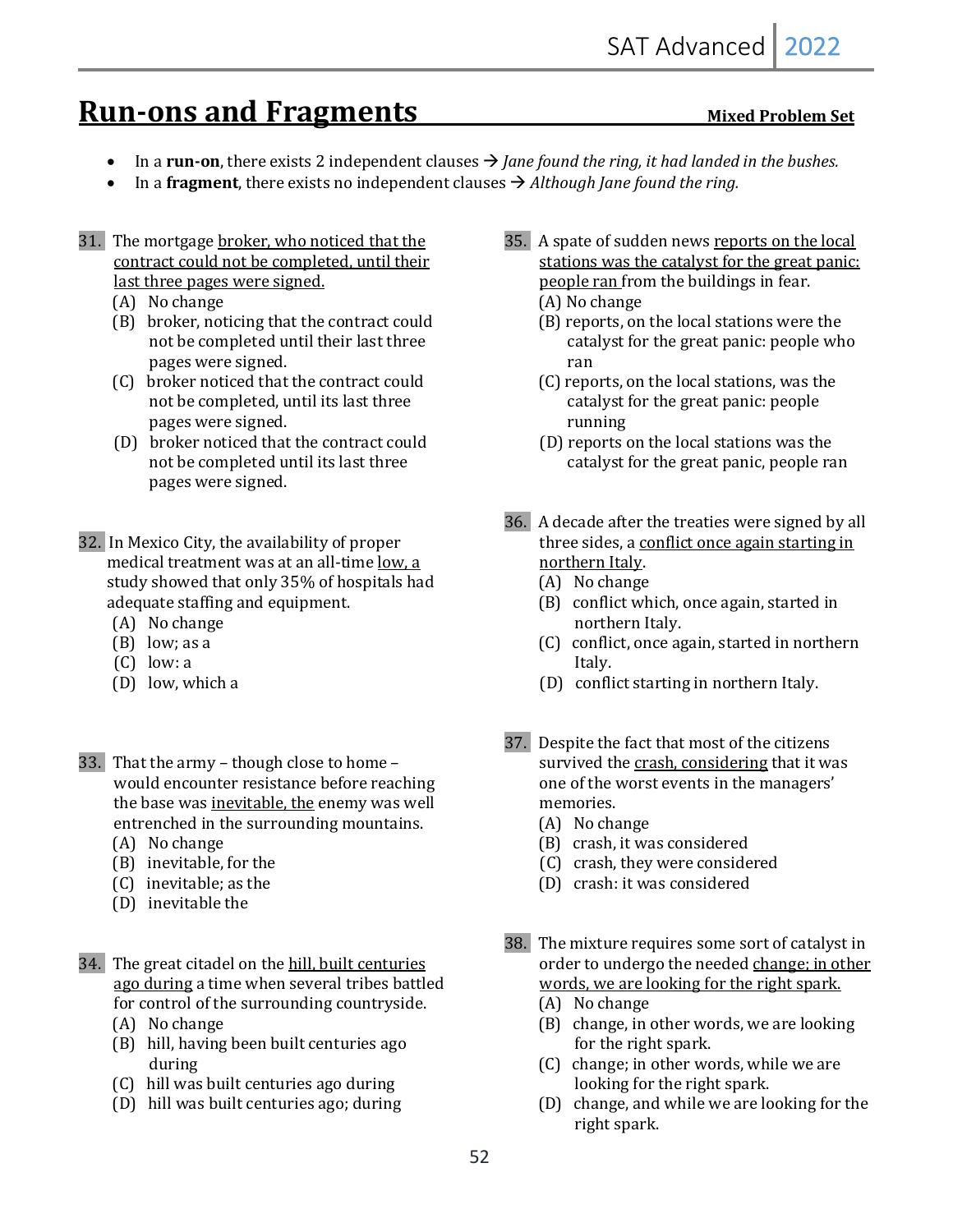## **Run-ons and Fragments** Mixed Problem Set

- In a **run-on**, there exists 2 independent clauses  $\rightarrow$  *Jane found the ring, it had landed in the bushes.*
- In a **fragment**, there exists no independent clauses  $\rightarrow$  *Although Jane found the ring.*
- 31. The mortgage broker, who noticed that the contract could not be completed, until their last three pages were signed.
	- (A) No change
	- (B) broker, noticing that the contract could not be completed until their last three pages were signed.
	- (C) broker noticed that the contract could not be completed, until its last three pages were signed.
	- (D) broker noticed that the contract could not be completed until its last three pages were signed.
- 32. In Mexico City, the availability of proper medical treatment was at an all-time low, a study showed that only 35% of hospitals had adequate staffing and equipment.
	- (A) No change
	- $(B)$  low; as a
	- $(C)$  low: a
	- (D) low, which a
- 33. That the army though close to home would encounter resistance before reaching the base was inevitable, the enemy was well entrenched in the surrounding mountains.
	- (A) No change
	- (B) inevitable, for the
	- (C) inevitable; as the
	- (D) inevitable the
- 34. The great citadel on the hill, built centuries ago during a time when several tribes battled for control of the surrounding countryside.
	- (A) No change
	- (B) hill, having been built centuries ago during
	- (C) hill was built centuries ago during
	- (D) hill was built centuries ago; during
- 35. A spate of sudden news reports on the local stations was the catalyst for the great panic: people ran from the buildings in fear. (A) No change
	- (B) reports, on the local stations were the catalyst for the great panic: people who ran
	- $(C)$  reports, on the local stations, was the catalyst for the great panic: people running
	- (D) reports on the local stations was the catalyst for the great panic, people ran
- 36. A decade after the treaties were signed by all three sides, a conflict once again starting in northern Italy.
	- (A) No change
	- (B) conflict which, once again, started in northern Italy.
	- (C) conflict, once again, started in northern Italy.
	- (D) conflict starting in northern Italy.
- 37. Despite the fact that most of the citizens survived the crash, considering that it was one of the worst events in the managers' memories.
	- (A) No change
	- (B) crash, it was considered
	- (C) crash, they were considered
	- (D) crash: it was considered
- 38. The mixture requires some sort of catalyst in order to undergo the needed change; in other words, we are looking for the right spark.
	- (A) No change
	- (B) change, in other words, we are looking for the right spark.
	- (C) change; in other words, while we are looking for the right spark.
	- (D) change, and while we are looking for the right spark.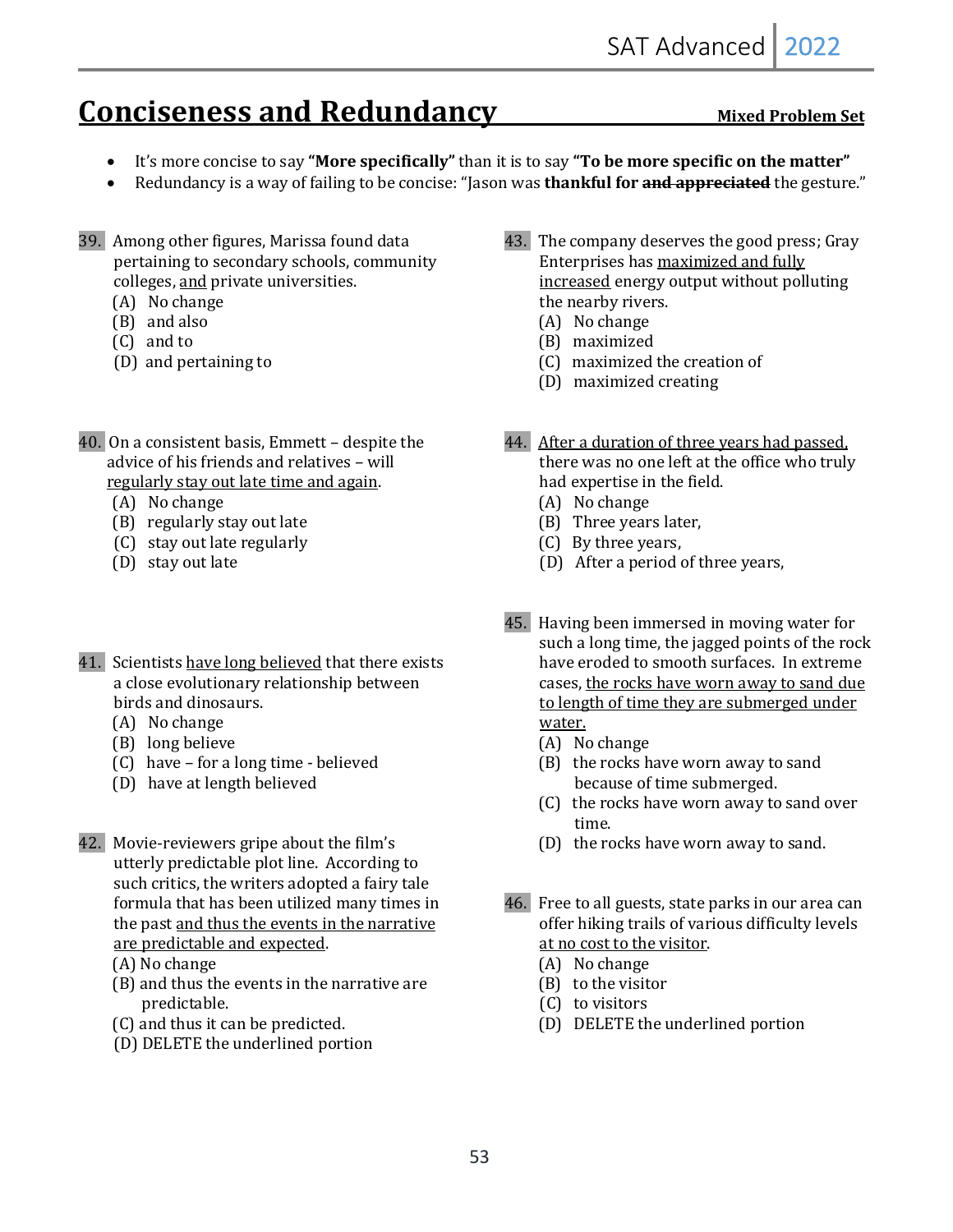# **Conciseness and Redundancy** Mixed Problem Set

- It's more concise to say "More specifically" than it is to say "To be more specific on the matter"
- Redundancy is a way of failing to be concise: "Jason was **thankful for <del>and appreciated</del>** the gesture."
- 39. Among other figures, Marissa found data pertaining to secondary schools, community colleges, and private universities.
	- (A) No change
	- $(B)$  and also
	- (C) and to
	- (D) and pertaining to
- 40. On a consistent basis, Emmett  $-$  despite the advice of his friends and relatives - will regularly stay out late time and again.
	- (A) No change
	- (B) regularly stay out late
	- (C) stay out late regularly
	- (D) stay out late
- 41. Scientists have long believed that there exists a close evolutionary relationship between birds and dinosaurs.
	- (A) No change
	- (B) long believe
	- $(C)$  have for a long time believed
	- (D) have at length believed
- 42. Movie-reviewers gripe about the film's utterly predictable plot line. According to such critics, the writers adopted a fairy tale formula that has been utilized many times in the past and thus the events in the narrative are predictable and expected.
	- (A) No change
	- $(B)$  and thus the events in the narrative are predictable.
	- (C) and thus it can be predicted.
	- (D) DELETE the underlined portion
- 43. The company deserves the good press; Gray Enterprises has maximized and fully increased energy output without polluting the nearby rivers.
	- (A) No change
	- (B) maximized
	- (C) maximized the creation of
	- (D) maximized creating
- 44. After a duration of three years had passed, there was no one left at the office who truly had expertise in the field.
	- (A) No change
	- (B) Three years later,
	- (C) By three years,
	- (D) After a period of three years,
- 45. Having been immersed in moving water for such a long time, the jagged points of the rock have eroded to smooth surfaces. In extreme cases, the rocks have worn away to sand due to length of time they are submerged under water.
	- (A) No change
	- $(B)$  the rocks have worn away to sand because of time submerged.
	- (C) the rocks have worn away to sand over time.
	- (D) the rocks have worn away to sand.
- 46. Free to all guests, state parks in our area can offer hiking trails of various difficulty levels at no cost to the visitor.
	- (A) No change
	- $(B)$  to the visitor
	- $(C)$  to visitors
	- (D) DELETE the underlined portion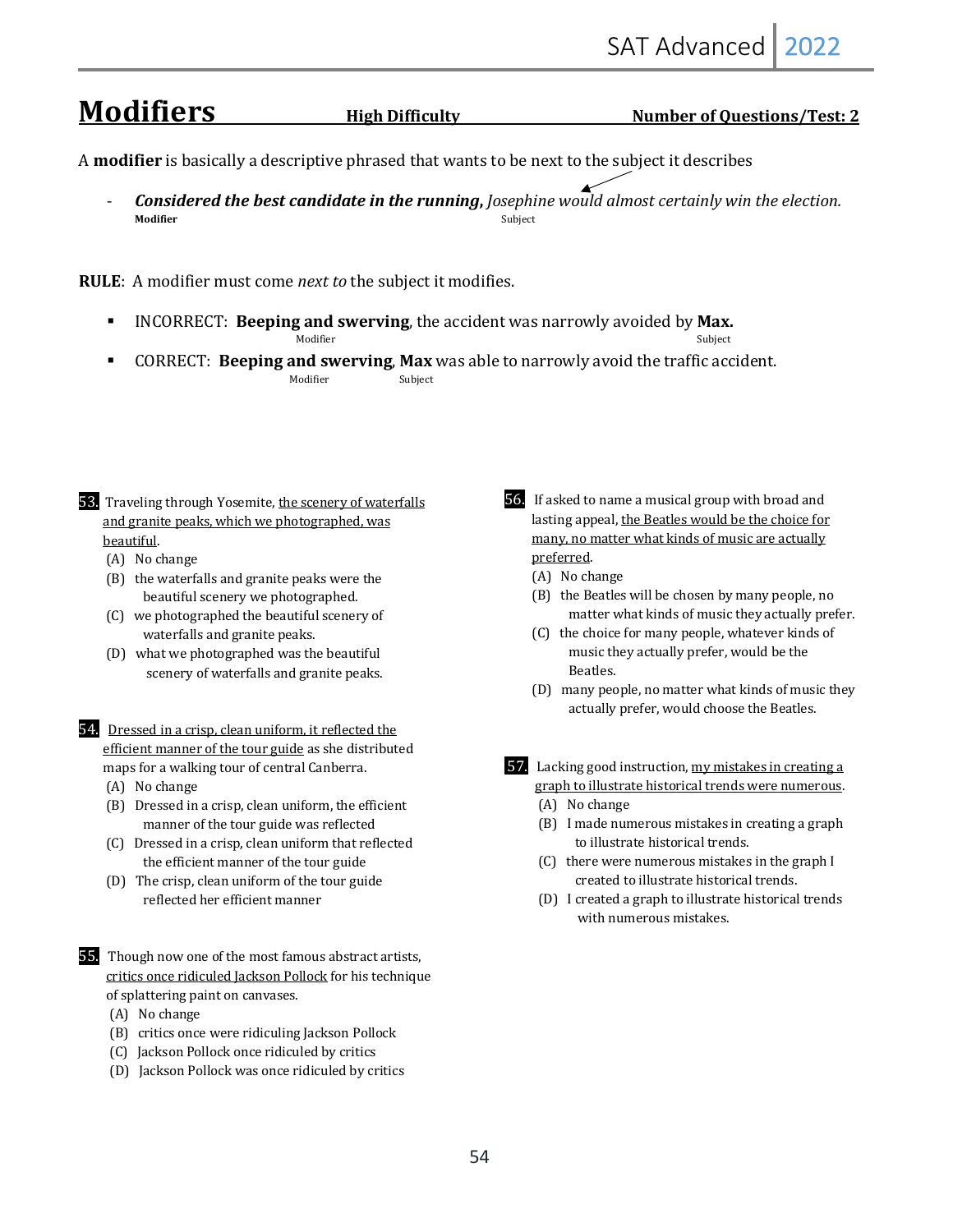## **Modifiers** *High Difficulty* **<b>Willers** *Number of Questions/Test: 2*

A **modifier** is basically a descriptive phrased that wants to be next to the subject it describes

**Considered the best candidate in the running**, *Josephine would almost certainly win the election.* **Modifier** Subject **of the subject of the subject of the subject of the subject of the subject of the subject of the subject of the subject of the subject of the subject of the subject of the subject of the subject of the** 

**RULE**: A modifier must come *next to* the subject it modifies.

- **EXECUBEREF:** Beeping and swerving, the accident was narrowly avoided by Max. Modifier Subject and Subject and Subject and Subject and Subject and Subject and Subject and Subject and Subject and Subject and Subject and Subject and Subject and Subject and Subject and Subject and Subject and Subject a
- **CORRECT: Beeping and swerving, Max** was able to narrowly avoid the traffic accident. **Modifier** Subject
- 53. Traveling through Yosemite, the scenery of waterfalls and granite peaks, which we photographed, was beautiful.
	- (A) No change
	- $(B)$  the waterfalls and granite peaks were the beautiful scenery we photographed.
	- (C) we photographed the beautiful scenery of waterfalls and granite peaks.
	- (D) what we photographed was the beautiful scenery of waterfalls and granite peaks.
- 54. Dressed in a crisp, clean uniform, it reflected the efficient manner of the tour guide as she distributed maps for a walking tour of central Canberra.
	- (A) No change
	- (B) Dressed in a crisp, clean uniform, the efficient manner of the tour guide was reflected
	- (C) Dressed in a crisp, clean uniform that reflected the efficient manner of the tour guide
	- (D) The crisp, clean uniform of the tour guide reflected her efficient manner
- **55.** Though now one of the most famous abstract artists, critics once ridiculed Jackson Pollock for his technique of splattering paint on canvases.
	- (A) No change
	- (B) critics once were ridiculing Jackson Pollock
	- (C) Jackson Pollock once ridiculed by critics
	- (D) Jackson Pollock was once ridiculed by critics
- 56. If asked to name a musical group with broad and lasting appeal, the Beatles would be the choice for many, no matter what kinds of music are actually preferred.
	- (A) No change
	- (B) the Beatles will be chosen by many people, no matter what kinds of music they actually prefer.
	- (C) the choice for many people, whatever kinds of music they actually prefer, would be the Beatles.
	- (D) many people, no matter what kinds of music they actually prefer, would choose the Beatles.
- 57. Lacking good instruction, my mistakes in creating a graph to illustrate historical trends were numerous. (A) No change
	- $(B)$  I made numerous mistakes in creating a graph
	- to illustrate historical trends.
	- (C) there were numerous mistakes in the graph I created to illustrate historical trends.
	- (D) I created a graph to illustrate historical trends with numerous mistakes.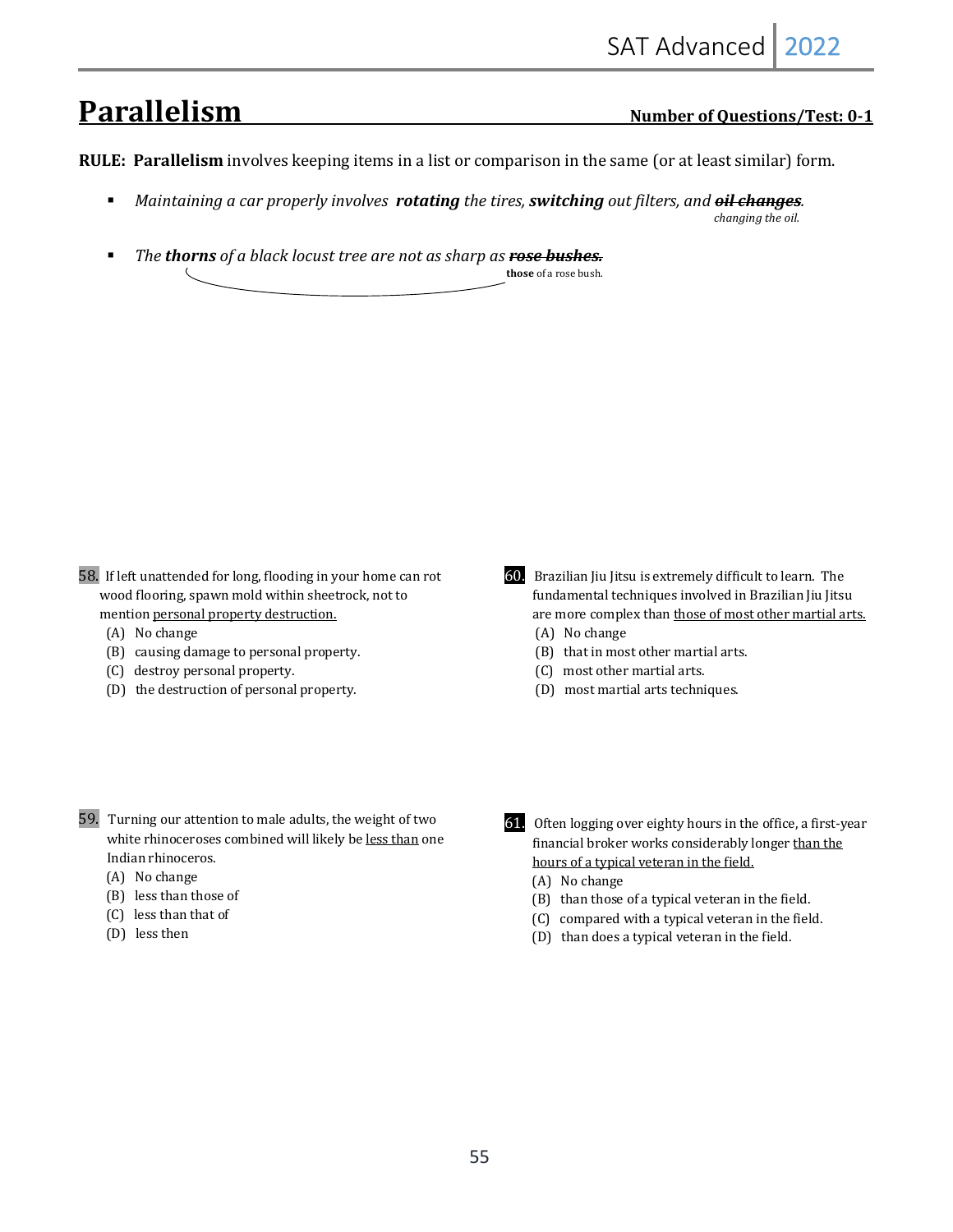# **Parallelism** *<u><b>Parallelism II Number of Questions/Test: 0-1*</u>

**RULE:** Parallelism involves keeping items in a list or comparison in the same (or at least similar) form.

- **•** Maintaining a car properly involves **rotating** the tires, **switching** out filters, and **oil changes**. *changing* the oil.
- **•** The **thorns** of a black locust tree are not as sharp as **rose bushes. those** of a rose bush.

- 58. If left unattended for long, flooding in your home can rot wood flooring, spawn mold within sheetrock, not to mention personal property destruction.
	- (A) No change
	- (B) causing damage to personal property.
	- (C) destroy personal property.
	- (D) the destruction of personal property.
- 59. Turning our attention to male adults, the weight of two white rhinoceroses combined will likely be less than one Indian rhinoceros.
	- (A) No change
	- (B) less than those of
	- (C) less than that of
	- (D) less then
- 60. Brazilian Jiu Jitsu is extremely difficult to learn. The fundamental techniques involved in Brazilian Jiu Jitsu are more complex than those of most other martial arts. (A) No change
	- $(B)$  that in most other martial arts.
	- (C) most other martial arts.
	- (D) most martial arts techniques.
- 61. Often logging over eighty hours in the office, a first-year financial broker works considerably longer than the hours of a typical veteran in the field.
	- (A) No change
	- (B) than those of a typical veteran in the field.
	- (C) compared with a typical veteran in the field.
	- (D) than does a typical veteran in the field.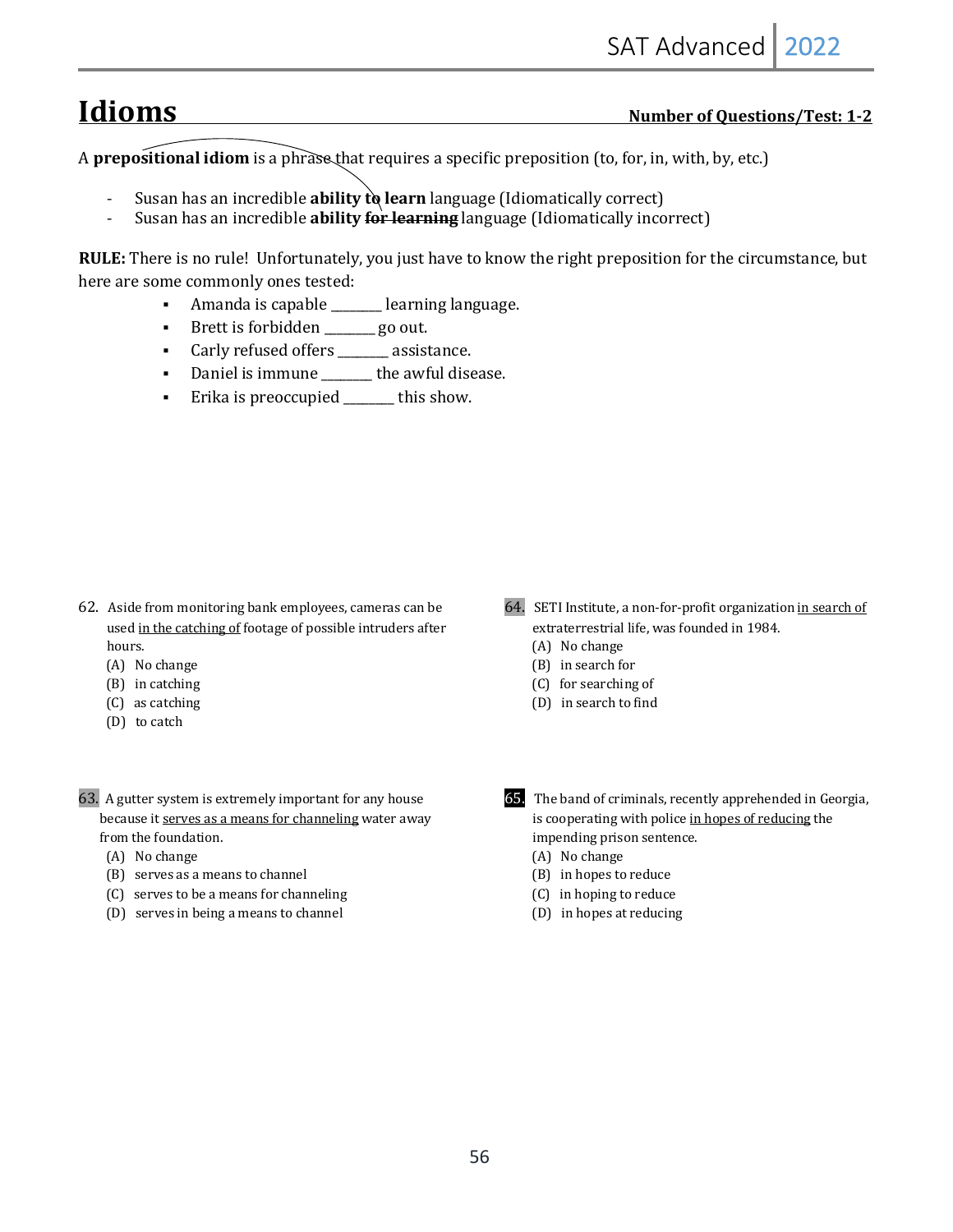## **Idioms Number of Questions/Test: 1-2**

A **prepositional idiom** is a phrase that requires a specific preposition (to, for, in, with, by, etc.)

- Susan has an incredible **ability to learn** language (Idiomatically correct)
- Susan has an incredible **ability for learning** language (Idiomatically incorrect)

**RULE:** There is no rule! Unfortunately, you just have to know the right preposition for the circumstance, but here are some commonly ones tested:

- Amanda is capable \_\_\_\_\_\_ learning language.
- Brett is forbidden \_\_\_\_\_\_ go out.
- Carly refused offers \_\_\_\_\_\_ assistance.
- Daniel is immune \_\_\_\_\_\_\_\_ the awful disease.
- Erika is preoccupied \_\_\_\_\_\_ this show.

- 62. Aside from monitoring bank employees, cameras can be used in the catching of footage of possible intruders after hours.
	- (A) No change
	- $(B)$  in catching
	- (C) as catching
	- (D) to catch
- 63. A gutter system is extremely important for any house because it serves as a means for channeling water away from the foundation.
	- (A) No change
	- $(B)$  serves as a means to channel
	- (C) serves to be a means for channeling
	- (D) serves in being a means to channel
- 64. SETI Institute, a non-for-profit organization in search of extraterrestrial life, was founded in 1984.
	- (A) No change
	- (B) in search for
	- (C) for searching of
	- (D) in search to find
- **65.** The band of criminals, recently apprehended in Georgia, is cooperating with police in hopes of reducing the impending prison sentence.
	- (A) No change
	- (B) in hopes to reduce
	- (C) in hoping to reduce
	- (D) in hopes at reducing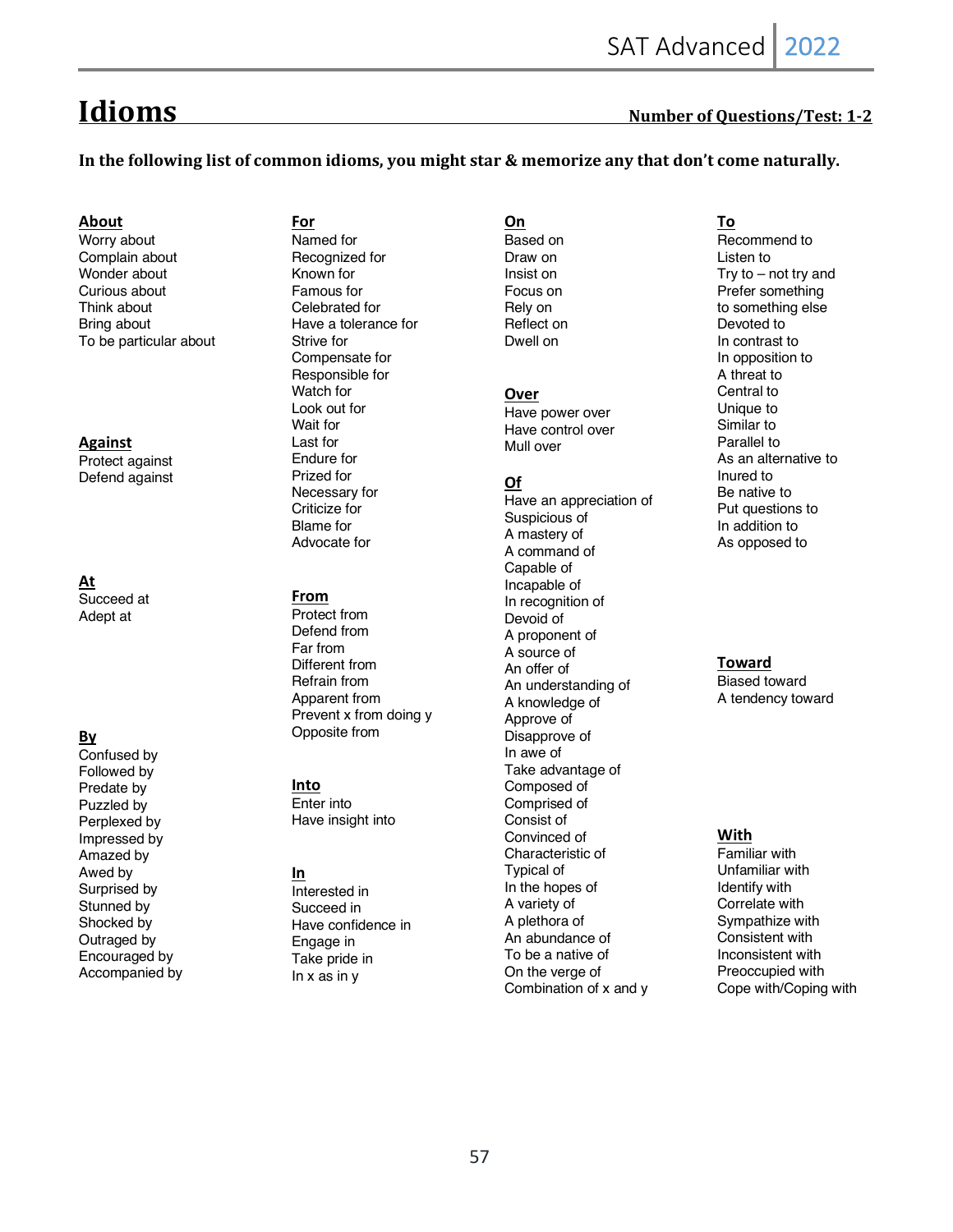## **Idioms Number of Questions/Test: 1-2**

In the following list of common idioms, you might star & memorize any that don't come naturally.

#### **About**

Worry about Complain about Wonder about Curious about Think about Bring about To be particular about

#### **Against**

Protect against Defend against

#### **At** Succeed at Adept at

#### **By**

Confused by Followed by Predate by Puzzled by Perplexed by Impressed by Amazed by Awed by Surprised by Stunned by Shocked by Outraged by Encouraged by Accompanied by **For** Named for Recognized for Known for Famous for Celebrated for Have a tolerance for Strive for Compensate for Responsible for Watch for Look out for Wait for Last for Endure for Prized for Necessary for Criticize for Blame for Advocate for

#### **From**

Protect from Defend from Far from Different from Refrain from Apparent from Prevent x from doing y Opposite from

#### **Into**

Enter into Have insight into

#### **In**

Interested in Succeed in Have confidence in Engage in Take pride in In x as in y

**On** Based on Draw on Insist on Focus on Rely on Reflect on Dwell on

#### **Over**

Have power over Have control over Mull over

#### **Of**

Have an appreciation of Suspicious of A mastery of A command of Capable of Incapable of In recognition of Devoid of A proponent of A source of An offer of An understanding of A knowledge of Approve of Disapprove of In awe of Take advantage of Composed of Comprised of Consist of Convinced of Characteristic of Typical of In the hopes of A variety of A plethora of An abundance of To be a native of On the verge of Combination of x and y

## **To**

Recommend to Listen to Try to – not try and Prefer something to something else Devoted to In contrast to In opposition to A threat to Central to Unique to Similar to Parallel to As an alternative to Inured to Be native to Put questions to In addition to As opposed to

#### **Toward**

Biased toward A tendency toward

#### **With**

Familiar with Unfamiliar with Identify with Correlate with Sympathize with Consistent with Inconsistent with Preoccupied with Cope with/Coping with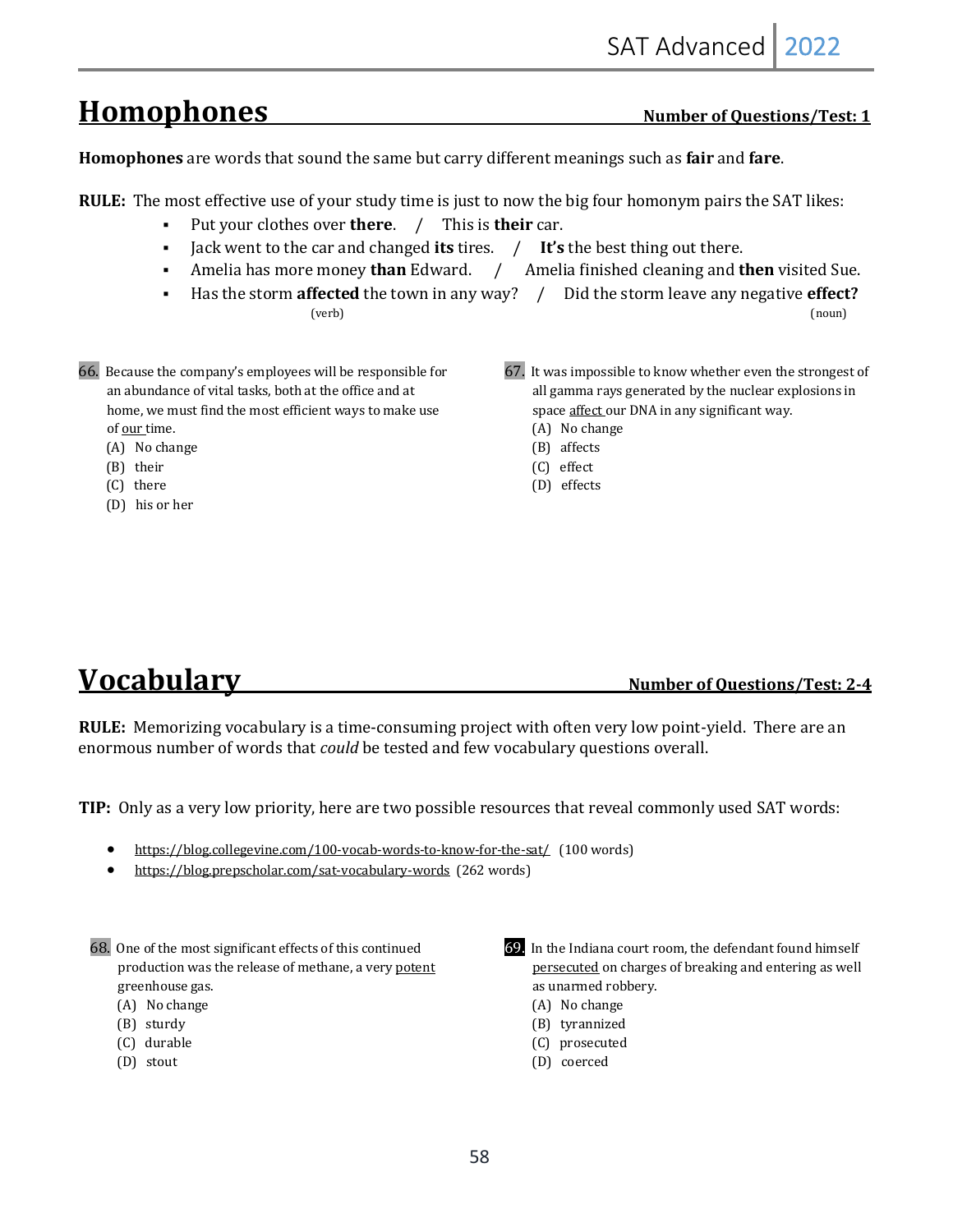# Homophones Number of Questions/Test: 1

Homophones are words that sound the same but carry different meanings such as fair and fare.

- **RULE:** The most effective use of your study time is just to now the big four homonym pairs the SAT likes:
	- Put your clothes over **there**. / This is **their** car.
	- Jack went to the car and changed its tires. / It's the best thing out there.
	- Amelia has more money **than** Edward. / Amelia finished cleaning and **then** visited Sue.
	- Has the storm **affected** the town in any way? / Did the storm leave any negative **effect?**  $(\text{verb})$   $(\text{non})$
- 66. Because the company's employees will be responsible for an abundance of vital tasks, both at the office and at home, we must find the most efficient ways to make use of our time.
	- (A) No change
	- (B) their
	- (C) there
	- (D) his or her
- 67. It was impossible to know whether even the strongest of all gamma rays generated by the nuclear explosions in space affect our DNA in any significant way.
	- (A) No change (B) affects
	- (C) effect
	- (D) effects

## **Vocabulary** *Number of Questions/Test: 2-4*

**RULE:** Memorizing vocabulary is a time-consuming project with often very low point-yield. There are an enormous number of words that *could* be tested and few vocabulary questions overall.

**TIP:** Only as a very low priority, here are two possible resources that reveal commonly used SAT words:

- https://blog.collegevine.com/100-vocab-words-to-know-for-the-sat/ (100 words)
- https://blog.prepscholar.com/sat-vocabulary-words (262 words)

- (A) No change
- (B) sturdy
- (C) durable
- (D) stout



- 69. In the Indiana court room, the defendant found himself persecuted on charges of breaking and entering as well as unarmed robbery.
	- (A) No change
	- (B) tyrannized
	- (C) prosecuted
	- (D) coerced

<sup>68.</sup> One of the most significant effects of this continued production was the release of methane, a very potent greenhouse gas.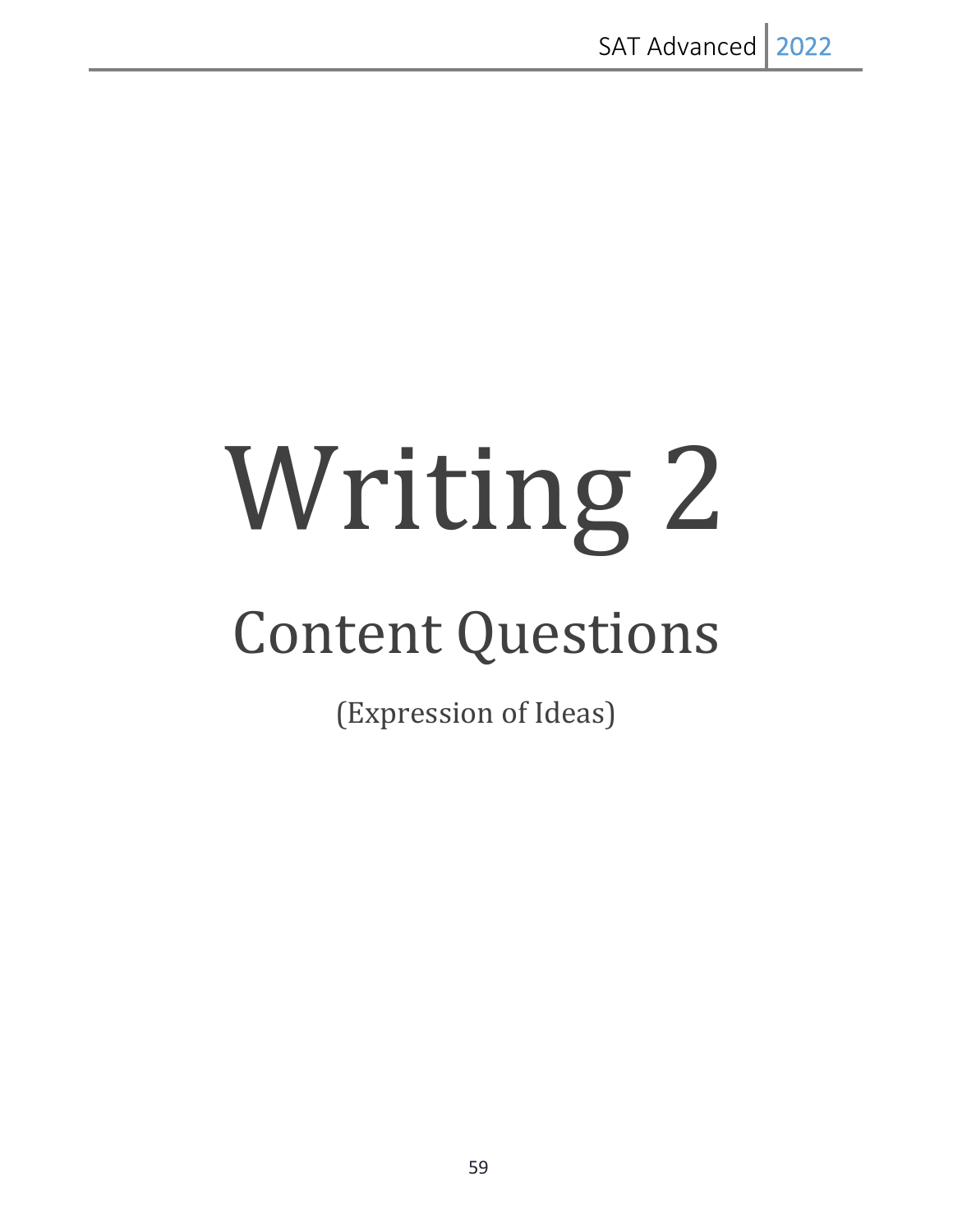# Writing 2 **Content Questions**

(Expression of Ideas)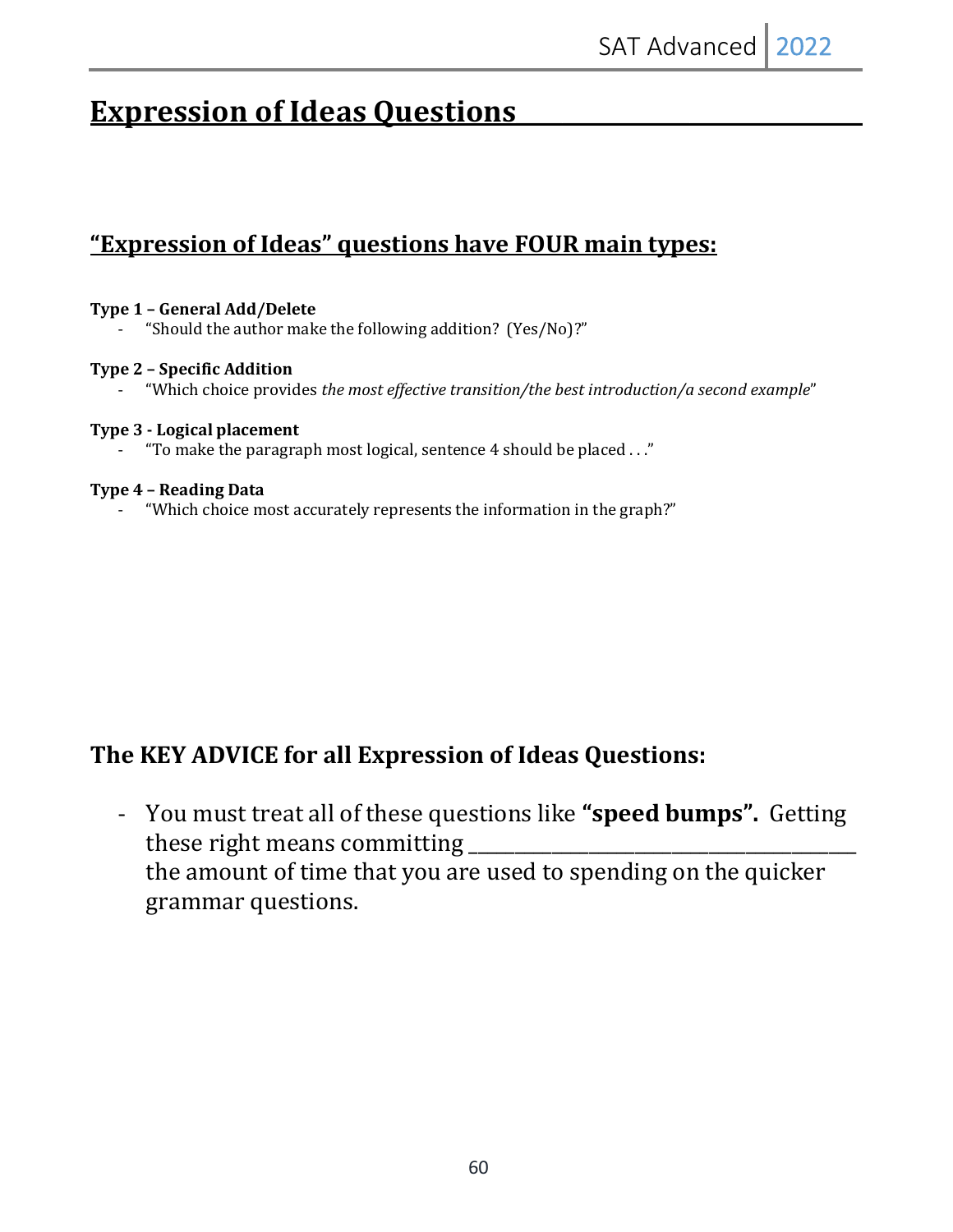# **Expression of Ideas Questions**

## **<u>"Expression of Ideas" questions have FOUR main types:</u>**

#### **Type 1 – General Add/Delete**

"Should the author make the following addition? (Yes/No)?"

#### **Type 2 – Specific Addition**

"Which choice provides *the most effective transition/the best introduction/a second example*"

#### **Type 3 - Logical placement**

"To make the paragraph most logical, sentence 4 should be placed  $\ldots$ "

#### **Type 4 – Reading Data**

- "Which choice most accurately represents the information in the graph?"

## The KEY ADVICE for all Expression of Ideas Questions:

- You must treat all of these questions like "**speed bumps**". Getting these right means committing the amount of time that you are used to spending on the quicker grammar questions.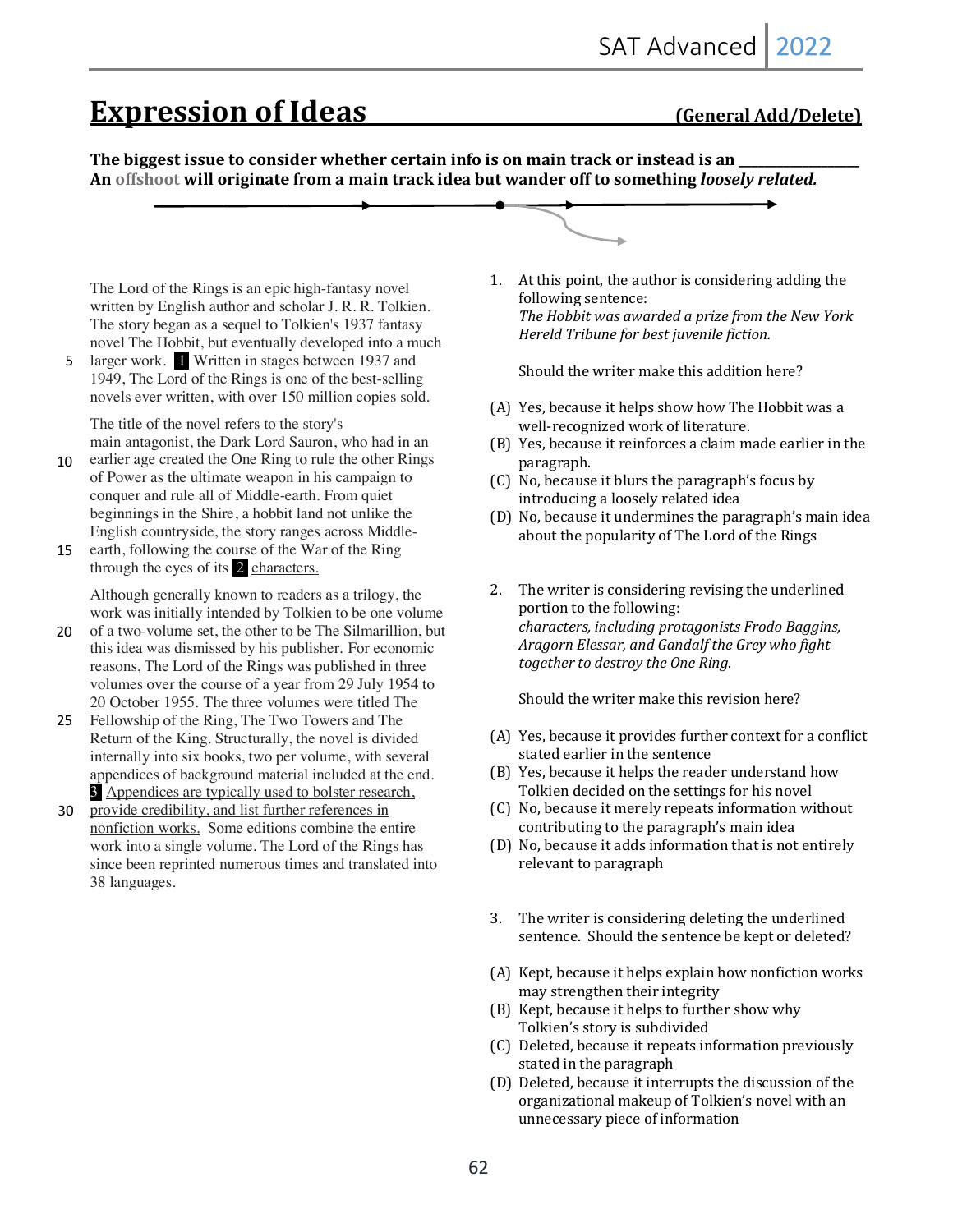## **Expression of Ideas** (General Add/Delete)

The biggest issue to consider whether certain info is on main track or instead is an An offshoot will originate from a main track idea but wander off to something *loosely related.* 

The Lord of the Rings is an epic high-fantasy novel written by English author and scholar J. R. R. Tolkien. The story began as a sequel to Tolkien's 1937 fantasy novel The Hobbit, but eventually developed into a much

larger work. 1 Written in stages between 1937 and 1949, The Lord of the Rings is one of the best-selling novels ever written, with over 150 million copies sold. 5

The title of the novel refers to the story's main antagonist, the Dark Lord Sauron, who had in an

- earlier age created the One Ring to rule the other Rings of Power as the ultimate weapon in his campaign to conquer and rule all of Middle-earth. From quiet beginnings in the Shire, a hobbit land not unlike the English countryside, the story ranges across Middle- $10$
- earth, following the course of the War of the Ring through the eyes of its 2 characters. 15

Although generally known to readers as a trilogy, the work was initially intended by Tolkien to be one volume

- of a two-volume set, the other to be The Silmarillion, but this idea was dismissed by his publisher. For economic reasons, The Lord of the Rings was published in three volumes over the course of a year from 29 July 1954 to 20 October 1955. The three volumes were titled The 20
- 25 Fellowship of the Ring, The Two Towers and The Return of the King. Structurally, the novel is divided internally into six books, two per volume, with several appendices of background material included at the end. 3 Appendices are typically used to bolster research,
- provide credibility, and list further references in nonfiction works. Some editions combine the entire work into a single volume. The Lord of the Rings has since been reprinted numerous times and translated into 38 languages. 30

1. At this point, the author is considering adding the following sentence: The Hobbit was awarded a prize from the New York Hereld Tribune for best juvenile fiction.

Should the writer make this addition here?

- (A) Yes, because it helps show how The Hobbit was a well-recognized work of literature.
- (B) Yes, because it reinforces a claim made earlier in the paragraph.
- (C) No, because it blurs the paragraph's focus by introducing a loosely related idea
- (D) No, because it undermines the paragraph's main idea about the popularity of The Lord of the Rings
- 2. The writer is considering revising the underlined portion to the following: characters, *including protagonists Frodo Baggins*, Aragorn Elessar, and Gandalf the Grey who fight together to destroy the One Ring.

Should the writer make this revision here?

- (A) Yes, because it provides further context for a conflict stated earlier in the sentence
- (B) Yes, because it helps the reader understand how Tolkien decided on the settings for his novel
- (C) No, because it merely repeats information without contributing to the paragraph's main idea
- (D) No, because it adds information that is not entirely relevant to paragraph
- 3. The writer is considering deleting the underlined sentence. Should the sentence be kept or deleted?
- (A) Kept, because it helps explain how nonfiction works may strengthen their integrity
- (B) Kept, because it helps to further show why Tolkien's story is subdivided
- (C) Deleted, because it repeats information previously stated in the paragraph
- (D) Deleted, because it interrupts the discussion of the organizational makeup of Tolkien's novel with an unnecessary piece of information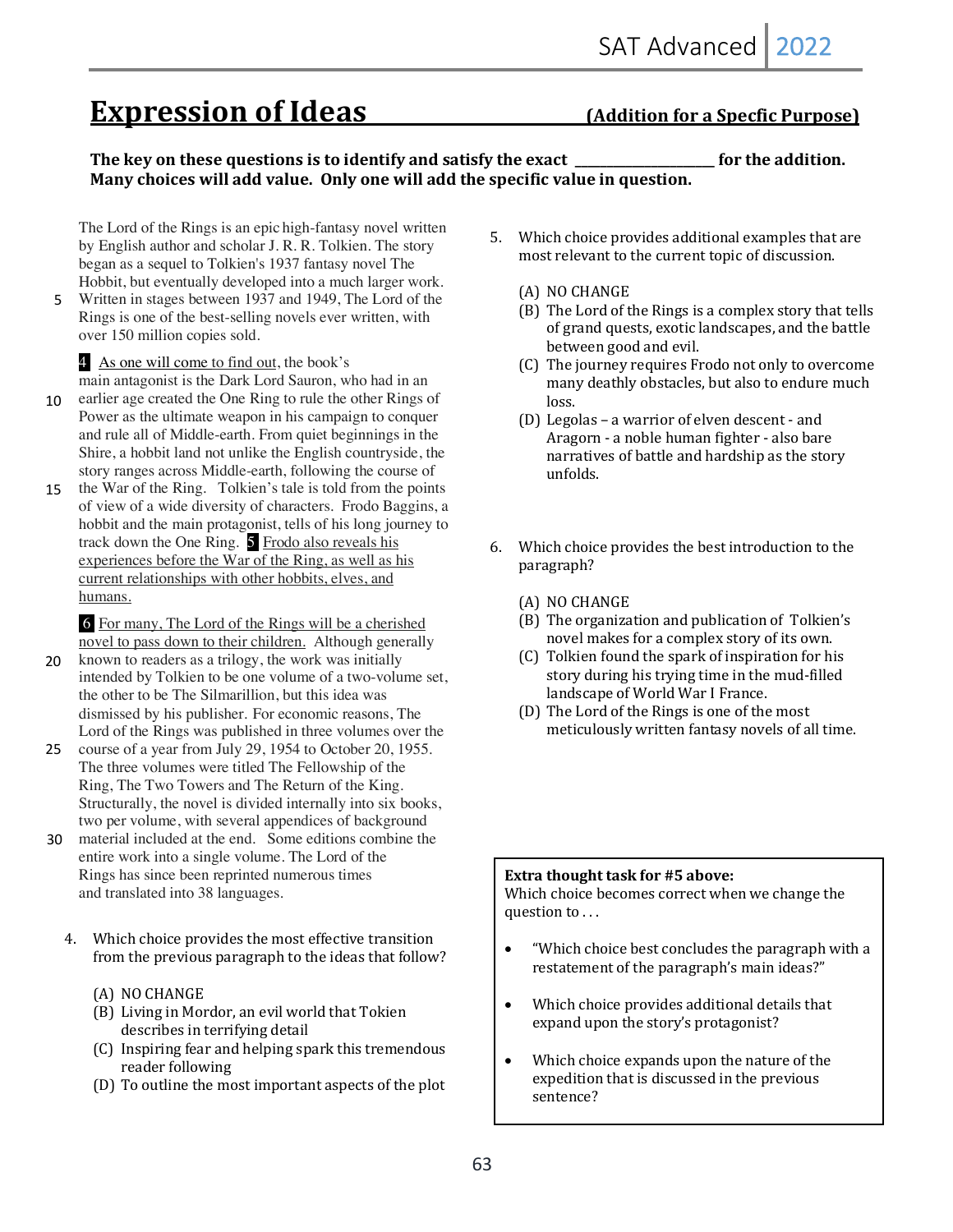# **Expression of Ideas** (Addition for a Specfic Purpose)

#### The key on these questions is to identify and satisfy the exact **\_\_\_\_\_\_\_\_\_\_\_\_\_\_** for the addition. Many choices will add value. Only one will add the specific value in question.

The Lord of the Rings is an epic high-fantasy novel written by English author and scholar J. R. R. Tolkien. The story began as a sequel to Tolkien's 1937 fantasy novel The Hobbit, but eventually developed into a much larger work.

Written in stages between 1937 and 1949, The Lord of the Rings is one of the best-selling novels ever written, with over 150 million copies sold. 5

4 As one will come to find out, the book's

main antagonist is the Dark Lord Sauron, who had in an

- earlier age created the One Ring to rule the other Rings of Power as the ultimate weapon in his campaign to conquer and rule all of Middle-earth. From quiet beginnings in the Shire, a hobbit land not unlike the English countryside, the story ranges across Middle-earth, following the course of 10
- the War of the Ring. Tolkien's tale is told from the points of view of a wide diversity of characters. Frodo Baggins, a hobbit and the main protagonist, tells of his long journey to track down the One Ring. 5 Frodo also reveals his experiences before the War of the Ring, as well as his current relationships with other hobbits, elves, and humans. 15

6 For many, The Lord of the Rings will be a cherished novel to pass down to their children. Although generally

- known to readers as a trilogy, the work was initially intended by Tolkien to be one volume of a two-volume set, the other to be The Silmarillion, but this idea was dismissed by his publisher. For economic reasons, The Lord of the Rings was published in three volumes over the 20
- course of a year from July 29, 1954 to October 20, 1955. The three volumes were titled The Fellowship of the Ring, The Two Towers and The Return of the King. Structurally, the novel is divided internally into six books, two per volume, with several appendices of background 25
- material included at the end. Some editions combine the entire work into a single volume. The Lord of the Rings has since been reprinted numerous times and translated into 38 languages. 30
	- 4. Which choice provides the most effective transition from the previous paragraph to the ideas that follow?
		- (A) NO CHANGE
		- (B) Living in Mordor, an evil world that Tokien describes in terrifying detail
		- (C) Inspiring fear and helping spark this tremendous reader following
		- (D) To outline the most important aspects of the plot
- 5. Which choice provides additional examples that are most relevant to the current topic of discussion.
	- (A) NO CHANGE
	- (B) The Lord of the Rings is a complex story that tells of grand quests, exotic landscapes, and the battle between good and evil.
	- (C) The journey requires Frodo not only to overcome many deathly obstacles, but also to endure much loss.
	- (D) Legolas a warrior of elven descent and Aragorn - a noble human fighter - also bare narratives of battle and hardship as the story unfolds.
- 6. Which choice provides the best introduction to the paragraph?
	- (A) NO CHANGE
	- (B) The organization and publication of Tolkien's novel makes for a complex story of its own.
	- (C) Tolkien found the spark of inspiration for his story during his trying time in the mud-filled landscape of World War I France.
	- (D) The Lord of the Rings is one of the most meticulously written fantasy novels of all time.

#### **Extra thought task for #5 above:**

Which choice becomes correct when we change the question to ...

- "Which choice best concludes the paragraph with a restatement of the paragraph's main ideas?"
- Which choice provides additional details that expand upon the story's protagonist?
- Which choice expands upon the nature of the expedition that is discussed in the previous sentence?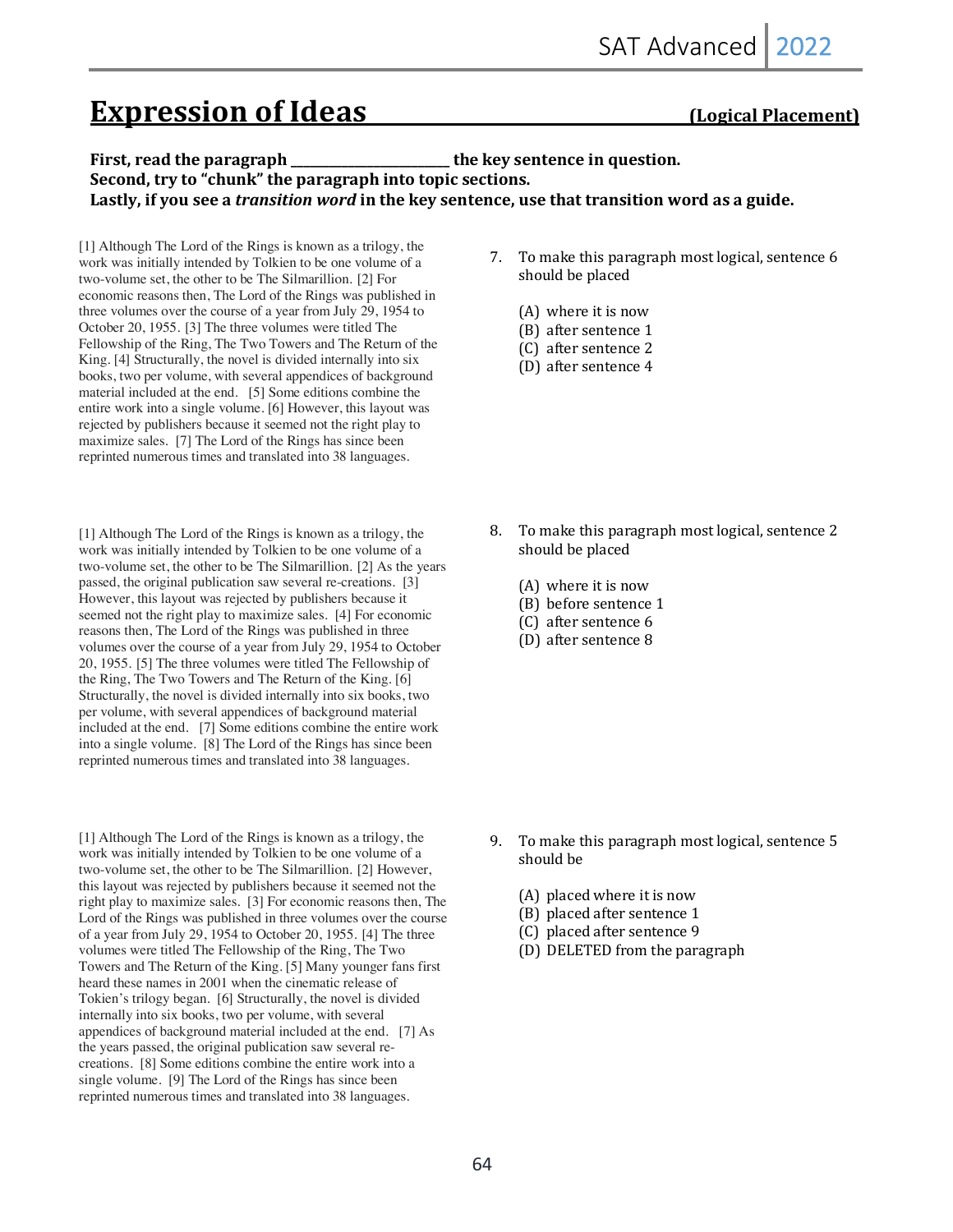# **Expression of Ideas** (Logical Placement)

#### **First, read the paragraph \_\_\_\_\_\_\_\_\_\_\_\_\_\_\_\_\_\_\_\_\_\_\_ the key sentence in question.** Second, try to "chunk" the paragraph into topic sections. Lastly, if you see a *transition word* in the key sentence, use that transition word as a guide.

[1] Although The Lord of the Rings is known as a trilogy, the work was initially intended by Tolkien to be one volume of a two-volume set, the other to be The Silmarillion. [2] For economic reasons then, The Lord of the Rings was published in three volumes over the course of a year from July 29, 1954 to October 20, 1955. [3] The three volumes were titled The Fellowship of the Ring, The Two Towers and The Return of the King. [4] Structurally, the novel is divided internally into six books, two per volume, with several appendices of background material included at the end. [5] Some editions combine the entire work into a single volume. [6] However, this layout was rejected by publishers because it seemed not the right play to maximize sales. [7] The Lord of the Rings has since been reprinted numerous times and translated into 38 languages.

[1] Although The Lord of the Rings is known as a trilogy, the work was initially intended by Tolkien to be one volume of a two-volume set, the other to be The Silmarillion. [2] As the years passed, the original publication saw several re-creations. [3] However, this layout was rejected by publishers because it seemed not the right play to maximize sales. [4] For economic reasons then, The Lord of the Rings was published in three volumes over the course of a year from July 29, 1954 to October 20, 1955. [5] The three volumes were titled The Fellowship of the Ring, The Two Towers and The Return of the King. [6] Structurally, the novel is divided internally into six books, two per volume, with several appendices of background material included at the end. [7] Some editions combine the entire work into a single volume. [8] The Lord of the Rings has since been reprinted numerous times and translated into 38 languages.

[1] Although The Lord of the Rings is known as a trilogy, the work was initially intended by Tolkien to be one volume of a two-volume set, the other to be The Silmarillion. [2] However, this layout was rejected by publishers because it seemed not the right play to maximize sales. [3] For economic reasons then, The Lord of the Rings was published in three volumes over the course of a year from July 29, 1954 to October 20, 1955. [4] The three volumes were titled The Fellowship of the Ring, The Two Towers and The Return of the King. [5] Many younger fans first heard these names in 2001 when the cinematic release of Tokien's trilogy began. [6] Structurally, the novel is divided internally into six books, two per volume, with several appendices of background material included at the end. [7] As the years passed, the original publication saw several recreations. [8] Some editions combine the entire work into a single volume. [9] The Lord of the Rings has since been reprinted numerous times and translated into 38 languages.

- 7. To make this paragraph most logical, sentence 6 should be placed
	- $(A)$  where it is now
	- (B) after sentence 1
	- (C) after sentence 2
	- (D) after sentence 4

- 8. To make this paragraph most logical, sentence 2 should be placed
	- $(A)$  where it is now
	- (B) before sentence 1
	- $(C)$  after sentence 6
	- (D) after sentence 8

- 9. To make this paragraph most logical, sentence 5 should be
	- $(A)$  placed where it is now
	- (B) placed after sentence 1
	- (C) placed after sentence 9
	- (D) DELETED from the paragraph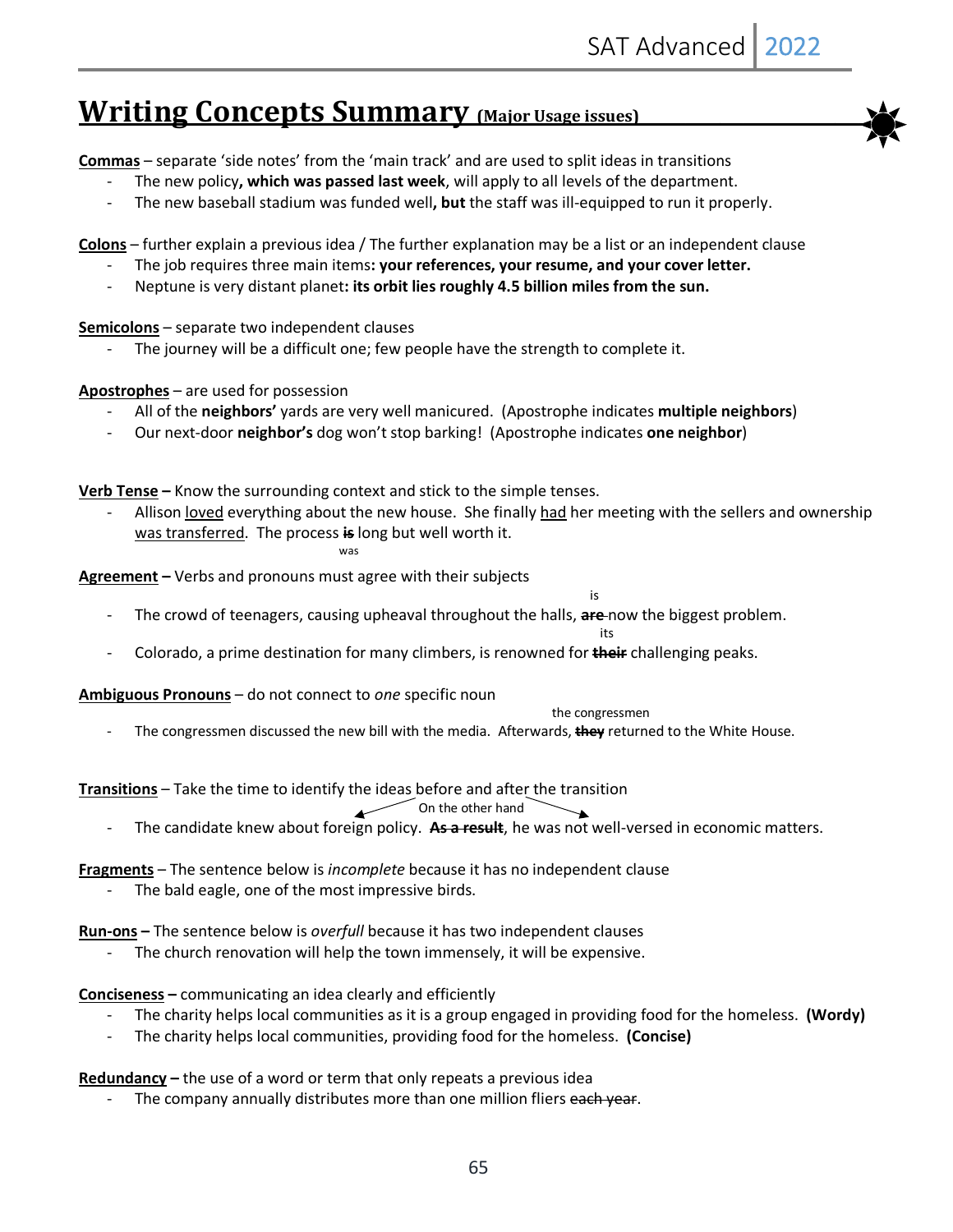# **Writing Concepts Summary (Major Usage issues)**

**Commas** – separate 'side notes' from the 'main track' and are used to split ideas in transitions

- The new policy**, which was passed last week**, will apply to all levels of the department.
- The new baseball stadium was funded well**, but** the staff was ill-equipped to run it properly.

**Colons** – further explain a previous idea / The further explanation may be a list or an independent clause

- The job requires three main items**: your references, your resume, and your cover letter.**
- Neptune is very distant planet**: its orbit lies roughly 4.5 billion miles from the sun.**

**Semicolons** – separate two independent clauses

The journey will be a difficult one; few people have the strength to complete it.

#### **Apostrophes** – are used for possession

- All of the **neighbors'** yards are very well manicured. (Apostrophe indicates **multiple neighbors**)
- Our next-door **neighbor's** dog won't stop barking! (Apostrophe indicates **one neighbor**)

**Verb Tense –** Know the surrounding context and stick to the simple tenses.

Allison loved everything about the new house. She finally had her meeting with the sellers and ownership was transferred. The process **is** long but well worth it.

its and the contract of the contract of the contract of the contract of the contract of the contract of the co

**Agreement –** Verbs and pronouns must agree with their subjects

- **is a structure of the structure of the structure of the structure of the structure of the structure of the structure of the structure of the structure of the structure of the structure of the structure of the structure of**
- The crowd of teenagers, causing upheaval throughout the halls, **are** now the biggest problem.
- Colorado, a prime destination for many climbers, is renowned for **their** challenging peaks.

**Ambiguous Pronouns** – do not connect to *one* specific noun

the congressmen

- The congressmen discussed the new bill with the media. Afterwards, **they** returned to the White House.

**Transitions** – Take the time to identify the ideas before and after the transition

#### On the other hand

- The candidate knew about foreign policy. **As a result**, he was not well-versed in economic matters.
- **Fragments** The sentence below is *incomplete* because it has no independent clause
	- The bald eagle, one of the most impressive birds.

**Run-ons –** The sentence below is *overfull* because it has two independent clauses

The church renovation will help the town immensely, it will be expensive.

**Conciseness –** communicating an idea clearly and efficiently

- The charity helps local communities as it is a group engaged in providing food for the homeless. **(Wordy)**
- The charity helps local communities, providing food for the homeless. **(Concise)**

**Redundancy –** the use of a word or term that only repeats a previous idea

The company annually distributes more than one million fliers each year.